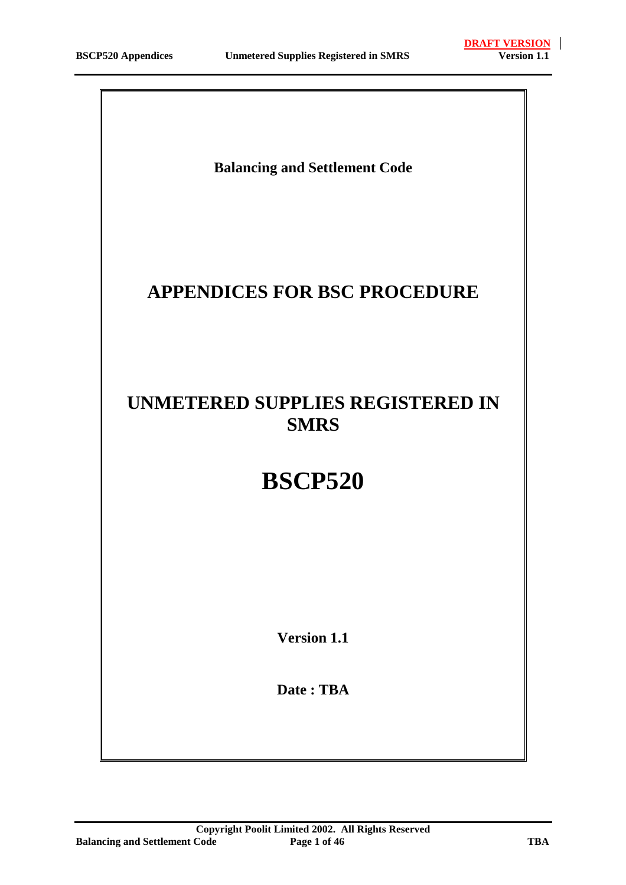**Balancing and Settlement Code**

# **APPENDICES FOR BSC PROCEDURE**

# **UNMETERED SUPPLIES REGISTERED IN SMRS**

# **BSCP520**

**Version 1.1**

**Date : TBA**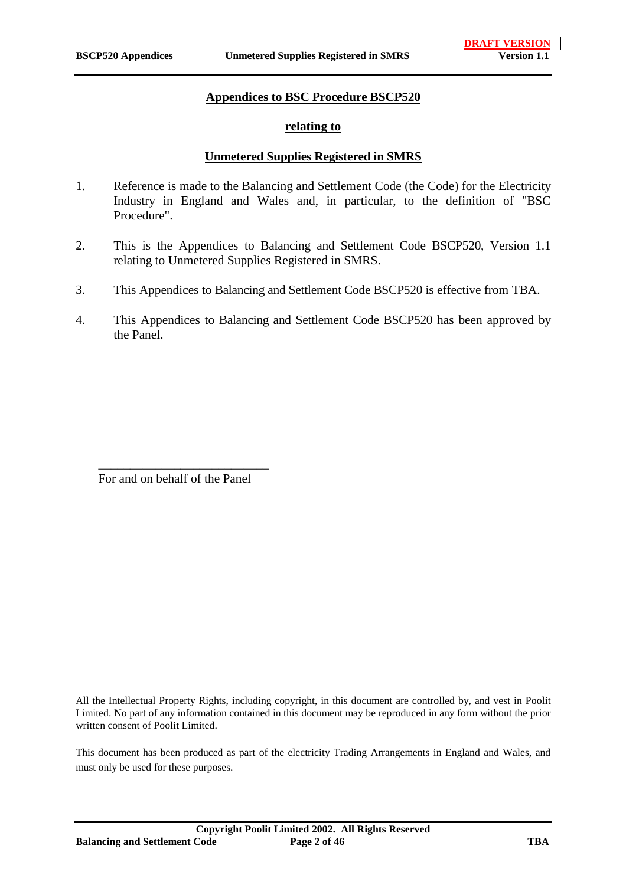#### **Appendices to BSC Procedure BSCP520**

#### **relating to**

#### **Unmetered Supplies Registered in SMRS**

- 1. Reference is made to the Balancing and Settlement Code (the Code) for the Electricity Industry in England and Wales and, in particular, to the definition of "BSC Procedure".
- 2. This is the Appendices to Balancing and Settlement Code BSCP520, Version 1.1 relating to Unmetered Supplies Registered in SMRS.
- 3. This Appendices to Balancing and Settlement Code BSCP520 is effective from TBA.
- 4. This Appendices to Balancing and Settlement Code BSCP520 has been approved by the Panel.

For and on behalf of the Panel

\_\_\_\_\_\_\_\_\_\_\_\_\_\_\_\_\_\_\_\_\_\_\_\_\_\_\_

All the Intellectual Property Rights, including copyright, in this document are controlled by, and vest in Poolit Limited. No part of any information contained in this document may be reproduced in any form without the prior written consent of Poolit Limited.

This document has been produced as part of the electricity Trading Arrangements in England and Wales, and must only be used for these purposes.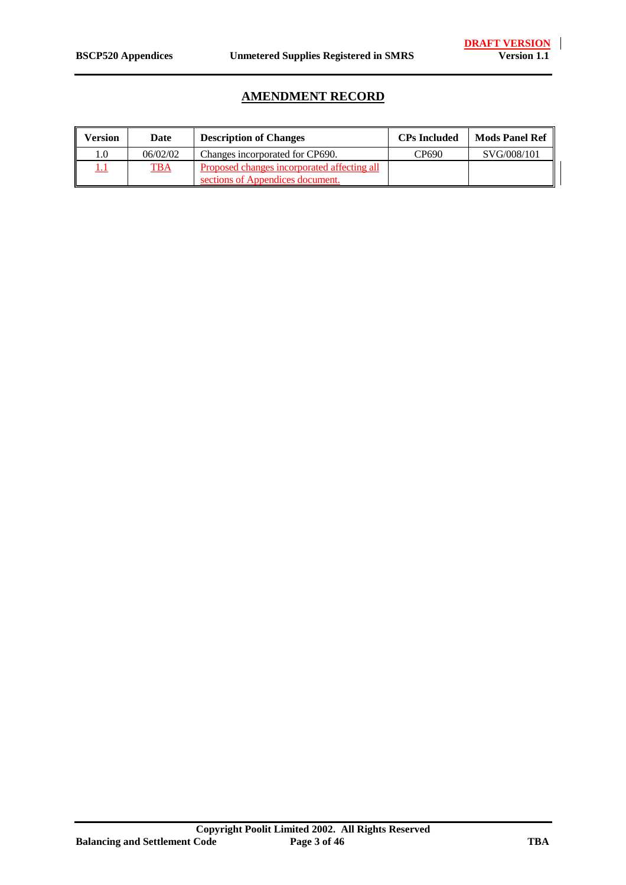## **AMENDMENT RECORD**

| Version | Date       | <b>Description of Changes</b>                                                   | <b>CPs Included</b> | <b>Mods Panel Ref</b> |
|---------|------------|---------------------------------------------------------------------------------|---------------------|-----------------------|
| 0.1     | 06/02/02   | Changes incorporated for CP690.                                                 | CP690               | SVG/008/101           |
|         | <u>TBA</u> | Proposed changes incorporated affecting all<br>sections of Appendices document. |                     |                       |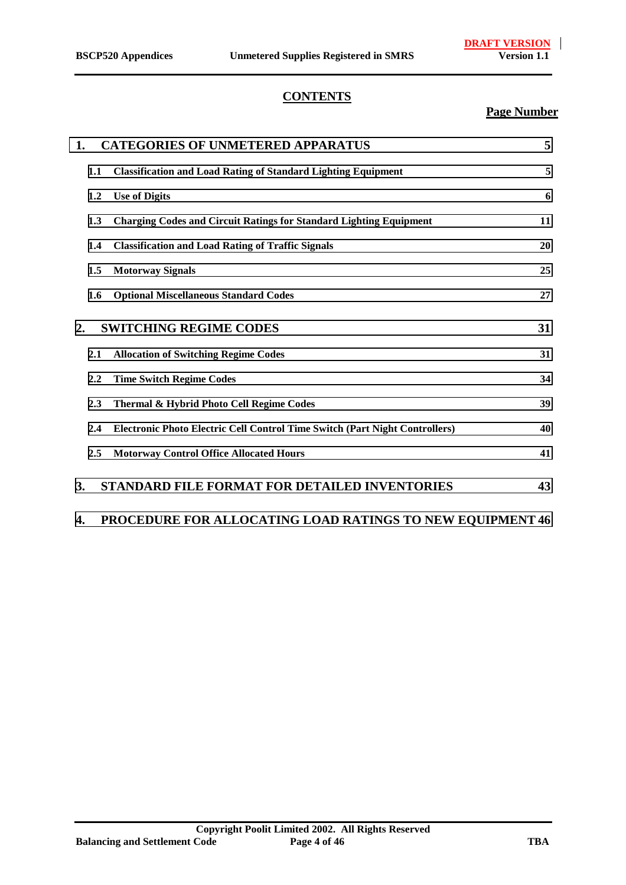#### **CONTENTS**

### **Page Number**

| 1. |     | <b>CATEGORIES OF UNMETERED APPARATUS</b>                                    | 5  |
|----|-----|-----------------------------------------------------------------------------|----|
|    | 1.1 | <b>Classification and Load Rating of Standard Lighting Equipment</b>        | 5  |
|    | 1.2 | <b>Use of Digits</b>                                                        | 6  |
|    | 1.3 | <b>Charging Codes and Circuit Ratings for Standard Lighting Equipment</b>   | 11 |
|    | 1.4 | <b>Classification and Load Rating of Traffic Signals</b>                    | 20 |
|    | 1.5 | <b>Motorway Signals</b>                                                     | 25 |
|    | 1.6 | <b>Optional Miscellaneous Standard Codes</b>                                | 27 |
| 2. |     | <b>SWITCHING REGIME CODES</b>                                               | 31 |
|    | 2.1 | <b>Allocation of Switching Regime Codes</b>                                 | 31 |
|    | 2.2 | <b>Time Switch Regime Codes</b>                                             | 34 |
|    | 2.3 | Thermal & Hybrid Photo Cell Regime Codes                                    | 39 |
|    | 2.4 | Electronic Photo Electric Cell Control Time Switch (Part Night Controllers) | 40 |
|    | 2.5 | <b>Motorway Control Office Allocated Hours</b>                              | 41 |
| 3. |     | <b>STANDARD FILE FORMAT FOR DETAILED INVENTORIES</b>                        | 43 |

## **[4. PROCEDURE FOR ALLOCATING LOAD RATINGS TO NEW EQUIPMENT 46](#page-45-0)**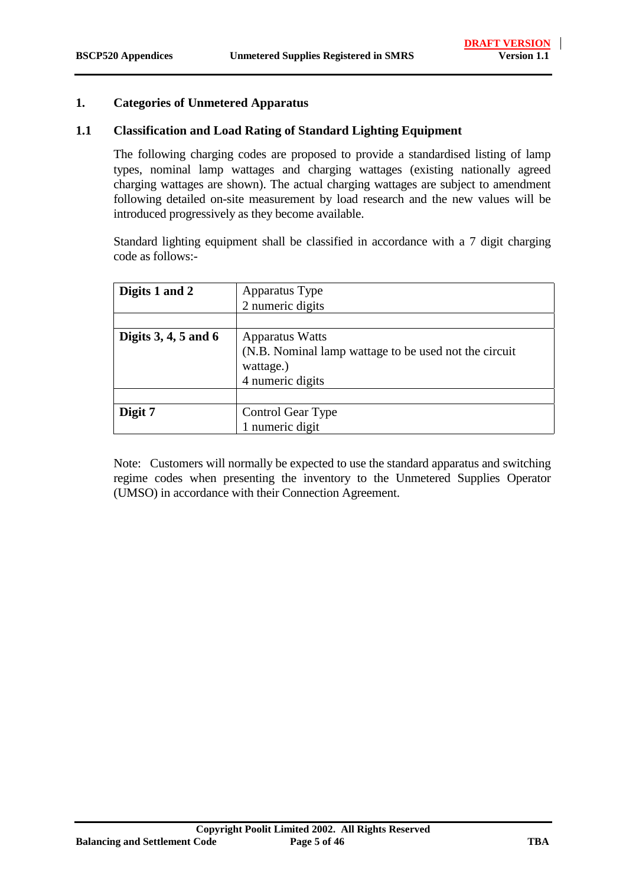#### <span id="page-4-0"></span>**1. Categories of Unmetered Apparatus**

#### **1.1 Classification and Load Rating of Standard Lighting Equipment**

The following charging codes are proposed to provide a standardised listing of lamp types, nominal lamp wattages and charging wattages (existing nationally agreed charging wattages are shown). The actual charging wattages are subject to amendment following detailed on-site measurement by load research and the new values will be introduced progressively as they become available.

Standard lighting equipment shall be classified in accordance with a 7 digit charging code as follows:-

| Digits 1 and 2         | Apparatus Type                                        |
|------------------------|-------------------------------------------------------|
|                        | 2 numeric digits                                      |
|                        |                                                       |
| Digits $3, 4, 5$ and 6 | <b>Apparatus Watts</b>                                |
|                        | (N.B. Nominal lamp wattage to be used not the circuit |
|                        | wattage.)                                             |
|                        | 4 numeric digits                                      |
|                        |                                                       |
| Digit 7                | Control Gear Type                                     |
|                        | 1 numeric digit                                       |

Note: Customers will normally be expected to use the standard apparatus and switching regime codes when presenting the inventory to the Unmetered Supplies Operator (UMSO) in accordance with their Connection Agreement.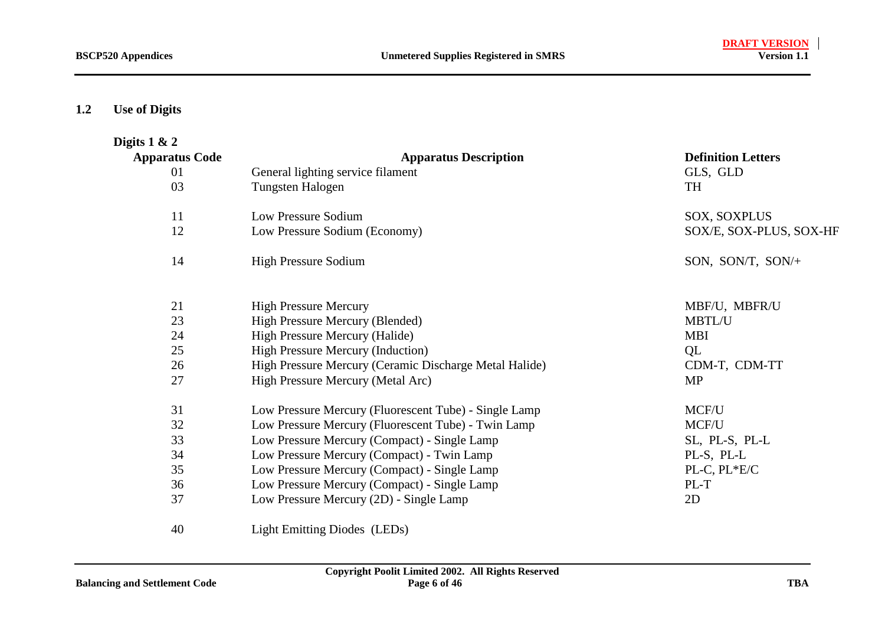#### <span id="page-5-0"></span>**1.2Use of Digits**

| Digits $1 & 2$        |                                                                 |                           |
|-----------------------|-----------------------------------------------------------------|---------------------------|
| <b>Apparatus Code</b> | <b>Apparatus Description</b>                                    | <b>Definition Letters</b> |
| 01                    | General lighting service filament                               | GLS, GLD                  |
| 03                    | Tungsten Halogen                                                | <b>TH</b>                 |
| 11                    | Low Pressure Sodium                                             | <b>SOX, SOXPLUS</b>       |
| 12                    | Low Pressure Sodium (Economy)                                   | SOX/E, SOX-PLUS, SOX-HF   |
| 14                    | <b>High Pressure Sodium</b>                                     | SON, SON/T, SON/+         |
| 21                    | <b>High Pressure Mercury</b>                                    | MBF/U, MBFR/U             |
| 23                    | High Pressure Mercury (Blended)                                 | <b>MBTL/U</b>             |
| 24                    | High Pressure Mercury (Halide)                                  | <b>MBI</b>                |
| 25                    | <b>High Pressure Mercury (Induction)</b>                        | QL                        |
| 26                    | High Pressure Mercury (Ceramic Discharge Metal Halide)          | CDM-T, CDM-TT             |
| 27                    | High Pressure Mercury (Metal Arc)                               | <b>MP</b>                 |
| 31                    | Low Pressure Mercury (Fluorescent Tube) - Single Lamp           | MCF/U                     |
| 32                    | Low Pressure Mercury (Fluorescent Tube) - Twin Lamp             | MCF/U                     |
| 33                    | Low Pressure Mercury (Compact) - Single Lamp                    | SL, PL-S, PL-L            |
| 34                    | Low Pressure Mercury (Compact) - Twin Lamp                      | PL-S, PL-L                |
| 35                    | Low Pressure Mercury (Compact) - Single Lamp                    | PL-C, PL*E/C              |
| 36                    | Low Pressure Mercury (Compact) - Single Lamp                    | PL-T                      |
| 37                    | Low Pressure Mercury (2D) - Single Lamp                         | 2D                        |
| $\sqrt{ }$            | $\mathbf{r}$ and $\mathbf{r}$ and $\mathbf{r}$ and $\mathbf{r}$ |                           |

Light Emitting Diodes (LEDs)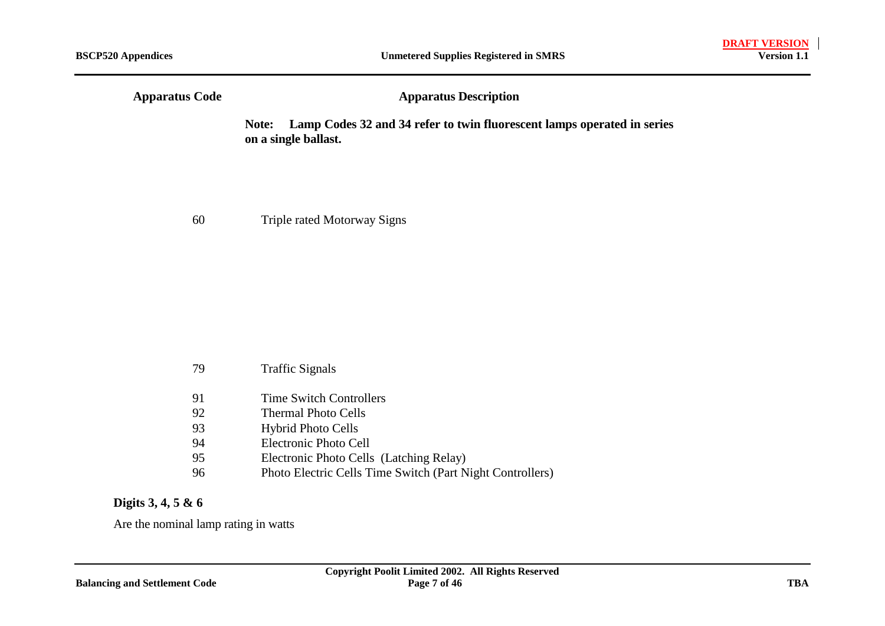| <b>Apparatus Code</b> | <b>Apparatus Description</b>                                                                             |  |  |
|-----------------------|----------------------------------------------------------------------------------------------------------|--|--|
|                       | Lamp Codes 32 and 34 refer to twin fluorescent lamps operated in series<br>Note:<br>on a single ballast. |  |  |

60 Triple rated Motorway Signs

| 79 | <b>Traffic Signals</b>                                    |
|----|-----------------------------------------------------------|
| 91 | <b>Time Switch Controllers</b>                            |
| 92 | <b>Thermal Photo Cells</b>                                |
| 93 | <b>Hybrid Photo Cells</b>                                 |
| 94 | Electronic Photo Cell                                     |
| 95 | Electronic Photo Cells (Latching Relay)                   |
| 96 | Photo Electric Cells Time Switch (Part Night Controllers) |

### **Digits 3, 4, 5 & 6**

Are the nominal lamp rating in watts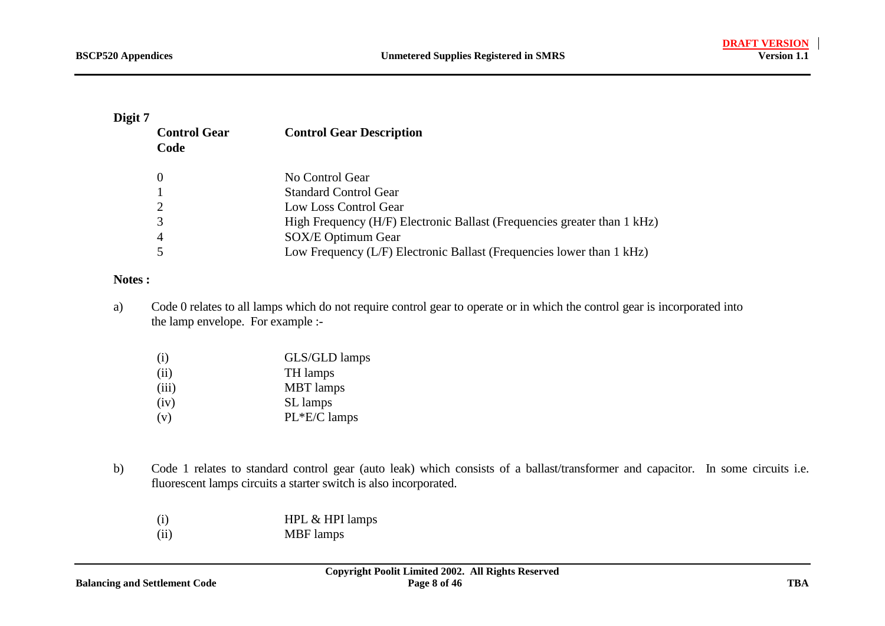#### **Digit 7**

| <b>Control Gear</b><br>Code | <b>Control Gear Description</b>                                          |
|-----------------------------|--------------------------------------------------------------------------|
|                             | No Control Gear                                                          |
|                             | <b>Standard Control Gear</b>                                             |
|                             | Low Loss Control Gear                                                    |
|                             | High Frequency (H/F) Electronic Ballast (Frequencies greater than 1 kHz) |
|                             | SOX/E Optimum Gear                                                       |
|                             | Low Frequency (L/F) Electronic Ballast (Frequencies lower than 1 kHz)    |

#### **Notes :**

a) Code 0 relates to all lamps which do not require control gear to operate or in which the control gear is incorporated into the lamp envelope. For example :-

| (i)   | GLS/GLD lamps    |
|-------|------------------|
| (ii)  | TH lamps         |
| (iii) | <b>MBT</b> lamps |
| (iv)  | SL lamps         |
| (v)   | PL*E/C lamps     |

- b) Code 1 relates to standard control gear (auto leak) which consists of a ballast/transformer and capacitor. In some circuits i.e. fluorescent lamps circuits a starter switch is also incorporated.
	- (i) HPL & HPI lamps
	- (ii) MBF lamps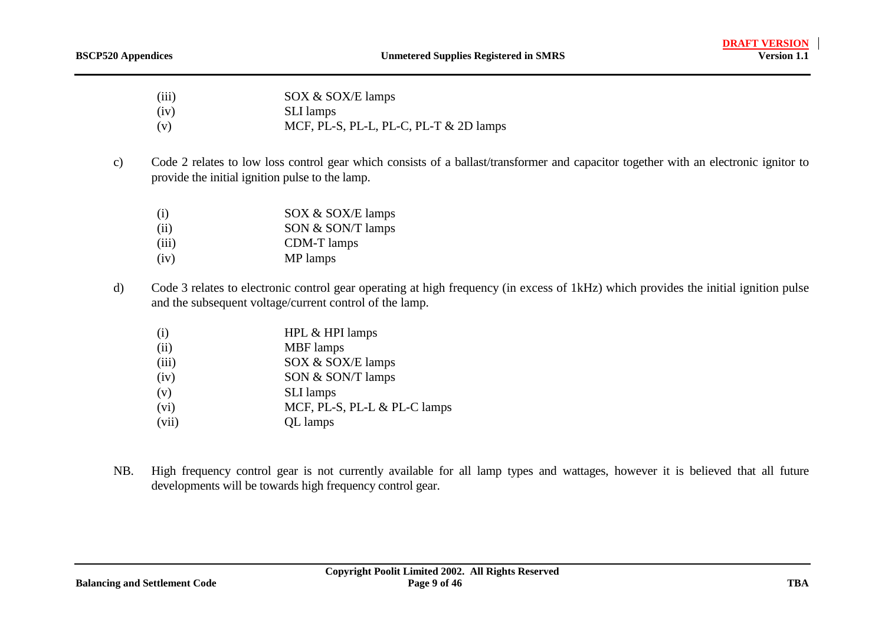| (iii) | SOX & SOX/E lamps |
|-------|-------------------|
|-------|-------------------|

(iv) SLI lamps

- (v)  $MCF$ , PL-S, PL-L, PL-C, PL-T & 2D lamps
- c) Code 2 relates to low loss control gear which consists of a ballast/transformer and capacitor together with an electronic ignitor to provide the initial ignition pulse to the lamp.
	- (i) SOX & SOX/E lamps
	- (ii) SON & SON/T lamps
	- (iii) CDM-T lamps
	- (iv) MP lamps
- d) Code 3 relates to electronic control gear operating at high frequency (in excess of 1kHz) which provides the initial ignition pulse and the subsequent voltage/current control of the lamp.
	- (i) HPL & HPI lamps
	- (ii) MBF lamps
	- (iii) SOX & SOX/E lamps
	- (iv) SON & SON/T lamps
	- (v) SLI lamps
	- (vi) MCF, PL-S, PL-L & PL-C lamps
	- (vii) QL lamps
- NB. High frequency control gear is not currently available for all lamp types and wattages, however it is believed that all future developments will be towards high frequency control gear.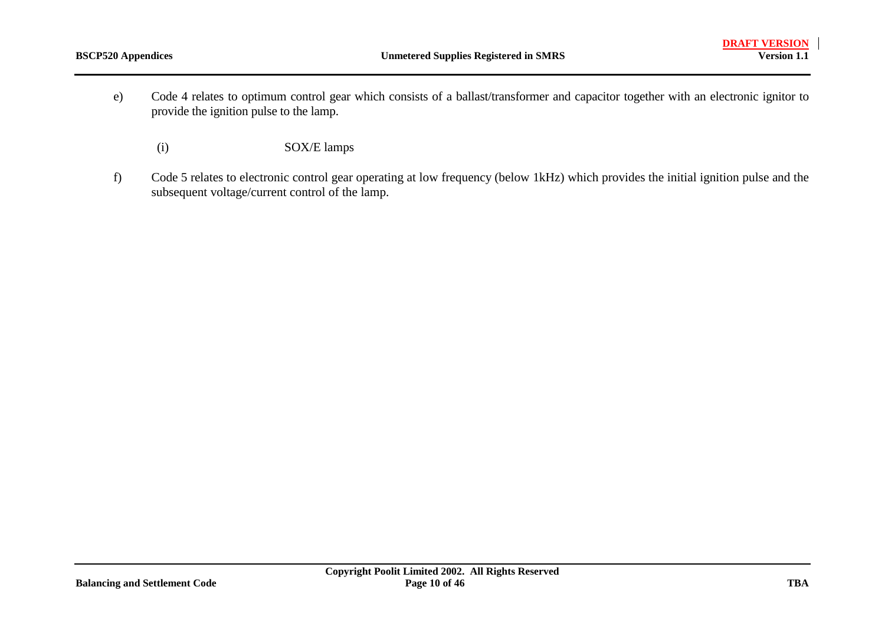- e) Code 4 relates to optimum control gear which consists of a ballast/transformer and capacitor together with an electronic ignitor to provide the ignition pulse to the lamp.
	- (i) SOX/E lamps
- f) Code 5 relates to electronic control gear operating at low frequency (below 1kHz) which provides the initial ignition pulse and the subsequent voltage/current control of the lamp.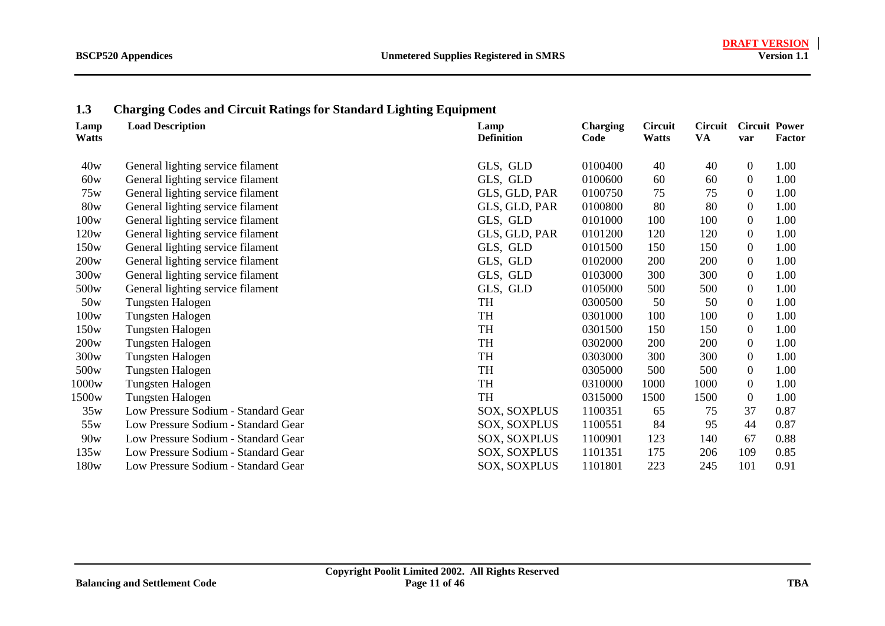#### <span id="page-10-0"></span>**1.3Charging Codes and Circuit Ratings for Standard Lighting Equipment**

| Lamp<br><b>Watts</b> | <b>Load Description</b>             | Lamp<br><b>Definition</b> | <b>Charging</b><br>Code | <b>Circuit</b><br><b>Watts</b> | <b>Circuit</b><br>VA | <b>Circuit Power</b><br>var | <b>Factor</b> |
|----------------------|-------------------------------------|---------------------------|-------------------------|--------------------------------|----------------------|-----------------------------|---------------|
| 40w                  | General lighting service filament   | GLS, GLD                  | 0100400                 | 40                             | 40                   | $\overline{0}$              | 1.00          |
| 60w                  | General lighting service filament   | GLS, GLD                  | 0100600                 | 60                             | 60                   | $\overline{0}$              | 1.00          |
| 75w                  | General lighting service filament   | GLS, GLD, PAR             | 0100750                 | 75                             | 75                   | $\overline{0}$              | 1.00          |
| 80w                  | General lighting service filament   | GLS, GLD, PAR             | 0100800                 | 80                             | 80                   | $\overline{0}$              | 1.00          |
| 100w                 | General lighting service filament   | GLS, GLD                  | 0101000                 | 100                            | 100                  | $\theta$                    | 1.00          |
| 120w                 | General lighting service filament   | GLS, GLD, PAR             | 0101200                 | 120                            | 120                  | $\overline{0}$              | 1.00          |
| 150w                 | General lighting service filament   | GLS, GLD                  | 0101500                 | 150                            | 150                  | $\theta$                    | 1.00          |
| 200w                 | General lighting service filament   | GLS, GLD                  | 0102000                 | 200                            | 200                  | $\overline{0}$              | 1.00          |
| 300w                 | General lighting service filament   | GLS, GLD                  | 0103000                 | 300                            | 300                  | $\theta$                    | 1.00          |
| 500 <sub>w</sub>     | General lighting service filament   | GLS, GLD                  | 0105000                 | 500                            | 500                  | $\overline{0}$              | 1.00          |
| 50w                  | Tungsten Halogen                    | TH                        | 0300500                 | 50                             | 50                   | $\mathbf{0}$                | 1.00          |
| 100w                 | Tungsten Halogen                    | TH                        | 0301000                 | 100                            | 100                  | $\theta$                    | 1.00          |
| 150 <sub>w</sub>     | Tungsten Halogen                    | TH                        | 0301500                 | 150                            | 150                  | $\overline{0}$              | 1.00          |
| 200w                 | Tungsten Halogen                    | TH                        | 0302000                 | 200                            | 200                  | $\Omega$                    | 1.00          |
| 300w                 | Tungsten Halogen                    | TH                        | 0303000                 | 300                            | 300                  | $\theta$                    | 1.00          |
| 500 <sub>w</sub>     | Tungsten Halogen                    | TH                        | 0305000                 | 500                            | 500                  | $\theta$                    | 1.00          |
| 1000w                | Tungsten Halogen                    | TH                        | 0310000                 | 1000                           | 1000                 | $\theta$                    | 1.00          |
| 1500w                | Tungsten Halogen                    | TH                        | 0315000                 | 1500                           | 1500                 | $\overline{0}$              | 1.00          |
| 35w                  | Low Pressure Sodium - Standard Gear | <b>SOX, SOXPLUS</b>       | 1100351                 | 65                             | 75                   | 37                          | 0.87          |
| 55w                  | Low Pressure Sodium - Standard Gear | SOX, SOXPLUS              | 1100551                 | 84                             | 95                   | 44                          | 0.87          |
| 90w                  | Low Pressure Sodium - Standard Gear | SOX, SOXPLUS              | 1100901                 | 123                            | 140                  | 67                          | 0.88          |
| 135w                 | Low Pressure Sodium - Standard Gear | SOX, SOXPLUS              | 1101351                 | 175                            | 206                  | 109                         | 0.85          |
| 180 <sub>w</sub>     | Low Pressure Sodium - Standard Gear | SOX, SOXPLUS              | 1101801                 | 223                            | 245                  | 101                         | 0.91          |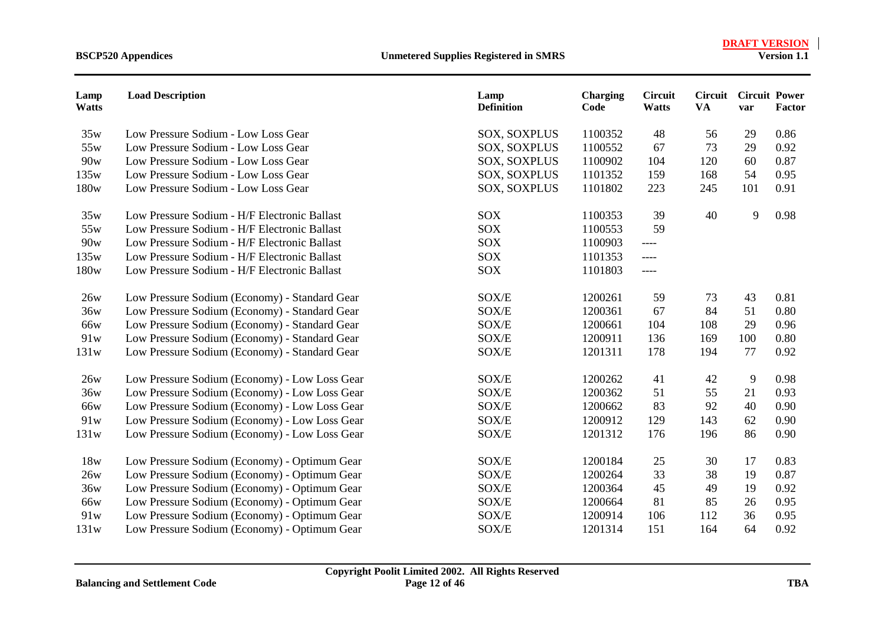| Lamp<br><b>Watts</b> | <b>Load Description</b>                       | Lamp<br><b>Definition</b> | <b>Charging</b><br>Code | <b>Circuit</b><br>Watts | <b>VA</b> | <b>Circuit Circuit Power</b><br>var | Factor |
|----------------------|-----------------------------------------------|---------------------------|-------------------------|-------------------------|-----------|-------------------------------------|--------|
| 35w                  | Low Pressure Sodium - Low Loss Gear           | SOX, SOXPLUS              | 1100352                 | 48                      | 56        | 29                                  | 0.86   |
| 55w                  | Low Pressure Sodium - Low Loss Gear           | <b>SOX, SOXPLUS</b>       | 1100552                 | 67                      | 73        | 29                                  | 0.92   |
| 90w                  | Low Pressure Sodium - Low Loss Gear           | <b>SOX, SOXPLUS</b>       | 1100902                 | 104                     | 120       | 60                                  | 0.87   |
| 135w                 | Low Pressure Sodium - Low Loss Gear           | <b>SOX, SOXPLUS</b>       | 1101352                 | 159                     | 168       | 54                                  | 0.95   |
| 180w                 | Low Pressure Sodium - Low Loss Gear           | <b>SOX, SOXPLUS</b>       | 1101802                 | 223                     | 245       | 101                                 | 0.91   |
| 35w                  | Low Pressure Sodium - H/F Electronic Ballast  | <b>SOX</b>                | 1100353                 | 39                      | 40        | 9                                   | 0.98   |
| 55w                  | Low Pressure Sodium - H/F Electronic Ballast  | <b>SOX</b>                | 1100553                 | 59                      |           |                                     |        |
| 90w                  | Low Pressure Sodium - H/F Electronic Ballast  | <b>SOX</b>                | 1100903                 | $---$                   |           |                                     |        |
| 135w                 | Low Pressure Sodium - H/F Electronic Ballast  | <b>SOX</b>                | 1101353                 | $\qquad \qquad - - -$   |           |                                     |        |
| 180w                 | Low Pressure Sodium - H/F Electronic Ballast  | SOX                       | 1101803                 | $---$                   |           |                                     |        |
| 26w                  | Low Pressure Sodium (Economy) - Standard Gear | SOX/E                     | 1200261                 | 59                      | 73        | 43                                  | 0.81   |
| 36w                  | Low Pressure Sodium (Economy) - Standard Gear | SOX/E                     | 1200361                 | 67                      | 84        | 51                                  | 0.80   |
| 66w                  | Low Pressure Sodium (Economy) - Standard Gear | SOX/E                     | 1200661                 | 104                     | 108       | 29                                  | 0.96   |
| 91w                  | Low Pressure Sodium (Economy) - Standard Gear | SOX/E                     | 1200911                 | 136                     | 169       | 100                                 | 0.80   |
| 131w                 | Low Pressure Sodium (Economy) - Standard Gear | SOX/E                     | 1201311                 | 178                     | 194       | 77                                  | 0.92   |
| 26w                  | Low Pressure Sodium (Economy) - Low Loss Gear | SOX/E                     | 1200262                 | 41                      | 42        | 9                                   | 0.98   |
| 36w                  | Low Pressure Sodium (Economy) - Low Loss Gear | SOX/E                     | 1200362                 | 51                      | 55        | 21                                  | 0.93   |
| 66w                  | Low Pressure Sodium (Economy) - Low Loss Gear | SOX/E                     | 1200662                 | 83                      | 92        | 40                                  | 0.90   |
| 91w                  | Low Pressure Sodium (Economy) - Low Loss Gear | SOX/E                     | 1200912                 | 129                     | 143       | 62                                  | 0.90   |
| 131w                 | Low Pressure Sodium (Economy) - Low Loss Gear | SOX/E                     | 1201312                 | 176                     | 196       | 86                                  | 0.90   |
| 18w                  | Low Pressure Sodium (Economy) - Optimum Gear  | SOX/E                     | 1200184                 | 25                      | 30        | 17                                  | 0.83   |
| 26w                  | Low Pressure Sodium (Economy) - Optimum Gear  | SOX/E                     | 1200264                 | 33                      | 38        | 19                                  | 0.87   |
| 36w                  | Low Pressure Sodium (Economy) - Optimum Gear  | SOX/E                     | 1200364                 | 45                      | 49        | 19                                  | 0.92   |
| 66w                  | Low Pressure Sodium (Economy) - Optimum Gear  | SOX/E                     | 1200664                 | 81                      | 85        | 26                                  | 0.95   |
| 91w                  | Low Pressure Sodium (Economy) - Optimum Gear  | SOX/E                     | 1200914                 | 106                     | 112       | 36                                  | 0.95   |
| 131w                 | Low Pressure Sodium (Economy) - Optimum Gear  | SOX/E                     | 1201314                 | 151                     | 164       | 64                                  | 0.92   |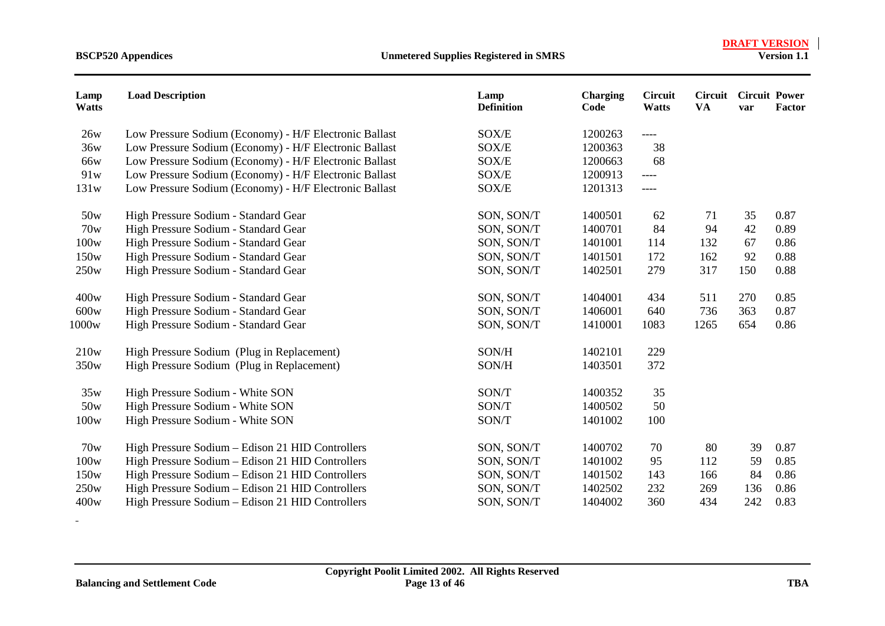| Lamp<br><b>Watts</b> | <b>Load Description</b>                                | Lamp<br><b>Definition</b> | <b>Charging</b><br>Code | <b>Circuit</b><br><b>Watts</b> | Circuit<br><b>VA</b> | <b>Circuit Power</b><br>var | <b>Factor</b> |
|----------------------|--------------------------------------------------------|---------------------------|-------------------------|--------------------------------|----------------------|-----------------------------|---------------|
| 26w                  | Low Pressure Sodium (Economy) - H/F Electronic Ballast | SOX/E                     | 1200263                 | ----                           |                      |                             |               |
| 36w                  | Low Pressure Sodium (Economy) - H/F Electronic Ballast | SOX/E                     | 1200363                 | 38                             |                      |                             |               |
| 66w                  | Low Pressure Sodium (Economy) - H/F Electronic Ballast | SOX/E                     | 1200663                 | 68                             |                      |                             |               |
| 91w                  | Low Pressure Sodium (Economy) - H/F Electronic Ballast | SOX/E                     | 1200913                 | ----                           |                      |                             |               |
| 131w                 | Low Pressure Sodium (Economy) - H/F Electronic Ballast | SOX/E                     | 1201313                 | ----                           |                      |                             |               |
| 50w                  | High Pressure Sodium - Standard Gear                   | SON, SON/T                | 1400501                 | 62                             | 71                   | 35                          | 0.87          |
| 70w                  | High Pressure Sodium - Standard Gear                   | SON, SON/T                | 1400701                 | 84                             | 94                   | 42                          | 0.89          |
| 100w                 | High Pressure Sodium - Standard Gear                   | SON, SON/T                | 1401001                 | 114                            | 132                  | 67                          | 0.86          |
| 150w                 | High Pressure Sodium - Standard Gear                   | SON, SON/T                | 1401501                 | 172                            | 162                  | 92                          | 0.88          |
| 250w                 | High Pressure Sodium - Standard Gear                   | SON, SON/T                | 1402501                 | 279                            | 317                  | 150                         | 0.88          |
| 400w                 | High Pressure Sodium - Standard Gear                   | SON, SON/T                | 1404001                 | 434                            | 511                  | 270                         | 0.85          |
| 600w                 | High Pressure Sodium - Standard Gear                   | SON, SON/T                | 1406001                 | 640                            | 736                  | 363                         | 0.87          |
| 1000w                | High Pressure Sodium - Standard Gear                   | SON, SON/T                | 1410001                 | 1083                           | 1265                 | 654                         | 0.86          |
| 210w                 | High Pressure Sodium (Plug in Replacement)             | SON/H                     | 1402101                 | 229                            |                      |                             |               |
| 350w                 | High Pressure Sodium (Plug in Replacement)             | SON/H                     | 1403501                 | 372                            |                      |                             |               |
| 35w                  | High Pressure Sodium - White SON                       | SON/T                     | 1400352                 | 35                             |                      |                             |               |
| 50w                  | High Pressure Sodium - White SON                       | SON/T                     | 1400502                 | 50                             |                      |                             |               |
| 100w                 | High Pressure Sodium - White SON                       | SON/T                     | 1401002                 | 100                            |                      |                             |               |
| 70w                  | High Pressure Sodium - Edison 21 HID Controllers       | SON, SON/T                | 1400702                 | 70                             | 80                   | 39                          | 0.87          |
| 100w                 | High Pressure Sodium - Edison 21 HID Controllers       | SON, SON/T                | 1401002                 | 95                             | 112                  | 59                          | 0.85          |
| 150w                 | High Pressure Sodium - Edison 21 HID Controllers       | SON, SON/T                | 1401502                 | 143                            | 166                  | 84                          | 0.86          |
| 250w                 | High Pressure Sodium - Edison 21 HID Controllers       | SON, SON/T                | 1402502                 | 232                            | 269                  | 136                         | 0.86          |
| 400w                 | High Pressure Sodium - Edison 21 HID Controllers       | SON, SON/T                | 1404002                 | 360                            | 434                  | 242                         | 0.83          |

 $\sim$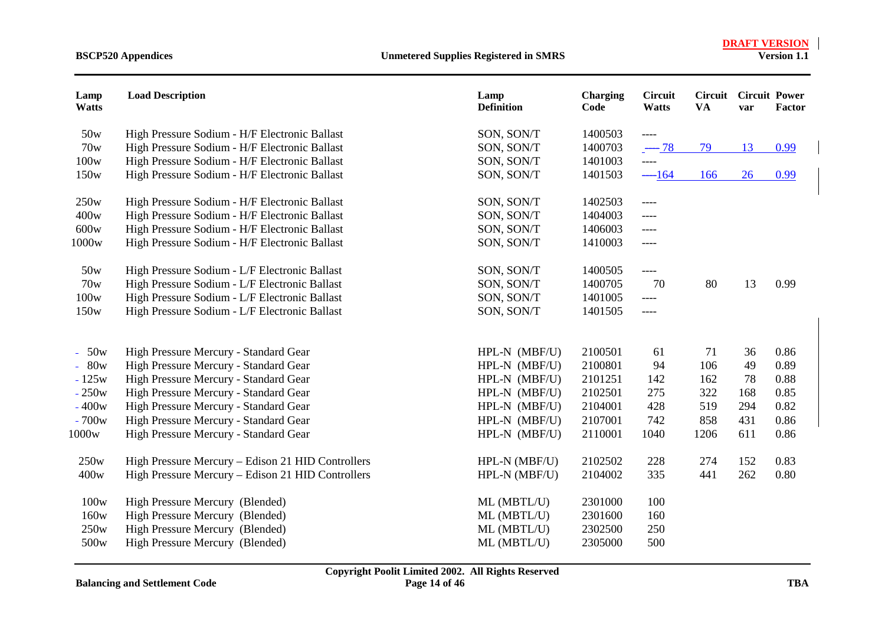| Lamp<br><b>Watts</b> | <b>Load Description</b>                           | Lamp<br><b>Definition</b> | <b>Charging</b><br>Code | <b>Circuit</b><br>Watts | Circuit<br><b>VA</b> | <b>Circuit Power</b><br>var | Factor |
|----------------------|---------------------------------------------------|---------------------------|-------------------------|-------------------------|----------------------|-----------------------------|--------|
| 50w                  | High Pressure Sodium - H/F Electronic Ballast     | SON, SON/T                | 1400503                 | $-----$                 |                      |                             |        |
| 70w                  | High Pressure Sodium - H/F Electronic Ballast     | SON, SON/T                | 1400703                 | $-78$                   | 79                   | 13                          | 0.99   |
| 100w                 | High Pressure Sodium - H/F Electronic Ballast     | SON, SON/T                | 1401003                 | $---$                   |                      |                             |        |
| 150w                 | High Pressure Sodium - H/F Electronic Ballast     | SON, SON/T                | 1401503                 | $-164$                  | 166                  | 26                          | 0.99   |
| 250w                 | High Pressure Sodium - H/F Electronic Ballast     | SON, SON/T                | 1402503                 | $---$                   |                      |                             |        |
| 400w                 | High Pressure Sodium - H/F Electronic Ballast     | SON, SON/T                | 1404003                 | $---$                   |                      |                             |        |
| 600w                 | High Pressure Sodium - H/F Electronic Ballast     | SON, SON/T                | 1406003                 | $--- -$                 |                      |                             |        |
| 1000w                | High Pressure Sodium - H/F Electronic Ballast     | SON, SON/T                | 1410003                 | $---$                   |                      |                             |        |
| 50w                  | High Pressure Sodium - L/F Electronic Ballast     | SON, SON/T                | 1400505                 | $---$                   |                      |                             |        |
| 70w                  | High Pressure Sodium - L/F Electronic Ballast     | SON, SON/T                | 1400705                 | 70                      | 80                   | 13                          | 0.99   |
| 100w                 | High Pressure Sodium - L/F Electronic Ballast     | SON, SON/T                | 1401005                 | $---$                   |                      |                             |        |
| 150w                 | High Pressure Sodium - L/F Electronic Ballast     | SON, SON/T                | 1401505                 | $--- -$                 |                      |                             |        |
|                      |                                                   |                           | 2100501                 |                         |                      | 36                          | 0.86   |
| $-50w$               | High Pressure Mercury - Standard Gear             | HPL-N (MBF/U)             |                         | 61                      | 71                   |                             |        |
| $-80w$               | High Pressure Mercury - Standard Gear             | HPL-N (MBF/U)             | 2100801                 | 94                      | 106                  | 49                          | 0.89   |
| $-125w$              | High Pressure Mercury - Standard Gear             | HPL-N (MBF/U)             | 2101251                 | 142                     | 162                  | 78                          | 0.88   |
| $-250w$              | High Pressure Mercury - Standard Gear             | HPL-N (MBF/U)             | 2102501                 | 275                     | 322                  | 168                         | 0.85   |
| $-400w$              | High Pressure Mercury - Standard Gear             | HPL-N (MBF/U)             | 2104001                 | 428                     | 519                  | 294                         | 0.82   |
| $-700w$              | High Pressure Mercury - Standard Gear             | HPL-N (MBF/U)             | 2107001                 | 742                     | 858                  | 431                         | 0.86   |
| 1000w                | High Pressure Mercury - Standard Gear             | HPL-N (MBF/U)             | 2110001                 | 1040                    | 1206                 | 611                         | 0.86   |
| 250w                 | High Pressure Mercury - Edison 21 HID Controllers | HPL-N (MBF/U)             | 2102502                 | 228                     | 274                  | 152                         | 0.83   |
| 400w                 | High Pressure Mercury - Edison 21 HID Controllers | HPL-N (MBF/U)             | 2104002                 | 335                     | 441                  | 262                         | 0.80   |
| 100w                 | High Pressure Mercury (Blended)                   | ML (MBTL/U)               | 2301000                 | 100                     |                      |                             |        |
| 160w                 | High Pressure Mercury (Blended)                   | ML (MBTL/U)               | 2301600                 | 160                     |                      |                             |        |
| 250w                 | High Pressure Mercury (Blended)                   | ML (MBTL/U)               | 2302500                 | 250                     |                      |                             |        |
| 500w                 | High Pressure Mercury (Blended)                   | ML (MBTL/U)               | 2305000                 | 500                     |                      |                             |        |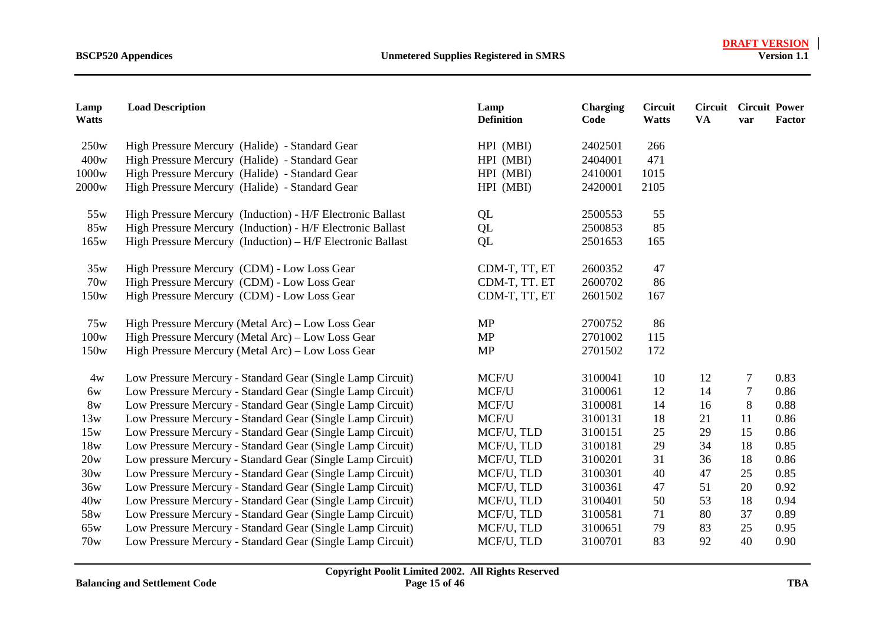| Lamp<br><b>Watts</b> | <b>Load Description</b>                                    | Lamp<br><b>Definition</b> | <b>Charging</b><br>Code | <b>Circuit</b><br>Watts | <b>Circuit Circuit Power</b><br><b>VA</b> | var            | Factor |
|----------------------|------------------------------------------------------------|---------------------------|-------------------------|-------------------------|-------------------------------------------|----------------|--------|
| 250w                 | High Pressure Mercury (Halide) - Standard Gear             | HPI (MBI)                 | 2402501                 | 266                     |                                           |                |        |
| 400w                 | High Pressure Mercury (Halide) - Standard Gear             | HPI (MBI)                 | 2404001                 | 471                     |                                           |                |        |
| 1000w                | High Pressure Mercury (Halide) - Standard Gear             | HPI (MBI)                 | 2410001                 | 1015                    |                                           |                |        |
| 2000 <sub>w</sub>    | High Pressure Mercury (Halide) - Standard Gear             | HPI (MBI)                 | 2420001                 | 2105                    |                                           |                |        |
| 55w                  | High Pressure Mercury (Induction) - H/F Electronic Ballast | QL                        | 2500553                 | 55                      |                                           |                |        |
| 85w                  | High Pressure Mercury (Induction) - H/F Electronic Ballast | QL                        | 2500853                 | 85                      |                                           |                |        |
| 165w                 | High Pressure Mercury (Induction) – H/F Electronic Ballast | QL                        | 2501653                 | 165                     |                                           |                |        |
| 35w                  | High Pressure Mercury (CDM) - Low Loss Gear                | CDM-T, TT, ET             | 2600352                 | 47                      |                                           |                |        |
| 70w                  | High Pressure Mercury (CDM) - Low Loss Gear                | CDM-T, TT. ET             | 2600702                 | 86                      |                                           |                |        |
| 150w                 | High Pressure Mercury (CDM) - Low Loss Gear                | CDM-T, TT, ET             | 2601502                 | 167                     |                                           |                |        |
| 75w                  | High Pressure Mercury (Metal Arc) – Low Loss Gear          | <b>MP</b>                 | 2700752                 | 86                      |                                           |                |        |
| 100w                 | High Pressure Mercury (Metal Arc) - Low Loss Gear          | <b>MP</b>                 | 2701002                 | 115                     |                                           |                |        |
| 150w                 | High Pressure Mercury (Metal Arc) – Low Loss Gear          | <b>MP</b>                 | 2701502                 | 172                     |                                           |                |        |
| 4w                   | Low Pressure Mercury - Standard Gear (Single Lamp Circuit) | MCF/U                     | 3100041                 | 10                      | 12                                        | $\overline{7}$ | 0.83   |
| 6w                   | Low Pressure Mercury - Standard Gear (Single Lamp Circuit) | MCF/U                     | 3100061                 | 12                      | 14                                        | $\tau$         | 0.86   |
| 8w                   | Low Pressure Mercury - Standard Gear (Single Lamp Circuit) | MCF/U                     | 3100081                 | 14                      | 16                                        | 8              | 0.88   |
| 13w                  | Low Pressure Mercury - Standard Gear (Single Lamp Circuit) | MCF/U                     | 3100131                 | 18                      | 21                                        | 11             | 0.86   |
| 15w                  | Low Pressure Mercury - Standard Gear (Single Lamp Circuit) | MCF/U, TLD                | 3100151                 | 25                      | 29                                        | 15             | 0.86   |
| 18w                  | Low Pressure Mercury - Standard Gear (Single Lamp Circuit) | MCF/U, TLD                | 3100181                 | 29                      | 34                                        | 18             | 0.85   |
| 20w                  | Low pressure Mercury - Standard Gear (Single Lamp Circuit) | MCF/U, TLD                | 3100201                 | 31                      | 36                                        | 18             | 0.86   |
| 30w                  | Low Pressure Mercury - Standard Gear (Single Lamp Circuit) | MCF/U, TLD                | 3100301                 | 40                      | 47                                        | 25             | 0.85   |
| 36w                  | Low Pressure Mercury - Standard Gear (Single Lamp Circuit) | MCF/U, TLD                | 3100361                 | 47                      | 51                                        | 20             | 0.92   |
| 40w                  | Low Pressure Mercury - Standard Gear (Single Lamp Circuit) | MCF/U, TLD                | 3100401                 | 50                      | 53                                        | 18             | 0.94   |
| 58w                  | Low Pressure Mercury - Standard Gear (Single Lamp Circuit) | MCF/U, TLD                | 3100581                 | 71                      | 80                                        | 37             | 0.89   |
| 65w                  | Low Pressure Mercury - Standard Gear (Single Lamp Circuit) | MCF/U, TLD                | 3100651                 | 79                      | 83                                        | 25             | 0.95   |
| 70w                  | Low Pressure Mercury - Standard Gear (Single Lamp Circuit) | MCF/U, TLD                | 3100701                 | 83                      | 92                                        | 40             | 0.90   |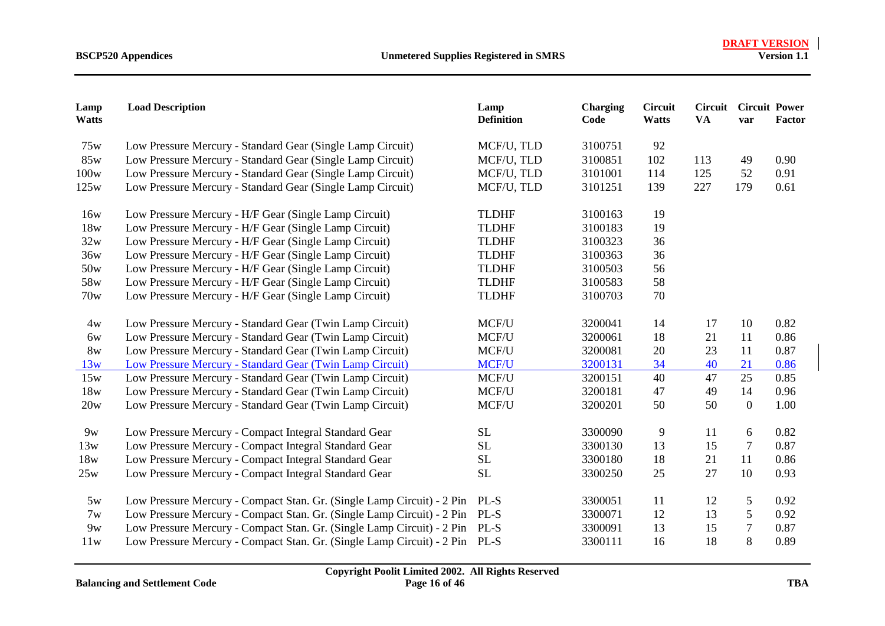| Lamp<br>Watts | <b>Load Description</b>                                                     | Lamp<br><b>Definition</b> | <b>Charging</b><br>Code | <b>Circuit</b><br>Watts | Circuit<br><b>VA</b> | <b>Circuit Power</b><br>var | Factor |
|---------------|-----------------------------------------------------------------------------|---------------------------|-------------------------|-------------------------|----------------------|-----------------------------|--------|
| 75w           | Low Pressure Mercury - Standard Gear (Single Lamp Circuit)                  | MCF/U, TLD                | 3100751                 | 92                      |                      |                             |        |
| 85w           | Low Pressure Mercury - Standard Gear (Single Lamp Circuit)                  | MCF/U, TLD                | 3100851                 | 102                     | 113                  | 49                          | 0.90   |
| 100w          | Low Pressure Mercury - Standard Gear (Single Lamp Circuit)                  | MCF/U, TLD                | 3101001                 | 114                     | 125                  | 52                          | 0.91   |
| 125w          | Low Pressure Mercury - Standard Gear (Single Lamp Circuit)                  | MCF/U, TLD                | 3101251                 | 139                     | 227                  | 179                         | 0.61   |
| 16w           | Low Pressure Mercury - H/F Gear (Single Lamp Circuit)                       | <b>TLDHF</b>              | 3100163                 | 19                      |                      |                             |        |
| 18w           | Low Pressure Mercury - H/F Gear (Single Lamp Circuit)                       | <b>TLDHF</b>              | 3100183                 | 19                      |                      |                             |        |
| 32w           | Low Pressure Mercury - H/F Gear (Single Lamp Circuit)                       | <b>TLDHF</b>              | 3100323                 | 36                      |                      |                             |        |
| 36w           | Low Pressure Mercury - H/F Gear (Single Lamp Circuit)                       | <b>TLDHF</b>              | 3100363                 | 36                      |                      |                             |        |
| 50w           | Low Pressure Mercury - H/F Gear (Single Lamp Circuit)                       | <b>TLDHF</b>              | 3100503                 | 56                      |                      |                             |        |
| 58w           | Low Pressure Mercury - H/F Gear (Single Lamp Circuit)                       | <b>TLDHF</b>              | 3100583                 | 58                      |                      |                             |        |
| 70w           | Low Pressure Mercury - H/F Gear (Single Lamp Circuit)                       | <b>TLDHF</b>              | 3100703                 | 70                      |                      |                             |        |
| 4w            | Low Pressure Mercury - Standard Gear (Twin Lamp Circuit)                    | MCF/U                     | 3200041                 | 14                      | 17                   | 10                          | 0.82   |
| 6w            | Low Pressure Mercury - Standard Gear (Twin Lamp Circuit)                    | MCF/U                     | 3200061                 | 18                      | 21                   | 11                          | 0.86   |
| 8w            | Low Pressure Mercury - Standard Gear (Twin Lamp Circuit)                    | MCF/U                     | 3200081                 | 20                      | 23                   | 11                          | 0.87   |
| 13w           | Low Pressure Mercury - Standard Gear (Twin Lamp Circuit)                    | MCF/U                     | 3200131                 | 34                      | 40                   | 21                          | 0.86   |
| 15w           | Low Pressure Mercury - Standard Gear (Twin Lamp Circuit)                    | MCF/U                     | 3200151                 | 40                      | 47                   | 25                          | 0.85   |
| 18w           | Low Pressure Mercury - Standard Gear (Twin Lamp Circuit)                    | MCF/U                     | 3200181                 | 47                      | 49                   | 14                          | 0.96   |
| 20w           | Low Pressure Mercury - Standard Gear (Twin Lamp Circuit)                    | MCF/U                     | 3200201                 | 50                      | 50                   | $\overline{0}$              | 1.00   |
| 9w            | Low Pressure Mercury - Compact Integral Standard Gear                       | <b>SL</b>                 | 3300090                 | 9                       | 11                   | 6                           | 0.82   |
| 13w           | Low Pressure Mercury - Compact Integral Standard Gear                       | <b>SL</b>                 | 3300130                 | 13                      | 15                   | $\overline{7}$              | 0.87   |
| 18w           | Low Pressure Mercury - Compact Integral Standard Gear                       | <b>SL</b>                 | 3300180                 | 18                      | 21                   | 11                          | 0.86   |
| 25w           | Low Pressure Mercury - Compact Integral Standard Gear                       | SL                        | 3300250                 | 25                      | 27                   | 10                          | 0.93   |
| 5w            | Low Pressure Mercury - Compact Stan. Gr. (Single Lamp Circuit) - 2 Pin      | PL-S                      | 3300051                 | 11                      | 12                   | 5                           | 0.92   |
| 7w            | Low Pressure Mercury - Compact Stan. Gr. (Single Lamp Circuit) - 2 Pin      | PL-S                      | 3300071                 | 12                      | 13                   | 5                           | 0.92   |
| 9w            | Low Pressure Mercury - Compact Stan. Gr. (Single Lamp Circuit) - 2 Pin PL-S |                           | 3300091                 | 13                      | 15                   | 7                           | 0.87   |
| 11w           | Low Pressure Mercury - Compact Stan. Gr. (Single Lamp Circuit) - 2 Pin      | PL-S                      | 3300111                 | 16                      | 18                   | 8                           | 0.89   |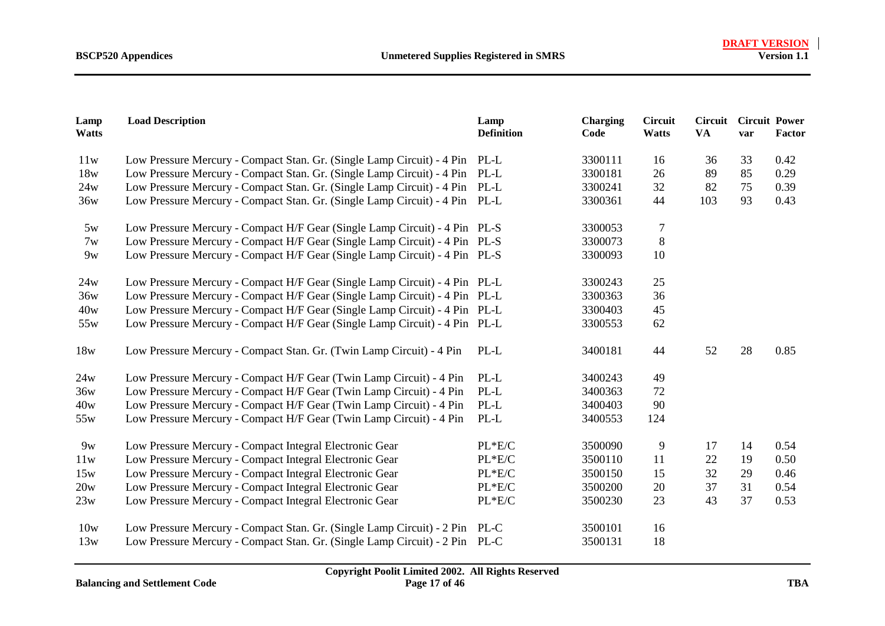| Lamp<br>Watts | <b>Load Description</b>                                                     | Lamp<br><b>Definition</b> | <b>Charging</b><br>Code | <b>Circuit</b><br>Watts | Circuit<br><b>VA</b> | <b>Circuit Power</b><br>var | <b>Factor</b> |
|---------------|-----------------------------------------------------------------------------|---------------------------|-------------------------|-------------------------|----------------------|-----------------------------|---------------|
| 11w           | Low Pressure Mercury - Compact Stan. Gr. (Single Lamp Circuit) - 4 Pin PL-L |                           | 3300111                 | 16                      | 36                   | 33                          | 0.42          |
| 18w           | Low Pressure Mercury - Compact Stan. Gr. (Single Lamp Circuit) - 4 Pin PL-L |                           | 3300181                 | 26                      | 89                   | 85                          | 0.29          |
| 24w           | Low Pressure Mercury - Compact Stan. Gr. (Single Lamp Circuit) - 4 Pin PL-L |                           | 3300241                 | 32                      | 82                   | 75                          | 0.39          |
| 36w           | Low Pressure Mercury - Compact Stan. Gr. (Single Lamp Circuit) - 4 Pin PL-L |                           | 3300361                 | 44                      | 103                  | 93                          | 0.43          |
| 5w            | Low Pressure Mercury - Compact H/F Gear (Single Lamp Circuit) - 4 Pin PL-S  |                           | 3300053                 | $\tau$                  |                      |                             |               |
| 7w            | Low Pressure Mercury - Compact H/F Gear (Single Lamp Circuit) - 4 Pin PL-S  |                           | 3300073                 | 8                       |                      |                             |               |
| 9w            | Low Pressure Mercury - Compact H/F Gear (Single Lamp Circuit) - 4 Pin PL-S  |                           | 3300093                 | 10                      |                      |                             |               |
| 24w           | Low Pressure Mercury - Compact H/F Gear (Single Lamp Circuit) - 4 Pin PL-L  |                           | 3300243                 | 25                      |                      |                             |               |
| 36w           | Low Pressure Mercury - Compact H/F Gear (Single Lamp Circuit) - 4 Pin PL-L  |                           | 3300363                 | 36                      |                      |                             |               |
| 40w           | Low Pressure Mercury - Compact H/F Gear (Single Lamp Circuit) - 4 Pin PL-L  |                           | 3300403                 | 45                      |                      |                             |               |
| 55w           | Low Pressure Mercury - Compact H/F Gear (Single Lamp Circuit) - 4 Pin PL-L  |                           | 3300553                 | 62                      |                      |                             |               |
| 18w           | Low Pressure Mercury - Compact Stan. Gr. (Twin Lamp Circuit) - 4 Pin        | PL-L                      | 3400181                 | 44                      | 52                   | 28                          | 0.85          |
| 24w           | Low Pressure Mercury - Compact H/F Gear (Twin Lamp Circuit) - 4 Pin         | PL-L                      | 3400243                 | 49                      |                      |                             |               |
| 36w           | Low Pressure Mercury - Compact H/F Gear (Twin Lamp Circuit) - 4 Pin         | PL-L                      | 3400363                 | 72                      |                      |                             |               |
| 40w           | Low Pressure Mercury - Compact H/F Gear (Twin Lamp Circuit) - 4 Pin         | $PL-L$                    | 3400403                 | 90                      |                      |                             |               |
| 55w           | Low Pressure Mercury - Compact H/F Gear (Twin Lamp Circuit) - 4 Pin         | PL-L                      | 3400553                 | 124                     |                      |                             |               |
| 9w            | Low Pressure Mercury - Compact Integral Electronic Gear                     | $PL*E/C$                  | 3500090                 | 9                       | 17                   | 14                          | 0.54          |
| 11w           | Low Pressure Mercury - Compact Integral Electronic Gear                     | $PL*E/C$                  | 3500110                 | 11                      | 22                   | 19                          | 0.50          |
| 15w           | Low Pressure Mercury - Compact Integral Electronic Gear                     | PL*E/C                    | 3500150                 | 15                      | 32                   | 29                          | 0.46          |
| 20w           | Low Pressure Mercury - Compact Integral Electronic Gear                     | PL*E/C                    | 3500200                 | 20                      | 37                   | 31                          | 0.54          |
| 23w           | Low Pressure Mercury - Compact Integral Electronic Gear                     | $PL*E/C$                  | 3500230                 | 23                      | 43                   | 37                          | 0.53          |
| 10w           | Low Pressure Mercury - Compact Stan. Gr. (Single Lamp Circuit) - 2 Pin PL-C |                           | 3500101                 | 16                      |                      |                             |               |
| 13w           | Low Pressure Mercury - Compact Stan. Gr. (Single Lamp Circuit) - 2 Pin      | PL-C                      | 3500131                 | 18                      |                      |                             |               |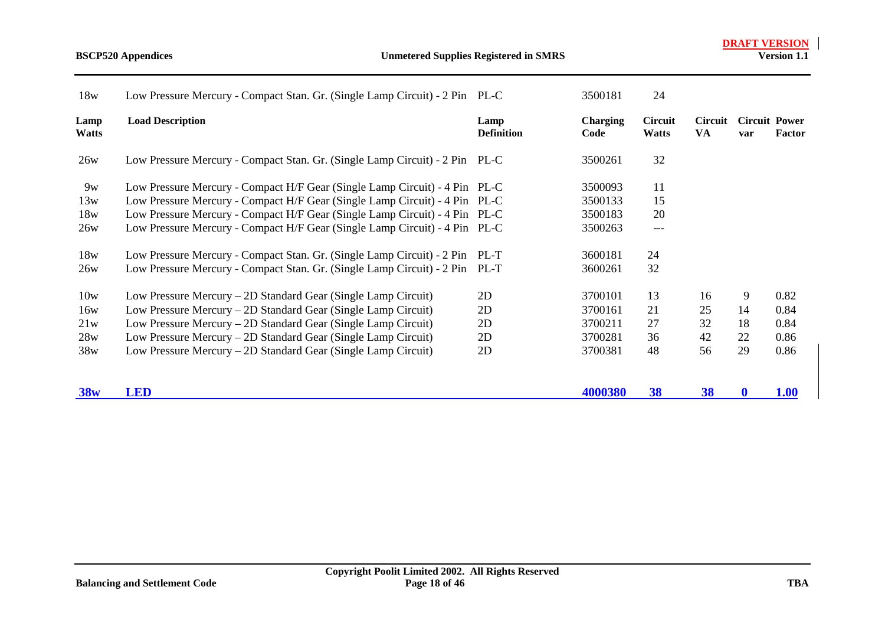| 18w           | Low Pressure Mercury - Compact Stan. Gr. (Single Lamp Circuit) - 2 Pin PL-C |                           | 3500181          | 24                      |               |                             |             |
|---------------|-----------------------------------------------------------------------------|---------------------------|------------------|-------------------------|---------------|-----------------------------|-------------|
| Lamp<br>Watts | <b>Load Description</b>                                                     | Lamp<br><b>Definition</b> | Charging<br>Code | Circuit<br><b>Watts</b> | Circuit<br>VA | <b>Circuit Power</b><br>var | Factor      |
| 26w           | Low Pressure Mercury - Compact Stan. Gr. (Single Lamp Circuit) - 2 Pin PL-C |                           | 3500261          | 32                      |               |                             |             |
| 9w            | Low Pressure Mercury - Compact H/F Gear (Single Lamp Circuit) - 4 Pin PL-C  |                           | 3500093          | 11                      |               |                             |             |
| 13w           | Low Pressure Mercury - Compact H/F Gear (Single Lamp Circuit) - 4 Pin PL-C  |                           | 3500133          | 15                      |               |                             |             |
| 18w           | Low Pressure Mercury - Compact H/F Gear (Single Lamp Circuit) - 4 Pin PL-C  |                           | 3500183          | 20                      |               |                             |             |
| 26w           | Low Pressure Mercury - Compact H/F Gear (Single Lamp Circuit) - 4 Pin PL-C  |                           | 3500263          | $---$                   |               |                             |             |
| 18w           | Low Pressure Mercury - Compact Stan. Gr. (Single Lamp Circuit) - 2 Pin      | PL-T                      | 3600181          | 24                      |               |                             |             |
| 26w           | Low Pressure Mercury - Compact Stan. Gr. (Single Lamp Circuit) - 2 Pin      | PL-T                      | 3600261          | 32                      |               |                             |             |
| 10w           | Low Pressure Mercury – 2D Standard Gear (Single Lamp Circuit)               | 2D                        | 3700101          | 13                      | 16            | 9                           | 0.82        |
| 16w           | Low Pressure Mercury – 2D Standard Gear (Single Lamp Circuit)               | 2D                        | 3700161          | 21                      | 25            | 14                          | 0.84        |
| 21w           | Low Pressure Mercury – 2D Standard Gear (Single Lamp Circuit)               | 2D                        | 3700211          | 27                      | 32            | 18                          | 0.84        |
| 28w           | Low Pressure Mercury – 2D Standard Gear (Single Lamp Circuit)               | 2D                        | 3700281          | 36                      | 42            | 22                          | 0.86        |
| 38w           | Low Pressure Mercury – 2D Standard Gear (Single Lamp Circuit)               | 2D                        | 3700381          | 48                      | 56            | 29                          | 0.86        |
| 38w           | LED                                                                         |                           | 4000380          | 38                      | 38            | $\mathbf 0$                 | <b>1.00</b> |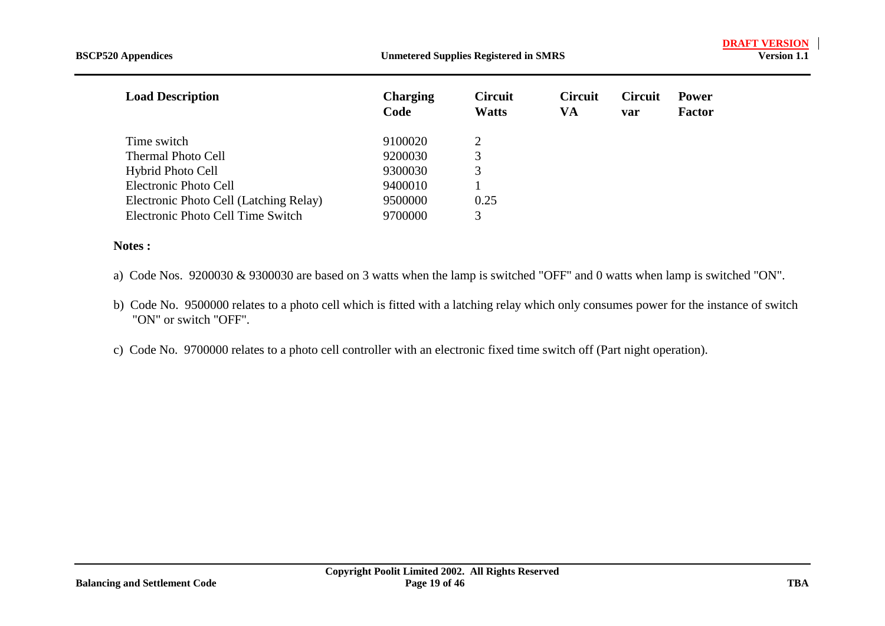| <b>BSCP520</b> Appendices              |                         | <b>Unmetered Supplies Registered in SMRS</b> |                      |                       |                               |  |
|----------------------------------------|-------------------------|----------------------------------------------|----------------------|-----------------------|-------------------------------|--|
| <b>Load Description</b>                | <b>Charging</b><br>Code | <b>Circuit</b><br><b>Watts</b>               | <b>Circuit</b><br>VA | <b>Circuit</b><br>var | <b>Power</b><br><b>Factor</b> |  |
| Time switch                            | 9100020                 | 2                                            |                      |                       |                               |  |
| <b>Thermal Photo Cell</b>              | 9200030                 | 3                                            |                      |                       |                               |  |
| <b>Hybrid Photo Cell</b>               | 9300030                 | 3                                            |                      |                       |                               |  |
| Electronic Photo Cell                  | 9400010                 |                                              |                      |                       |                               |  |
| Electronic Photo Cell (Latching Relay) | 9500000                 | 0.25                                         |                      |                       |                               |  |
| Electronic Photo Cell Time Switch      | 9700000                 | 3                                            |                      |                       |                               |  |

#### **Notes :**

- a) Code Nos. 9200030 & 9300030 are based on 3 watts when the lamp is switched "OFF" and 0 watts when lamp is switched "ON".
- b) Code No. 9500000 relates to a photo cell which is fitted with a latching relay which only consumes power for the instance of switch "ON" or switch "OFF".
- c) Code No. 9700000 relates to a photo cell controller with an electronic fixed time switch off (Part night operation).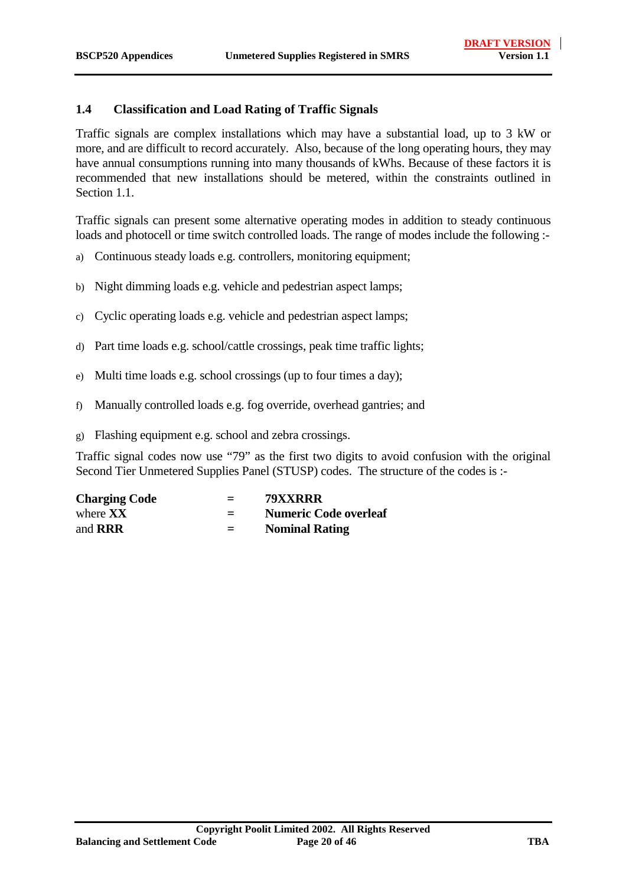#### <span id="page-19-0"></span>**1.4 Classification and Load Rating of Traffic Signals**

Traffic signals are complex installations which may have a substantial load, up to 3 kW or more, and are difficult to record accurately. Also, because of the long operating hours, they may have annual consumptions running into many thousands of kWhs. Because of these factors it is recommended that new installations should be metered, within the constraints outlined in Section 1.1.

Traffic signals can present some alternative operating modes in addition to steady continuous loads and photocell or time switch controlled loads. The range of modes include the following :-

- a) Continuous steady loads e.g. controllers, monitoring equipment;
- b) Night dimming loads e.g. vehicle and pedestrian aspect lamps;
- c) Cyclic operating loads e.g. vehicle and pedestrian aspect lamps;
- d) Part time loads e.g. school/cattle crossings, peak time traffic lights;
- e) Multi time loads e.g. school crossings (up to four times a day);
- f) Manually controlled loads e.g. fog override, overhead gantries; and
- g) Flashing equipment e.g. school and zebra crossings.

Traffic signal codes now use "79" as the first two digits to avoid confusion with the original Second Tier Unmetered Supplies Panel (STUSP) codes. The structure of the codes is :-

| <b>Charging Code</b> | $=$ | 79XXRRR                      |
|----------------------|-----|------------------------------|
| where $\bf XX$       | $=$ | <b>Numeric Code overleaf</b> |
| and <b>RRR</b>       | $=$ | <b>Nominal Rating</b>        |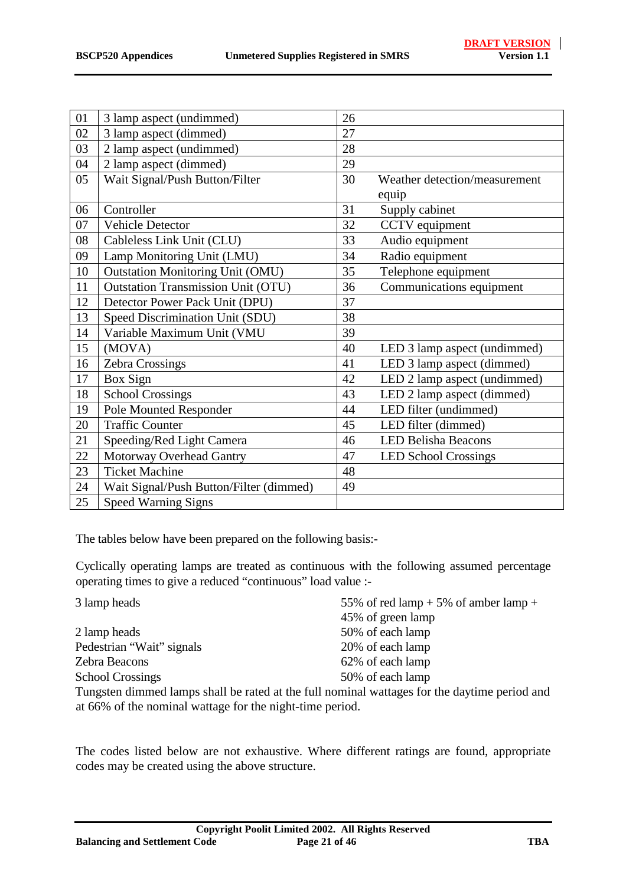| 01 | 3 lamp aspect (undimmed)                  | 26 |                               |
|----|-------------------------------------------|----|-------------------------------|
| 02 | 3 lamp aspect (dimmed)                    | 27 |                               |
| 03 | 2 lamp aspect (undimmed)                  | 28 |                               |
| 04 | 2 lamp aspect (dimmed)                    | 29 |                               |
| 05 | Wait Signal/Push Button/Filter            | 30 | Weather detection/measurement |
|    |                                           |    | equip                         |
| 06 | Controller                                | 31 | Supply cabinet                |
| 07 | Vehicle Detector                          | 32 | CCTV equipment                |
| 08 | Cableless Link Unit (CLU)                 | 33 | Audio equipment               |
| 09 | Lamp Monitoring Unit (LMU)                | 34 | Radio equipment               |
| 10 | <b>Outstation Monitoring Unit (OMU)</b>   | 35 | Telephone equipment           |
| 11 | <b>Outstation Transmission Unit (OTU)</b> | 36 | Communications equipment      |
| 12 | Detector Power Pack Unit (DPU)            | 37 |                               |
| 13 | Speed Discrimination Unit (SDU)           | 38 |                               |
| 14 | Variable Maximum Unit (VMU                | 39 |                               |
| 15 | (MOVA)                                    | 40 | LED 3 lamp aspect (undimmed)  |
| 16 | Zebra Crossings                           | 41 | LED 3 lamp aspect (dimmed)    |
| 17 | Box Sign                                  | 42 | LED 2 lamp aspect (undimmed)  |
| 18 | <b>School Crossings</b>                   | 43 | LED 2 lamp aspect (dimmed)    |
| 19 | Pole Mounted Responder                    | 44 | LED filter (undimmed)         |
| 20 | <b>Traffic Counter</b>                    | 45 | LED filter (dimmed)           |
| 21 | Speeding/Red Light Camera                 | 46 | <b>LED Belisha Beacons</b>    |
| 22 | Motorway Overhead Gantry                  | 47 | <b>LED School Crossings</b>   |
| 23 | <b>Ticket Machine</b>                     | 48 |                               |
| 24 | Wait Signal/Push Button/Filter (dimmed)   | 49 |                               |
| 25 | <b>Speed Warning Signs</b>                |    |                               |

The tables below have been prepared on the following basis:-

Cyclically operating lamps are treated as continuous with the following assumed percentage operating times to give a reduced "continuous" load value :-

| 3 lamp heads                                             | 55% of red lamp $+5%$ of amber lamp $+$                                                      |
|----------------------------------------------------------|----------------------------------------------------------------------------------------------|
|                                                          | 45% of green lamp                                                                            |
| 2 lamp heads                                             | 50% of each lamp                                                                             |
| Pedestrian "Wait" signals                                | 20% of each lamp                                                                             |
| Zebra Beacons                                            | 62% of each lamp                                                                             |
| <b>School Crossings</b>                                  | 50% of each lamp                                                                             |
|                                                          | Tungsten dimmed lamps shall be rated at the full nominal wattages for the daytime period and |
| at 66% of the nominal wattage for the night-time period. |                                                                                              |

The codes listed below are not exhaustive. Where different ratings are found, appropriate codes may be created using the above structure.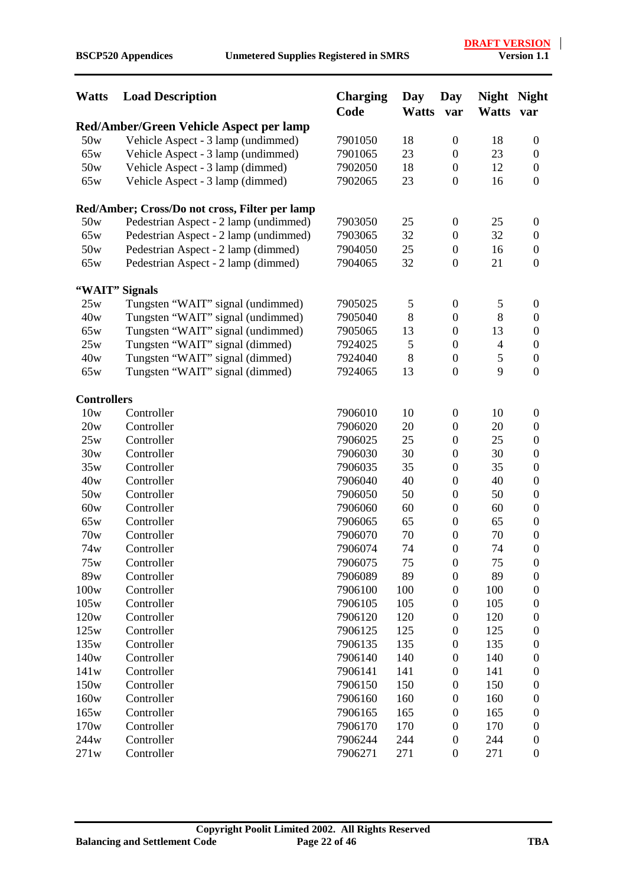| Red/Amber/Green Vehicle Aspect per lamp<br>50w<br>Vehicle Aspect - 3 lamp (undimmed)<br>7901050<br>18<br>$\boldsymbol{0}$<br>18<br>$\boldsymbol{0}$<br>65w<br>Vehicle Aspect - 3 lamp (undimmed)<br>23<br>23<br>7901065<br>$\boldsymbol{0}$<br>$\boldsymbol{0}$<br>50w<br>Vehicle Aspect - 3 lamp (dimmed)<br>18<br>12<br>7902050<br>$\boldsymbol{0}$<br>$\mathbf{0}$<br>Vehicle Aspect - 3 lamp (dimmed)<br>7902065<br>23<br>16<br>$\mathbf{0}$<br>65w<br>$\boldsymbol{0}$<br>Red/Amber; Cross/Do not cross, Filter per lamp<br>50w<br>Pedestrian Aspect - 2 lamp (undimmed)<br>7903050<br>25<br>$\boldsymbol{0}$<br>25<br>$\boldsymbol{0}$<br>65w<br>Pedestrian Aspect - 2 lamp (undimmed)<br>32<br>32<br>7903065<br>$\boldsymbol{0}$<br>$\boldsymbol{0}$<br>50w<br>25<br>Pedestrian Aspect - 2 lamp (dimmed)<br>7904050<br>$\boldsymbol{0}$<br>16<br>$\boldsymbol{0}$<br>32<br>65w<br>Pedestrian Aspect - 2 lamp (dimmed)<br>21<br>$\mathbf{0}$<br>7904065<br>$\boldsymbol{0}$<br>"WAIT" Signals<br>25w<br>Tungsten "WAIT" signal (undimmed)<br>7905025<br>5<br>$\boldsymbol{0}$<br>5<br>$\boldsymbol{0}$<br>8<br>8<br>40w<br>Tungsten "WAIT" signal (undimmed)<br>$\boldsymbol{0}$<br>7905040<br>$\boldsymbol{0}$<br>Tungsten "WAIT" signal (undimmed)<br>13<br>$\boldsymbol{0}$<br>13<br>65w<br>7905065<br>$\boldsymbol{0}$<br>25w<br>Tungsten "WAIT" signal (dimmed)<br>5<br>$\overline{4}$<br>7924025<br>$\boldsymbol{0}$<br>$\boldsymbol{0}$<br>Tungsten "WAIT" signal (dimmed)<br>8<br>$\mathfrak{S}$<br>40w<br>$\boldsymbol{0}$<br>7924040<br>$\boldsymbol{0}$<br>9<br>$\boldsymbol{0}$<br>65w<br>Tungsten "WAIT" signal (dimmed)<br>7924065<br>13<br>$\boldsymbol{0}$<br><b>Controllers</b><br>10w<br>Controller<br>7906010<br>10<br>$\boldsymbol{0}$<br>10<br>$\boldsymbol{0}$<br>20w<br>Controller<br>7906020<br>20<br>20<br>$\boldsymbol{0}$<br>$\boldsymbol{0}$<br>Controller<br>25<br>25<br>$\boldsymbol{0}$<br>25w<br>7906025<br>$\boldsymbol{0}$<br>30w<br>7906030<br>30<br>30<br>Controller<br>$\boldsymbol{0}$<br>$\boldsymbol{0}$<br>35w<br>Controller<br>7906035<br>35<br>35<br>$\boldsymbol{0}$<br>$\boldsymbol{0}$<br>40w<br>Controller<br>7906040<br>40<br>40<br>$\boldsymbol{0}$<br>$\boldsymbol{0}$<br>Controller<br>50<br>50w<br>7906050<br>$\boldsymbol{0}$<br>50<br>$\boldsymbol{0}$<br>60w<br>Controller<br>60<br>7906060<br>$\boldsymbol{0}$<br>60<br>$\boldsymbol{0}$<br>Controller<br>65w<br>7906065<br>65<br>$\boldsymbol{0}$<br>65<br>$\boldsymbol{0}$<br>70w<br>70<br>$\boldsymbol{0}$<br>70<br>$\boldsymbol{0}$<br>Controller<br>7906070<br>7906074<br>74<br>$\boldsymbol{0}$<br>74<br>$\mathbf{0}$<br>74w<br>Controller<br>75w<br>Controller<br>7906075<br>$\boldsymbol{0}$<br>75<br>75<br>$\boldsymbol{0}$<br>89w<br>7906089<br>89<br>89<br>Controller<br>$\boldsymbol{0}$<br>$\boldsymbol{0}$<br>100w<br>Controller<br>7906100<br>100<br>$\boldsymbol{0}$<br>100<br>$\overline{0}$<br>105<br>105w<br>Controller<br>7906105<br>105<br>$\boldsymbol{0}$<br>$\overline{0}$<br>120w<br>Controller<br>7906120<br>120<br>$\boldsymbol{0}$<br>120<br>$\boldsymbol{0}$<br>125<br>125w<br>Controller<br>7906125<br>$\boldsymbol{0}$<br>125<br>0<br>135<br>135w<br>Controller<br>7906135<br>$\boldsymbol{0}$<br>135<br>$\overline{0}$<br>140w<br>Controller<br>7906140<br>140<br>$\boldsymbol{0}$<br>140<br>$\boldsymbol{0}$<br>141w<br>Controller<br>7906141<br>141<br>$\boldsymbol{0}$<br>141<br>$\overline{0}$<br>150w<br>150<br>Controller<br>7906150<br>$\boldsymbol{0}$<br>150<br>$\boldsymbol{0}$<br>160w<br>Controller<br>7906160<br>160<br>$\boldsymbol{0}$<br>160<br>$\boldsymbol{0}$<br>165w<br>Controller<br>7906165<br>165<br>$\boldsymbol{0}$<br>165<br>$\boldsymbol{0}$<br>170<br>170w<br>Controller<br>7906170<br>170<br>$\boldsymbol{0}$<br>$\boldsymbol{0}$<br>244w<br>Controller<br>7906244<br>244<br>244<br>$\boldsymbol{0}$<br>$\boldsymbol{0}$ | <b>Watts</b> | <b>Load Description</b> | <b>Charging</b><br>Code | Day<br><b>Watts</b> | Day<br>var       | <b>Night</b><br><b>Watts</b> | <b>Night</b><br>var |
|-----------------------------------------------------------------------------------------------------------------------------------------------------------------------------------------------------------------------------------------------------------------------------------------------------------------------------------------------------------------------------------------------------------------------------------------------------------------------------------------------------------------------------------------------------------------------------------------------------------------------------------------------------------------------------------------------------------------------------------------------------------------------------------------------------------------------------------------------------------------------------------------------------------------------------------------------------------------------------------------------------------------------------------------------------------------------------------------------------------------------------------------------------------------------------------------------------------------------------------------------------------------------------------------------------------------------------------------------------------------------------------------------------------------------------------------------------------------------------------------------------------------------------------------------------------------------------------------------------------------------------------------------------------------------------------------------------------------------------------------------------------------------------------------------------------------------------------------------------------------------------------------------------------------------------------------------------------------------------------------------------------------------------------------------------------------------------------------------------------------------------------------------------------------------------------------------------------------------------------------------------------------------------------------------------------------------------------------------------------------------------------------------------------------------------------------------------------------------------------------------------------------------------------------------------------------------------------------------------------------------------------------------------------------------------------------------------------------------------------------------------------------------------------------------------------------------------------------------------------------------------------------------------------------------------------------------------------------------------------------------------------------------------------------------------------------------------------------------------------------------------------------------------------------------------------------------------------------------------------------------------------------------------------------------------------------------------------------------------------------------------------------------------------------------------------------------------------------------------------------------------------------------------------------------------------------------------------------------------------------------------------------------------------------------------------------------------------------------------------------------------------------------------------------------------------------------------------------------------------------------------------------------------|--------------|-------------------------|-------------------------|---------------------|------------------|------------------------------|---------------------|
|                                                                                                                                                                                                                                                                                                                                                                                                                                                                                                                                                                                                                                                                                                                                                                                                                                                                                                                                                                                                                                                                                                                                                                                                                                                                                                                                                                                                                                                                                                                                                                                                                                                                                                                                                                                                                                                                                                                                                                                                                                                                                                                                                                                                                                                                                                                                                                                                                                                                                                                                                                                                                                                                                                                                                                                                                                                                                                                                                                                                                                                                                                                                                                                                                                                                                                                                                                                                                                                                                                                                                                                                                                                                                                                                                                                                                                                                                                     |              |                         |                         |                     |                  |                              |                     |
|                                                                                                                                                                                                                                                                                                                                                                                                                                                                                                                                                                                                                                                                                                                                                                                                                                                                                                                                                                                                                                                                                                                                                                                                                                                                                                                                                                                                                                                                                                                                                                                                                                                                                                                                                                                                                                                                                                                                                                                                                                                                                                                                                                                                                                                                                                                                                                                                                                                                                                                                                                                                                                                                                                                                                                                                                                                                                                                                                                                                                                                                                                                                                                                                                                                                                                                                                                                                                                                                                                                                                                                                                                                                                                                                                                                                                                                                                                     |              |                         |                         |                     |                  |                              |                     |
|                                                                                                                                                                                                                                                                                                                                                                                                                                                                                                                                                                                                                                                                                                                                                                                                                                                                                                                                                                                                                                                                                                                                                                                                                                                                                                                                                                                                                                                                                                                                                                                                                                                                                                                                                                                                                                                                                                                                                                                                                                                                                                                                                                                                                                                                                                                                                                                                                                                                                                                                                                                                                                                                                                                                                                                                                                                                                                                                                                                                                                                                                                                                                                                                                                                                                                                                                                                                                                                                                                                                                                                                                                                                                                                                                                                                                                                                                                     |              |                         |                         |                     |                  |                              |                     |
|                                                                                                                                                                                                                                                                                                                                                                                                                                                                                                                                                                                                                                                                                                                                                                                                                                                                                                                                                                                                                                                                                                                                                                                                                                                                                                                                                                                                                                                                                                                                                                                                                                                                                                                                                                                                                                                                                                                                                                                                                                                                                                                                                                                                                                                                                                                                                                                                                                                                                                                                                                                                                                                                                                                                                                                                                                                                                                                                                                                                                                                                                                                                                                                                                                                                                                                                                                                                                                                                                                                                                                                                                                                                                                                                                                                                                                                                                                     |              |                         |                         |                     |                  |                              |                     |
|                                                                                                                                                                                                                                                                                                                                                                                                                                                                                                                                                                                                                                                                                                                                                                                                                                                                                                                                                                                                                                                                                                                                                                                                                                                                                                                                                                                                                                                                                                                                                                                                                                                                                                                                                                                                                                                                                                                                                                                                                                                                                                                                                                                                                                                                                                                                                                                                                                                                                                                                                                                                                                                                                                                                                                                                                                                                                                                                                                                                                                                                                                                                                                                                                                                                                                                                                                                                                                                                                                                                                                                                                                                                                                                                                                                                                                                                                                     |              |                         |                         |                     |                  |                              |                     |
|                                                                                                                                                                                                                                                                                                                                                                                                                                                                                                                                                                                                                                                                                                                                                                                                                                                                                                                                                                                                                                                                                                                                                                                                                                                                                                                                                                                                                                                                                                                                                                                                                                                                                                                                                                                                                                                                                                                                                                                                                                                                                                                                                                                                                                                                                                                                                                                                                                                                                                                                                                                                                                                                                                                                                                                                                                                                                                                                                                                                                                                                                                                                                                                                                                                                                                                                                                                                                                                                                                                                                                                                                                                                                                                                                                                                                                                                                                     |              |                         |                         |                     |                  |                              |                     |
|                                                                                                                                                                                                                                                                                                                                                                                                                                                                                                                                                                                                                                                                                                                                                                                                                                                                                                                                                                                                                                                                                                                                                                                                                                                                                                                                                                                                                                                                                                                                                                                                                                                                                                                                                                                                                                                                                                                                                                                                                                                                                                                                                                                                                                                                                                                                                                                                                                                                                                                                                                                                                                                                                                                                                                                                                                                                                                                                                                                                                                                                                                                                                                                                                                                                                                                                                                                                                                                                                                                                                                                                                                                                                                                                                                                                                                                                                                     |              |                         |                         |                     |                  |                              |                     |
|                                                                                                                                                                                                                                                                                                                                                                                                                                                                                                                                                                                                                                                                                                                                                                                                                                                                                                                                                                                                                                                                                                                                                                                                                                                                                                                                                                                                                                                                                                                                                                                                                                                                                                                                                                                                                                                                                                                                                                                                                                                                                                                                                                                                                                                                                                                                                                                                                                                                                                                                                                                                                                                                                                                                                                                                                                                                                                                                                                                                                                                                                                                                                                                                                                                                                                                                                                                                                                                                                                                                                                                                                                                                                                                                                                                                                                                                                                     |              |                         |                         |                     |                  |                              |                     |
|                                                                                                                                                                                                                                                                                                                                                                                                                                                                                                                                                                                                                                                                                                                                                                                                                                                                                                                                                                                                                                                                                                                                                                                                                                                                                                                                                                                                                                                                                                                                                                                                                                                                                                                                                                                                                                                                                                                                                                                                                                                                                                                                                                                                                                                                                                                                                                                                                                                                                                                                                                                                                                                                                                                                                                                                                                                                                                                                                                                                                                                                                                                                                                                                                                                                                                                                                                                                                                                                                                                                                                                                                                                                                                                                                                                                                                                                                                     |              |                         |                         |                     |                  |                              |                     |
|                                                                                                                                                                                                                                                                                                                                                                                                                                                                                                                                                                                                                                                                                                                                                                                                                                                                                                                                                                                                                                                                                                                                                                                                                                                                                                                                                                                                                                                                                                                                                                                                                                                                                                                                                                                                                                                                                                                                                                                                                                                                                                                                                                                                                                                                                                                                                                                                                                                                                                                                                                                                                                                                                                                                                                                                                                                                                                                                                                                                                                                                                                                                                                                                                                                                                                                                                                                                                                                                                                                                                                                                                                                                                                                                                                                                                                                                                                     |              |                         |                         |                     |                  |                              |                     |
|                                                                                                                                                                                                                                                                                                                                                                                                                                                                                                                                                                                                                                                                                                                                                                                                                                                                                                                                                                                                                                                                                                                                                                                                                                                                                                                                                                                                                                                                                                                                                                                                                                                                                                                                                                                                                                                                                                                                                                                                                                                                                                                                                                                                                                                                                                                                                                                                                                                                                                                                                                                                                                                                                                                                                                                                                                                                                                                                                                                                                                                                                                                                                                                                                                                                                                                                                                                                                                                                                                                                                                                                                                                                                                                                                                                                                                                                                                     |              |                         |                         |                     |                  |                              |                     |
|                                                                                                                                                                                                                                                                                                                                                                                                                                                                                                                                                                                                                                                                                                                                                                                                                                                                                                                                                                                                                                                                                                                                                                                                                                                                                                                                                                                                                                                                                                                                                                                                                                                                                                                                                                                                                                                                                                                                                                                                                                                                                                                                                                                                                                                                                                                                                                                                                                                                                                                                                                                                                                                                                                                                                                                                                                                                                                                                                                                                                                                                                                                                                                                                                                                                                                                                                                                                                                                                                                                                                                                                                                                                                                                                                                                                                                                                                                     |              |                         |                         |                     |                  |                              |                     |
|                                                                                                                                                                                                                                                                                                                                                                                                                                                                                                                                                                                                                                                                                                                                                                                                                                                                                                                                                                                                                                                                                                                                                                                                                                                                                                                                                                                                                                                                                                                                                                                                                                                                                                                                                                                                                                                                                                                                                                                                                                                                                                                                                                                                                                                                                                                                                                                                                                                                                                                                                                                                                                                                                                                                                                                                                                                                                                                                                                                                                                                                                                                                                                                                                                                                                                                                                                                                                                                                                                                                                                                                                                                                                                                                                                                                                                                                                                     |              |                         |                         |                     |                  |                              |                     |
|                                                                                                                                                                                                                                                                                                                                                                                                                                                                                                                                                                                                                                                                                                                                                                                                                                                                                                                                                                                                                                                                                                                                                                                                                                                                                                                                                                                                                                                                                                                                                                                                                                                                                                                                                                                                                                                                                                                                                                                                                                                                                                                                                                                                                                                                                                                                                                                                                                                                                                                                                                                                                                                                                                                                                                                                                                                                                                                                                                                                                                                                                                                                                                                                                                                                                                                                                                                                                                                                                                                                                                                                                                                                                                                                                                                                                                                                                                     |              |                         |                         |                     |                  |                              |                     |
|                                                                                                                                                                                                                                                                                                                                                                                                                                                                                                                                                                                                                                                                                                                                                                                                                                                                                                                                                                                                                                                                                                                                                                                                                                                                                                                                                                                                                                                                                                                                                                                                                                                                                                                                                                                                                                                                                                                                                                                                                                                                                                                                                                                                                                                                                                                                                                                                                                                                                                                                                                                                                                                                                                                                                                                                                                                                                                                                                                                                                                                                                                                                                                                                                                                                                                                                                                                                                                                                                                                                                                                                                                                                                                                                                                                                                                                                                                     |              |                         |                         |                     |                  |                              |                     |
|                                                                                                                                                                                                                                                                                                                                                                                                                                                                                                                                                                                                                                                                                                                                                                                                                                                                                                                                                                                                                                                                                                                                                                                                                                                                                                                                                                                                                                                                                                                                                                                                                                                                                                                                                                                                                                                                                                                                                                                                                                                                                                                                                                                                                                                                                                                                                                                                                                                                                                                                                                                                                                                                                                                                                                                                                                                                                                                                                                                                                                                                                                                                                                                                                                                                                                                                                                                                                                                                                                                                                                                                                                                                                                                                                                                                                                                                                                     |              |                         |                         |                     |                  |                              |                     |
|                                                                                                                                                                                                                                                                                                                                                                                                                                                                                                                                                                                                                                                                                                                                                                                                                                                                                                                                                                                                                                                                                                                                                                                                                                                                                                                                                                                                                                                                                                                                                                                                                                                                                                                                                                                                                                                                                                                                                                                                                                                                                                                                                                                                                                                                                                                                                                                                                                                                                                                                                                                                                                                                                                                                                                                                                                                                                                                                                                                                                                                                                                                                                                                                                                                                                                                                                                                                                                                                                                                                                                                                                                                                                                                                                                                                                                                                                                     |              |                         |                         |                     |                  |                              |                     |
|                                                                                                                                                                                                                                                                                                                                                                                                                                                                                                                                                                                                                                                                                                                                                                                                                                                                                                                                                                                                                                                                                                                                                                                                                                                                                                                                                                                                                                                                                                                                                                                                                                                                                                                                                                                                                                                                                                                                                                                                                                                                                                                                                                                                                                                                                                                                                                                                                                                                                                                                                                                                                                                                                                                                                                                                                                                                                                                                                                                                                                                                                                                                                                                                                                                                                                                                                                                                                                                                                                                                                                                                                                                                                                                                                                                                                                                                                                     |              |                         |                         |                     |                  |                              |                     |
|                                                                                                                                                                                                                                                                                                                                                                                                                                                                                                                                                                                                                                                                                                                                                                                                                                                                                                                                                                                                                                                                                                                                                                                                                                                                                                                                                                                                                                                                                                                                                                                                                                                                                                                                                                                                                                                                                                                                                                                                                                                                                                                                                                                                                                                                                                                                                                                                                                                                                                                                                                                                                                                                                                                                                                                                                                                                                                                                                                                                                                                                                                                                                                                                                                                                                                                                                                                                                                                                                                                                                                                                                                                                                                                                                                                                                                                                                                     |              |                         |                         |                     |                  |                              |                     |
|                                                                                                                                                                                                                                                                                                                                                                                                                                                                                                                                                                                                                                                                                                                                                                                                                                                                                                                                                                                                                                                                                                                                                                                                                                                                                                                                                                                                                                                                                                                                                                                                                                                                                                                                                                                                                                                                                                                                                                                                                                                                                                                                                                                                                                                                                                                                                                                                                                                                                                                                                                                                                                                                                                                                                                                                                                                                                                                                                                                                                                                                                                                                                                                                                                                                                                                                                                                                                                                                                                                                                                                                                                                                                                                                                                                                                                                                                                     |              |                         |                         |                     |                  |                              |                     |
|                                                                                                                                                                                                                                                                                                                                                                                                                                                                                                                                                                                                                                                                                                                                                                                                                                                                                                                                                                                                                                                                                                                                                                                                                                                                                                                                                                                                                                                                                                                                                                                                                                                                                                                                                                                                                                                                                                                                                                                                                                                                                                                                                                                                                                                                                                                                                                                                                                                                                                                                                                                                                                                                                                                                                                                                                                                                                                                                                                                                                                                                                                                                                                                                                                                                                                                                                                                                                                                                                                                                                                                                                                                                                                                                                                                                                                                                                                     |              |                         |                         |                     |                  |                              |                     |
|                                                                                                                                                                                                                                                                                                                                                                                                                                                                                                                                                                                                                                                                                                                                                                                                                                                                                                                                                                                                                                                                                                                                                                                                                                                                                                                                                                                                                                                                                                                                                                                                                                                                                                                                                                                                                                                                                                                                                                                                                                                                                                                                                                                                                                                                                                                                                                                                                                                                                                                                                                                                                                                                                                                                                                                                                                                                                                                                                                                                                                                                                                                                                                                                                                                                                                                                                                                                                                                                                                                                                                                                                                                                                                                                                                                                                                                                                                     |              |                         |                         |                     |                  |                              |                     |
|                                                                                                                                                                                                                                                                                                                                                                                                                                                                                                                                                                                                                                                                                                                                                                                                                                                                                                                                                                                                                                                                                                                                                                                                                                                                                                                                                                                                                                                                                                                                                                                                                                                                                                                                                                                                                                                                                                                                                                                                                                                                                                                                                                                                                                                                                                                                                                                                                                                                                                                                                                                                                                                                                                                                                                                                                                                                                                                                                                                                                                                                                                                                                                                                                                                                                                                                                                                                                                                                                                                                                                                                                                                                                                                                                                                                                                                                                                     |              |                         |                         |                     |                  |                              |                     |
|                                                                                                                                                                                                                                                                                                                                                                                                                                                                                                                                                                                                                                                                                                                                                                                                                                                                                                                                                                                                                                                                                                                                                                                                                                                                                                                                                                                                                                                                                                                                                                                                                                                                                                                                                                                                                                                                                                                                                                                                                                                                                                                                                                                                                                                                                                                                                                                                                                                                                                                                                                                                                                                                                                                                                                                                                                                                                                                                                                                                                                                                                                                                                                                                                                                                                                                                                                                                                                                                                                                                                                                                                                                                                                                                                                                                                                                                                                     |              |                         |                         |                     |                  |                              |                     |
|                                                                                                                                                                                                                                                                                                                                                                                                                                                                                                                                                                                                                                                                                                                                                                                                                                                                                                                                                                                                                                                                                                                                                                                                                                                                                                                                                                                                                                                                                                                                                                                                                                                                                                                                                                                                                                                                                                                                                                                                                                                                                                                                                                                                                                                                                                                                                                                                                                                                                                                                                                                                                                                                                                                                                                                                                                                                                                                                                                                                                                                                                                                                                                                                                                                                                                                                                                                                                                                                                                                                                                                                                                                                                                                                                                                                                                                                                                     |              |                         |                         |                     |                  |                              |                     |
|                                                                                                                                                                                                                                                                                                                                                                                                                                                                                                                                                                                                                                                                                                                                                                                                                                                                                                                                                                                                                                                                                                                                                                                                                                                                                                                                                                                                                                                                                                                                                                                                                                                                                                                                                                                                                                                                                                                                                                                                                                                                                                                                                                                                                                                                                                                                                                                                                                                                                                                                                                                                                                                                                                                                                                                                                                                                                                                                                                                                                                                                                                                                                                                                                                                                                                                                                                                                                                                                                                                                                                                                                                                                                                                                                                                                                                                                                                     |              |                         |                         |                     |                  |                              |                     |
|                                                                                                                                                                                                                                                                                                                                                                                                                                                                                                                                                                                                                                                                                                                                                                                                                                                                                                                                                                                                                                                                                                                                                                                                                                                                                                                                                                                                                                                                                                                                                                                                                                                                                                                                                                                                                                                                                                                                                                                                                                                                                                                                                                                                                                                                                                                                                                                                                                                                                                                                                                                                                                                                                                                                                                                                                                                                                                                                                                                                                                                                                                                                                                                                                                                                                                                                                                                                                                                                                                                                                                                                                                                                                                                                                                                                                                                                                                     |              |                         |                         |                     |                  |                              |                     |
|                                                                                                                                                                                                                                                                                                                                                                                                                                                                                                                                                                                                                                                                                                                                                                                                                                                                                                                                                                                                                                                                                                                                                                                                                                                                                                                                                                                                                                                                                                                                                                                                                                                                                                                                                                                                                                                                                                                                                                                                                                                                                                                                                                                                                                                                                                                                                                                                                                                                                                                                                                                                                                                                                                                                                                                                                                                                                                                                                                                                                                                                                                                                                                                                                                                                                                                                                                                                                                                                                                                                                                                                                                                                                                                                                                                                                                                                                                     |              |                         |                         |                     |                  |                              |                     |
|                                                                                                                                                                                                                                                                                                                                                                                                                                                                                                                                                                                                                                                                                                                                                                                                                                                                                                                                                                                                                                                                                                                                                                                                                                                                                                                                                                                                                                                                                                                                                                                                                                                                                                                                                                                                                                                                                                                                                                                                                                                                                                                                                                                                                                                                                                                                                                                                                                                                                                                                                                                                                                                                                                                                                                                                                                                                                                                                                                                                                                                                                                                                                                                                                                                                                                                                                                                                                                                                                                                                                                                                                                                                                                                                                                                                                                                                                                     |              |                         |                         |                     |                  |                              |                     |
|                                                                                                                                                                                                                                                                                                                                                                                                                                                                                                                                                                                                                                                                                                                                                                                                                                                                                                                                                                                                                                                                                                                                                                                                                                                                                                                                                                                                                                                                                                                                                                                                                                                                                                                                                                                                                                                                                                                                                                                                                                                                                                                                                                                                                                                                                                                                                                                                                                                                                                                                                                                                                                                                                                                                                                                                                                                                                                                                                                                                                                                                                                                                                                                                                                                                                                                                                                                                                                                                                                                                                                                                                                                                                                                                                                                                                                                                                                     |              |                         |                         |                     |                  |                              |                     |
|                                                                                                                                                                                                                                                                                                                                                                                                                                                                                                                                                                                                                                                                                                                                                                                                                                                                                                                                                                                                                                                                                                                                                                                                                                                                                                                                                                                                                                                                                                                                                                                                                                                                                                                                                                                                                                                                                                                                                                                                                                                                                                                                                                                                                                                                                                                                                                                                                                                                                                                                                                                                                                                                                                                                                                                                                                                                                                                                                                                                                                                                                                                                                                                                                                                                                                                                                                                                                                                                                                                                                                                                                                                                                                                                                                                                                                                                                                     |              |                         |                         |                     |                  |                              |                     |
|                                                                                                                                                                                                                                                                                                                                                                                                                                                                                                                                                                                                                                                                                                                                                                                                                                                                                                                                                                                                                                                                                                                                                                                                                                                                                                                                                                                                                                                                                                                                                                                                                                                                                                                                                                                                                                                                                                                                                                                                                                                                                                                                                                                                                                                                                                                                                                                                                                                                                                                                                                                                                                                                                                                                                                                                                                                                                                                                                                                                                                                                                                                                                                                                                                                                                                                                                                                                                                                                                                                                                                                                                                                                                                                                                                                                                                                                                                     |              |                         |                         |                     |                  |                              |                     |
|                                                                                                                                                                                                                                                                                                                                                                                                                                                                                                                                                                                                                                                                                                                                                                                                                                                                                                                                                                                                                                                                                                                                                                                                                                                                                                                                                                                                                                                                                                                                                                                                                                                                                                                                                                                                                                                                                                                                                                                                                                                                                                                                                                                                                                                                                                                                                                                                                                                                                                                                                                                                                                                                                                                                                                                                                                                                                                                                                                                                                                                                                                                                                                                                                                                                                                                                                                                                                                                                                                                                                                                                                                                                                                                                                                                                                                                                                                     |              |                         |                         |                     |                  |                              |                     |
|                                                                                                                                                                                                                                                                                                                                                                                                                                                                                                                                                                                                                                                                                                                                                                                                                                                                                                                                                                                                                                                                                                                                                                                                                                                                                                                                                                                                                                                                                                                                                                                                                                                                                                                                                                                                                                                                                                                                                                                                                                                                                                                                                                                                                                                                                                                                                                                                                                                                                                                                                                                                                                                                                                                                                                                                                                                                                                                                                                                                                                                                                                                                                                                                                                                                                                                                                                                                                                                                                                                                                                                                                                                                                                                                                                                                                                                                                                     |              |                         |                         |                     |                  |                              |                     |
|                                                                                                                                                                                                                                                                                                                                                                                                                                                                                                                                                                                                                                                                                                                                                                                                                                                                                                                                                                                                                                                                                                                                                                                                                                                                                                                                                                                                                                                                                                                                                                                                                                                                                                                                                                                                                                                                                                                                                                                                                                                                                                                                                                                                                                                                                                                                                                                                                                                                                                                                                                                                                                                                                                                                                                                                                                                                                                                                                                                                                                                                                                                                                                                                                                                                                                                                                                                                                                                                                                                                                                                                                                                                                                                                                                                                                                                                                                     |              |                         |                         |                     |                  |                              |                     |
|                                                                                                                                                                                                                                                                                                                                                                                                                                                                                                                                                                                                                                                                                                                                                                                                                                                                                                                                                                                                                                                                                                                                                                                                                                                                                                                                                                                                                                                                                                                                                                                                                                                                                                                                                                                                                                                                                                                                                                                                                                                                                                                                                                                                                                                                                                                                                                                                                                                                                                                                                                                                                                                                                                                                                                                                                                                                                                                                                                                                                                                                                                                                                                                                                                                                                                                                                                                                                                                                                                                                                                                                                                                                                                                                                                                                                                                                                                     |              |                         |                         |                     |                  |                              |                     |
|                                                                                                                                                                                                                                                                                                                                                                                                                                                                                                                                                                                                                                                                                                                                                                                                                                                                                                                                                                                                                                                                                                                                                                                                                                                                                                                                                                                                                                                                                                                                                                                                                                                                                                                                                                                                                                                                                                                                                                                                                                                                                                                                                                                                                                                                                                                                                                                                                                                                                                                                                                                                                                                                                                                                                                                                                                                                                                                                                                                                                                                                                                                                                                                                                                                                                                                                                                                                                                                                                                                                                                                                                                                                                                                                                                                                                                                                                                     |              |                         |                         |                     |                  |                              |                     |
|                                                                                                                                                                                                                                                                                                                                                                                                                                                                                                                                                                                                                                                                                                                                                                                                                                                                                                                                                                                                                                                                                                                                                                                                                                                                                                                                                                                                                                                                                                                                                                                                                                                                                                                                                                                                                                                                                                                                                                                                                                                                                                                                                                                                                                                                                                                                                                                                                                                                                                                                                                                                                                                                                                                                                                                                                                                                                                                                                                                                                                                                                                                                                                                                                                                                                                                                                                                                                                                                                                                                                                                                                                                                                                                                                                                                                                                                                                     |              |                         |                         |                     |                  |                              |                     |
|                                                                                                                                                                                                                                                                                                                                                                                                                                                                                                                                                                                                                                                                                                                                                                                                                                                                                                                                                                                                                                                                                                                                                                                                                                                                                                                                                                                                                                                                                                                                                                                                                                                                                                                                                                                                                                                                                                                                                                                                                                                                                                                                                                                                                                                                                                                                                                                                                                                                                                                                                                                                                                                                                                                                                                                                                                                                                                                                                                                                                                                                                                                                                                                                                                                                                                                                                                                                                                                                                                                                                                                                                                                                                                                                                                                                                                                                                                     |              |                         |                         |                     |                  |                              |                     |
|                                                                                                                                                                                                                                                                                                                                                                                                                                                                                                                                                                                                                                                                                                                                                                                                                                                                                                                                                                                                                                                                                                                                                                                                                                                                                                                                                                                                                                                                                                                                                                                                                                                                                                                                                                                                                                                                                                                                                                                                                                                                                                                                                                                                                                                                                                                                                                                                                                                                                                                                                                                                                                                                                                                                                                                                                                                                                                                                                                                                                                                                                                                                                                                                                                                                                                                                                                                                                                                                                                                                                                                                                                                                                                                                                                                                                                                                                                     |              |                         |                         |                     |                  |                              |                     |
|                                                                                                                                                                                                                                                                                                                                                                                                                                                                                                                                                                                                                                                                                                                                                                                                                                                                                                                                                                                                                                                                                                                                                                                                                                                                                                                                                                                                                                                                                                                                                                                                                                                                                                                                                                                                                                                                                                                                                                                                                                                                                                                                                                                                                                                                                                                                                                                                                                                                                                                                                                                                                                                                                                                                                                                                                                                                                                                                                                                                                                                                                                                                                                                                                                                                                                                                                                                                                                                                                                                                                                                                                                                                                                                                                                                                                                                                                                     |              |                         |                         |                     |                  |                              |                     |
|                                                                                                                                                                                                                                                                                                                                                                                                                                                                                                                                                                                                                                                                                                                                                                                                                                                                                                                                                                                                                                                                                                                                                                                                                                                                                                                                                                                                                                                                                                                                                                                                                                                                                                                                                                                                                                                                                                                                                                                                                                                                                                                                                                                                                                                                                                                                                                                                                                                                                                                                                                                                                                                                                                                                                                                                                                                                                                                                                                                                                                                                                                                                                                                                                                                                                                                                                                                                                                                                                                                                                                                                                                                                                                                                                                                                                                                                                                     |              |                         |                         |                     |                  |                              |                     |
|                                                                                                                                                                                                                                                                                                                                                                                                                                                                                                                                                                                                                                                                                                                                                                                                                                                                                                                                                                                                                                                                                                                                                                                                                                                                                                                                                                                                                                                                                                                                                                                                                                                                                                                                                                                                                                                                                                                                                                                                                                                                                                                                                                                                                                                                                                                                                                                                                                                                                                                                                                                                                                                                                                                                                                                                                                                                                                                                                                                                                                                                                                                                                                                                                                                                                                                                                                                                                                                                                                                                                                                                                                                                                                                                                                                                                                                                                                     |              |                         |                         |                     |                  |                              |                     |
|                                                                                                                                                                                                                                                                                                                                                                                                                                                                                                                                                                                                                                                                                                                                                                                                                                                                                                                                                                                                                                                                                                                                                                                                                                                                                                                                                                                                                                                                                                                                                                                                                                                                                                                                                                                                                                                                                                                                                                                                                                                                                                                                                                                                                                                                                                                                                                                                                                                                                                                                                                                                                                                                                                                                                                                                                                                                                                                                                                                                                                                                                                                                                                                                                                                                                                                                                                                                                                                                                                                                                                                                                                                                                                                                                                                                                                                                                                     |              |                         |                         |                     |                  |                              |                     |
|                                                                                                                                                                                                                                                                                                                                                                                                                                                                                                                                                                                                                                                                                                                                                                                                                                                                                                                                                                                                                                                                                                                                                                                                                                                                                                                                                                                                                                                                                                                                                                                                                                                                                                                                                                                                                                                                                                                                                                                                                                                                                                                                                                                                                                                                                                                                                                                                                                                                                                                                                                                                                                                                                                                                                                                                                                                                                                                                                                                                                                                                                                                                                                                                                                                                                                                                                                                                                                                                                                                                                                                                                                                                                                                                                                                                                                                                                                     | 271w         | Controller              | 7906271                 | 271                 | $\boldsymbol{0}$ | 271                          | $\boldsymbol{0}$    |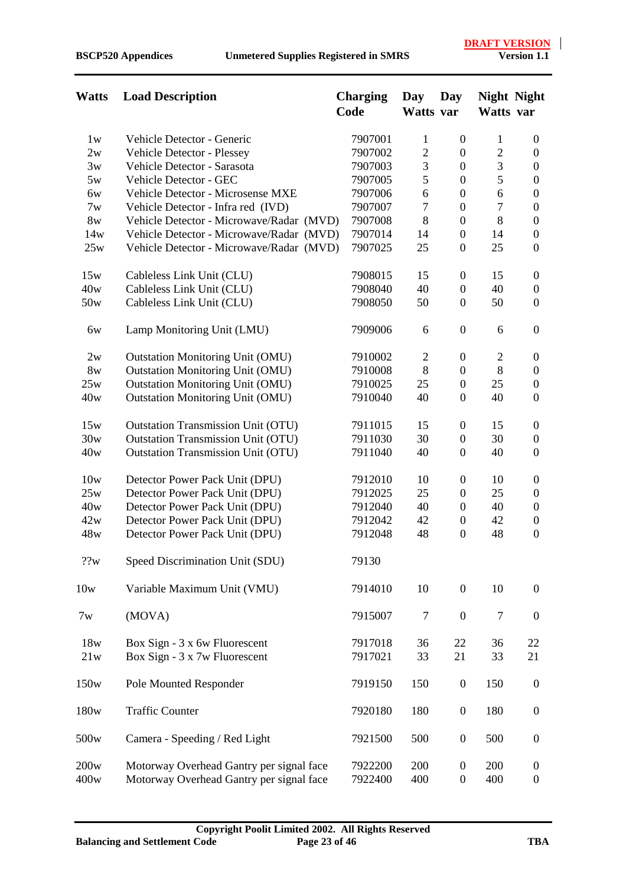| Watts | <b>Load Description</b>                   | <b>Charging</b><br>Code | Day<br>Watts var | Day              | <b>Night Night</b><br>Watts var |                  |
|-------|-------------------------------------------|-------------------------|------------------|------------------|---------------------------------|------------------|
| 1w    | Vehicle Detector - Generic                | 7907001                 | $\mathbf{1}$     | $\boldsymbol{0}$ | $\mathbf{1}$                    | $\boldsymbol{0}$ |
| 2w    | <b>Vehicle Detector - Plessey</b>         | 7907002                 | $\overline{2}$   | $\boldsymbol{0}$ | $\overline{c}$                  | $\boldsymbol{0}$ |
| 3w    | Vehicle Detector - Sarasota               | 7907003                 | 3                | $\boldsymbol{0}$ | 3                               | $\boldsymbol{0}$ |
| 5w    | Vehicle Detector - GEC                    | 7907005                 | 5                | $\boldsymbol{0}$ | 5                               | $\boldsymbol{0}$ |
| 6w    | Vehicle Detector - Microsense MXE         | 7907006                 | 6                | $\boldsymbol{0}$ | 6                               | $\boldsymbol{0}$ |
| 7w    | Vehicle Detector - Infra red (IVD)        | 7907007                 | $\tau$           | $\boldsymbol{0}$ | $\overline{7}$                  | $\boldsymbol{0}$ |
| 8w    | Vehicle Detector - Microwave/Radar (MVD)  | 7907008                 | 8                | $\boldsymbol{0}$ | 8                               | $\boldsymbol{0}$ |
| 14w   | Vehicle Detector - Microwave/Radar (MVD)  | 7907014                 | 14               | $\boldsymbol{0}$ | 14                              | $\boldsymbol{0}$ |
| 25w   | Vehicle Detector - Microwave/Radar (MVD)  | 7907025                 | 25               | $\boldsymbol{0}$ | 25                              | $\overline{0}$   |
| 15w   | Cableless Link Unit (CLU)                 | 7908015                 | 15               | $\boldsymbol{0}$ | 15                              | $\overline{0}$   |
| 40w   | Cableless Link Unit (CLU)                 | 7908040                 | 40               | $\boldsymbol{0}$ | 40                              | $\boldsymbol{0}$ |
| 50w   | Cableless Link Unit (CLU)                 | 7908050                 | 50               | $\boldsymbol{0}$ | 50                              | $\boldsymbol{0}$ |
| 6w    | Lamp Monitoring Unit (LMU)                | 7909006                 | 6                | $\boldsymbol{0}$ | 6                               | $\overline{0}$   |
| 2w    | <b>Outstation Monitoring Unit (OMU)</b>   | 7910002                 | $\overline{2}$   | $\mathbf{0}$     | $\overline{2}$                  | $\overline{0}$   |
| 8w    | <b>Outstation Monitoring Unit (OMU)</b>   | 7910008                 | 8                | $\overline{0}$   | 8                               | $\overline{0}$   |
| 25w   | <b>Outstation Monitoring Unit (OMU)</b>   | 7910025                 | 25               | $\boldsymbol{0}$ | 25                              | $\boldsymbol{0}$ |
| 40w   | <b>Outstation Monitoring Unit (OMU)</b>   | 7910040                 | 40               | $\boldsymbol{0}$ | 40                              | $\boldsymbol{0}$ |
| 15w   | <b>Outstation Transmission Unit (OTU)</b> | 7911015                 | 15               | $\boldsymbol{0}$ | 15                              | $\overline{0}$   |
| 30w   | <b>Outstation Transmission Unit (OTU)</b> | 7911030                 | 30               | $\boldsymbol{0}$ | 30                              | $\boldsymbol{0}$ |
| 40w   | <b>Outstation Transmission Unit (OTU)</b> | 7911040                 | 40               | $\boldsymbol{0}$ | 40                              | $\boldsymbol{0}$ |
| 10w   | Detector Power Pack Unit (DPU)            | 7912010                 | 10               | $\boldsymbol{0}$ | 10                              | $\boldsymbol{0}$ |
| 25w   | Detector Power Pack Unit (DPU)            | 7912025                 | 25               | $\boldsymbol{0}$ | 25                              | $\boldsymbol{0}$ |
| 40w   | Detector Power Pack Unit (DPU)            | 7912040                 | 40               | $\overline{0}$   | 40                              | $\overline{0}$   |
| 42w   | Detector Power Pack Unit (DPU)            | 7912042                 | 42               | $\boldsymbol{0}$ | 42                              | $\boldsymbol{0}$ |
| 48w   | Detector Power Pack Unit (DPU)            | 7912048                 | 48               | $\boldsymbol{0}$ | 48                              | $\boldsymbol{0}$ |
| ??w   | Speed Discrimination Unit (SDU)           | 79130                   |                  |                  |                                 |                  |
| 10w   | Variable Maximum Unit (VMU)               | 7914010                 | 10               | $\boldsymbol{0}$ | 10                              | $\boldsymbol{0}$ |
| 7w    | (MOVA)                                    | 7915007                 | 7                | $\boldsymbol{0}$ | 7                               | $\mathbf{0}$     |
| 18w   | Box Sign - 3 x 6w Fluorescent             | 7917018                 | 36               | 22               | 36                              | 22               |
| 21w   | Box Sign - 3 x 7w Fluorescent             | 7917021                 | 33               | 21               | 33                              | 21               |
| 150w  | Pole Mounted Responder                    | 7919150                 | 150              | $\boldsymbol{0}$ | 150                             | $\boldsymbol{0}$ |
| 180w  | <b>Traffic Counter</b>                    | 7920180                 | 180              | $\boldsymbol{0}$ | 180                             | $\boldsymbol{0}$ |
| 500w  | Camera - Speeding / Red Light             | 7921500                 | 500              | $\boldsymbol{0}$ | 500                             | $\boldsymbol{0}$ |
| 200w  | Motorway Overhead Gantry per signal face  | 7922200                 | 200              | $\overline{0}$   | 200                             | $\overline{0}$   |
| 400w  | Motorway Overhead Gantry per signal face  | 7922400                 | 400              | $\boldsymbol{0}$ | 400                             | $\boldsymbol{0}$ |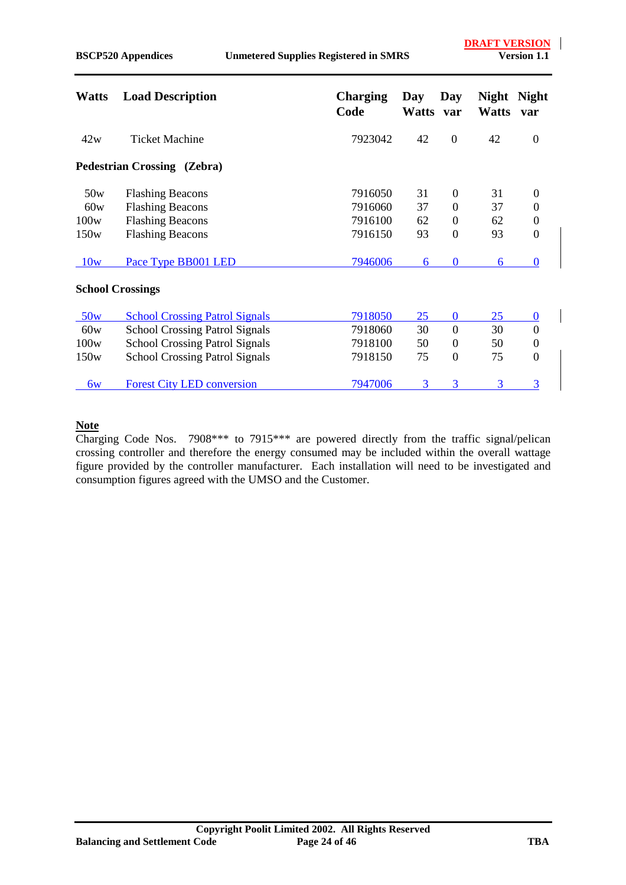| <b>Watts</b> | <b>Load Description</b>               | <b>Charging</b><br>Code | Day<br><b>Watts</b> | Day<br>var       | <b>Night</b><br><b>Watts</b> | <b>Night</b><br>var |
|--------------|---------------------------------------|-------------------------|---------------------|------------------|------------------------------|---------------------|
| 42w          | Ticket Machine                        | 7923042                 | 42                  | $\overline{0}$   | 42                           | $\mathbf{0}$        |
|              | Pedestrian Crossing (Zebra)           |                         |                     |                  |                              |                     |
| 50w          | <b>Flashing Beacons</b>               | 7916050                 | 31                  | $\overline{0}$   | 31                           | $\theta$            |
| 60w          | <b>Flashing Beacons</b>               | 7916060                 | 37                  | $\boldsymbol{0}$ | 37                           | $\theta$            |
| 100w         | <b>Flashing Beacons</b>               | 7916100                 | 62                  | $\overline{0}$   | 62                           | $\boldsymbol{0}$    |
| 150w         | <b>Flashing Beacons</b>               | 7916150                 | 93                  | $\boldsymbol{0}$ | 93                           | $\mathbf{0}$        |
| 10w          | Pace Type BB001 LED                   | 7946006                 | 6                   | $\bf{0}$         | 6                            | $\Omega$            |
|              | <b>School Crossings</b>               |                         |                     |                  |                              |                     |
| 50w          | <b>School Crossing Patrol Signals</b> | 7918050                 | 25                  | $\bf{0}$         | 25                           | $\bf{0}$            |
| 60w          | <b>School Crossing Patrol Signals</b> | 7918060                 | 30                  | $\overline{0}$   | 30                           | $\overline{0}$      |
| 100w         | <b>School Crossing Patrol Signals</b> | 7918100                 | 50                  | $\overline{0}$   | 50                           | $\boldsymbol{0}$    |
| 150w         | <b>School Crossing Patrol Signals</b> | 7918150                 | 75                  | $\boldsymbol{0}$ | 75                           | $\overline{0}$      |
| 6w           | <b>Forest City LED conversion</b>     | 7947006                 | 3                   | 3                | 3                            | 3                   |

#### **Note**

Charging Code Nos. 7908\*\*\* to 7915\*\*\* are powered directly from the traffic signal/pelican crossing controller and therefore the energy consumed may be included within the overall wattage figure provided by the controller manufacturer. Each installation will need to be investigated and consumption figures agreed with the UMSO and the Customer.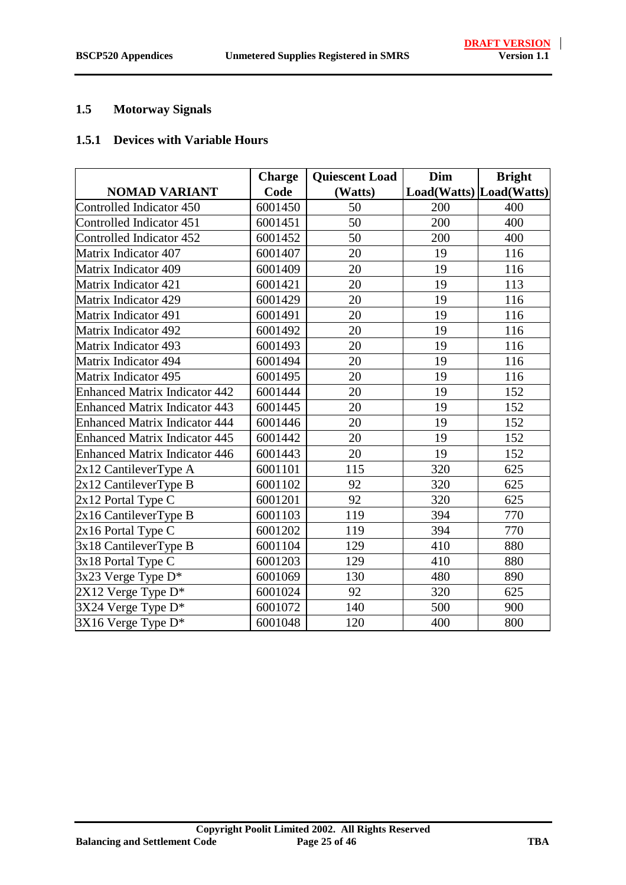#### <span id="page-24-0"></span>**1.5 Motorway Signals**

#### **1.5.1 Devices with Variable Hours**

|                                      | <b>Charge</b> | <b>Quiescent Load</b> | Dim                     | <b>Bright</b> |
|--------------------------------------|---------------|-----------------------|-------------------------|---------------|
| <b>NOMAD VARIANT</b>                 | Code          | (Watts)               | Load(Watts) Load(Watts) |               |
| Controlled Indicator 450             | 6001450       | 50                    | 200                     | 400           |
| Controlled Indicator 451             | 6001451       | 50                    | 200                     | 400           |
| Controlled Indicator 452             | 6001452       | 50                    | 200                     | 400           |
| Matrix Indicator 407                 | 6001407       | 20                    | 19                      | 116           |
| Matrix Indicator 409                 | 6001409       | 20                    | 19                      | 116           |
| Matrix Indicator 421                 | 6001421       | 20                    | 19                      | 113           |
| <b>Matrix Indicator 429</b>          | 6001429       | 20                    | 19                      | 116           |
| Matrix Indicator 491                 | 6001491       | 20                    | 19                      | 116           |
| Matrix Indicator 492                 | 6001492       | 20                    | 19                      | 116           |
| <b>Matrix Indicator 493</b>          | 6001493       | 20                    | 19                      | 116           |
| <b>Matrix Indicator 494</b>          | 6001494       | 20                    | 19                      | 116           |
| Matrix Indicator 495                 | 6001495       | 20                    | 19                      | 116           |
| <b>Enhanced Matrix Indicator 442</b> | 6001444       | 20                    | 19                      | 152           |
| <b>Enhanced Matrix Indicator 443</b> | 6001445       | 20                    | 19                      | 152           |
| <b>Enhanced Matrix Indicator 444</b> | 6001446       | 20                    | 19                      | 152           |
| <b>Enhanced Matrix Indicator 445</b> | 6001442       | 20                    | 19                      | 152           |
| <b>Enhanced Matrix Indicator 446</b> | 6001443       | 20                    | 19                      | 152           |
| $2x12$ CantileverType A              | 6001101       | 115                   | 320                     | 625           |
| 2x12 CantileverType B                | 6001102       | 92                    | 320                     | 625           |
| 2x12 Portal Type C                   | 6001201       | 92                    | 320                     | 625           |
| 2x16 CantileverType B                | 6001103       | 119                   | 394                     | 770           |
| 2x16 Portal Type C                   | 6001202       | 119                   | 394                     | 770           |
| 3x18 CantileverType B                | 6001104       | 129                   | 410                     | 880           |
| 3x18 Portal Type C                   | 6001203       | 129                   | 410                     | 880           |
| 3x23 Verge Type D*                   | 6001069       | 130                   | 480                     | 890           |
| 2X12 Verge Type D*                   | 6001024       | 92                    | 320                     | 625           |
| 3X24 Verge Type D*                   | 6001072       | 140                   | 500                     | 900           |
| 3X16 Verge Type D*                   | 6001048       | 120                   | 400                     | 800           |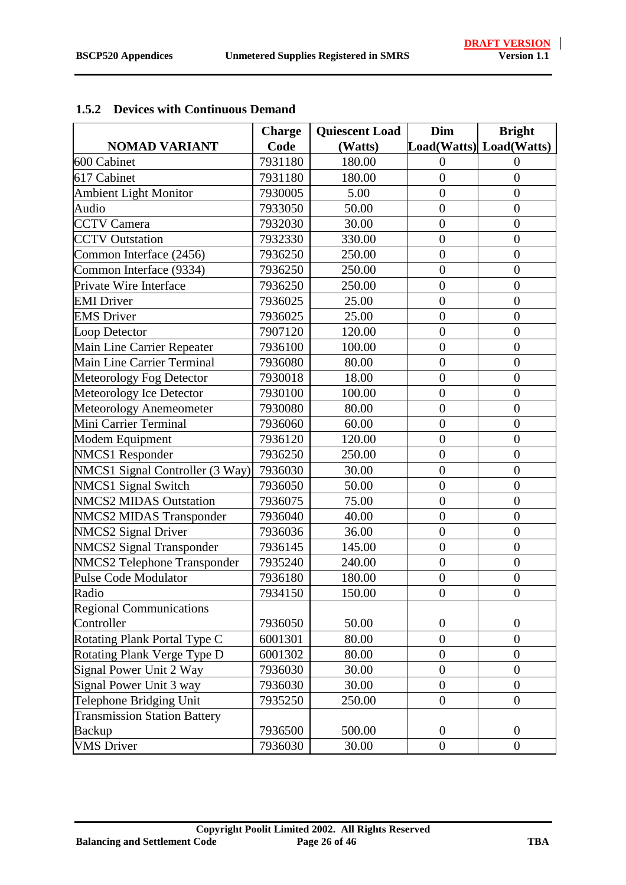|                                     | <b>Charge</b> | <b>Quiescent Load</b> | Dim              | <b>Bright</b>           |
|-------------------------------------|---------------|-----------------------|------------------|-------------------------|
| <b>NOMAD VARIANT</b>                | Code          | (Watts)               |                  | Load(Watts) Load(Watts) |
| 600 Cabinet                         | 7931180       | 180.00                | $\Omega$         | $\Omega$                |
| 617 Cabinet                         | 7931180       | 180.00                | $\overline{0}$   | $\overline{0}$          |
| <b>Ambient Light Monitor</b>        | 7930005       | 5.00                  | $\overline{0}$   | $\overline{0}$          |
| Audio                               | 7933050       | 50.00                 | $\overline{0}$   | $\overline{0}$          |
| <b>CCTV</b> Camera                  | 7932030       | 30.00                 | $\overline{0}$   | $\overline{0}$          |
| <b>CCTV</b> Outstation              | 7932330       | 330.00                | $\overline{0}$   | $\overline{0}$          |
| Common Interface (2456)             | 7936250       | 250.00                | $\overline{0}$   | $\overline{0}$          |
| Common Interface (9334)             | 7936250       | 250.00                | $\overline{0}$   | $\overline{0}$          |
| Private Wire Interface              | 7936250       | 250.00                | $\overline{0}$   | $\overline{0}$          |
| <b>EMI</b> Driver                   | 7936025       | 25.00                 | $\overline{0}$   | $\overline{0}$          |
| <b>EMS</b> Driver                   | 7936025       | 25.00                 | $\overline{0}$   | $\overline{0}$          |
| Loop Detector                       | 7907120       | 120.00                | $\overline{0}$   | $\overline{0}$          |
| Main Line Carrier Repeater          | 7936100       | 100.00                | $\overline{0}$   | $\overline{0}$          |
| Main Line Carrier Terminal          | 7936080       | 80.00                 | $\overline{0}$   | $\overline{0}$          |
| Meteorology Fog Detector            | 7930018       | 18.00                 | $\overline{0}$   | $\overline{0}$          |
| Meteorology Ice Detector            | 7930100       | 100.00                | $\overline{0}$   | $\overline{0}$          |
| Meteorology Anemeometer             | 7930080       | 80.00                 | $\overline{0}$   | $\overline{0}$          |
| Mini Carrier Terminal               | 7936060       | 60.00                 | $\overline{0}$   | $\overline{0}$          |
| Modem Equipment                     | 7936120       | 120.00                | $\overline{0}$   | $\overline{0}$          |
| <b>NMCS1</b> Responder              | 7936250       | 250.00                | $\overline{0}$   | $\overline{0}$          |
| NMCS1 Signal Controller (3 Way)     | 7936030       | 30.00                 | $\overline{0}$   | $\overline{0}$          |
| NMCS1 Signal Switch                 | 7936050       | 50.00                 | $\overline{0}$   | $\overline{0}$          |
| <b>NMCS2 MIDAS Outstation</b>       | 7936075       | 75.00                 | $\overline{0}$   | $\overline{0}$          |
| <b>NMCS2 MIDAS Transponder</b>      | 7936040       | 40.00                 | $\boldsymbol{0}$ | $\overline{0}$          |
| <b>NMCS2 Signal Driver</b>          | 7936036       | 36.00                 | $\overline{0}$   | $\overline{0}$          |
| <b>NMCS2 Signal Transponder</b>     | 7936145       | 145.00                | $\overline{0}$   | $\overline{0}$          |
| <b>NMCS2 Telephone Transponder</b>  | 7935240       | 240.00                | $\overline{0}$   | $\overline{0}$          |
| Pulse Code Modulator                | 7936180       | 180.00                | $\overline{0}$   | $\overline{0}$          |
| Radio                               | 7934150       | 150.00                | $\theta$         | $\theta$                |
| <b>Regional Communications</b>      |               |                       |                  |                         |
| Controller                          | 7936050       | 50.00                 | $\boldsymbol{0}$ | $\boldsymbol{0}$        |
| Rotating Plank Portal Type C        | 6001301       | 80.00                 | $\overline{0}$   | $\overline{0}$          |
| Rotating Plank Verge Type D         | 6001302       | 80.00                 | $\boldsymbol{0}$ | $\boldsymbol{0}$        |
| Signal Power Unit 2 Way             | 7936030       | 30.00                 | $\overline{0}$   | $\overline{0}$          |
| Signal Power Unit 3 way             | 7936030       | 30.00                 | $\overline{0}$   | $\overline{0}$          |
| Telephone Bridging Unit             | 7935250       | 250.00                | $\theta$         | $\overline{0}$          |
| <b>Transmission Station Battery</b> |               |                       |                  |                         |
| <b>Backup</b>                       | 7936500       | 500.00                | $\overline{0}$   | $\theta$                |
| <b>VMS</b> Driver                   | 7936030       | 30.00                 | $\boldsymbol{0}$ | $\boldsymbol{0}$        |

#### **1.5.2 Devices with Continuous Demand**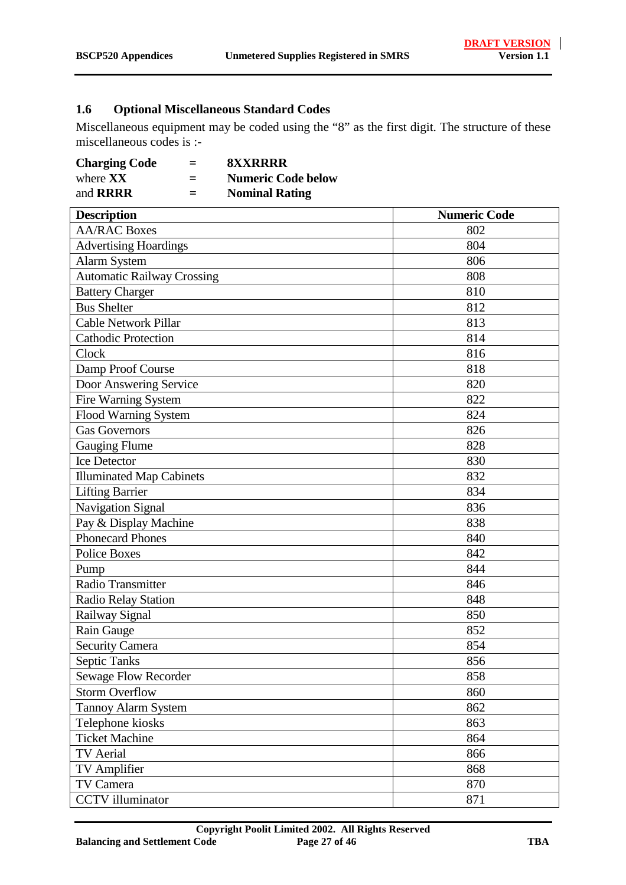# <span id="page-26-0"></span>**1.6 Optional Miscellaneous Standard Codes**

Miscellaneous equipment may be coded using the "8" as the first digit. The structure of these miscellaneous codes is :-

| <b>Charging Code</b> | $=$ | <b><i>SXXRRRR</i></b>     |
|----------------------|-----|---------------------------|
| where $\bf XX$       | $=$ | <b>Numeric Code below</b> |
| and <b>RRRR</b>      | $=$ | <b>Nominal Rating</b>     |

| <b>Description</b>                | <b>Numeric Code</b> |
|-----------------------------------|---------------------|
| <b>AA/RAC Boxes</b>               | 802                 |
| <b>Advertising Hoardings</b>      | 804                 |
| <b>Alarm System</b>               | 806                 |
| <b>Automatic Railway Crossing</b> | 808                 |
| <b>Battery Charger</b>            | 810                 |
| <b>Bus Shelter</b>                | 812                 |
| Cable Network Pillar              | 813                 |
| <b>Cathodic Protection</b>        | 814                 |
| Clock                             | 816                 |
| Damp Proof Course                 | 818                 |
| Door Answering Service            | 820                 |
| Fire Warning System               | 822                 |
| Flood Warning System              | 824                 |
| <b>Gas Governors</b>              | 826                 |
| <b>Gauging Flume</b>              | 828                 |
| <b>Ice Detector</b>               | 830                 |
| <b>Illuminated Map Cabinets</b>   | 832                 |
| <b>Lifting Barrier</b>            | 834                 |
| Navigation Signal                 | 836                 |
| Pay & Display Machine             | 838                 |
| <b>Phonecard Phones</b>           | 840                 |
| <b>Police Boxes</b>               | 842                 |
| Pump                              | 844                 |
| Radio Transmitter                 | 846                 |
| <b>Radio Relay Station</b>        | 848                 |
| Railway Signal                    | 850                 |
| Rain Gauge                        | 852                 |
| <b>Security Camera</b>            | 854                 |
| <b>Septic Tanks</b>               | 856                 |
| <b>Sewage Flow Recorder</b>       | 858                 |
| <b>Storm Overflow</b>             | 860                 |
| <b>Tannoy Alarm System</b>        | 862                 |
| Telephone kiosks                  | 863                 |
| <b>Ticket Machine</b>             | 864                 |
| TV Aerial                         | 866                 |
| TV Amplifier                      | 868                 |
| TV Camera                         | 870                 |
| <b>CCTV</b> illuminator           | 871                 |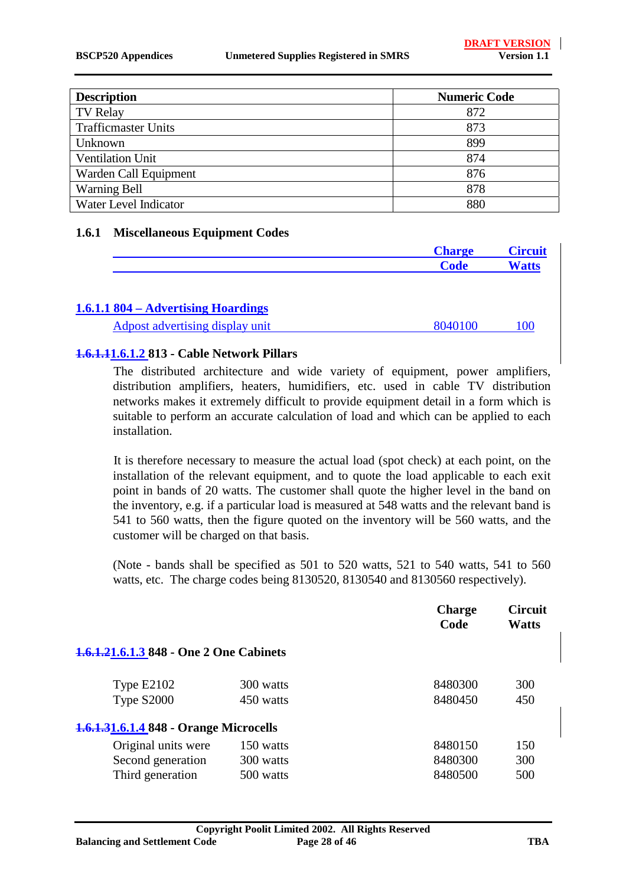| <b>Description</b>         | <b>Numeric Code</b> |
|----------------------------|---------------------|
| <b>TV Relay</b>            | 872                 |
| <b>Trafficmaster Units</b> | 873                 |
| Unknown                    | 899                 |
| <b>Ventilation Unit</b>    | 874                 |
| Warden Call Equipment      | 876                 |
| <b>Warning Bell</b>        | 878                 |
| Water Level Indicator      | 880                 |

#### **1.6.1 Miscellaneous Equipment Codes**

|                                     | <b>Charge</b> | <b>Circuit</b> |
|-------------------------------------|---------------|----------------|
|                                     | <b>Code</b>   | <b>Watts</b>   |
| 1.6.1.1 804 – Advertising Hoardings |               |                |
| Adpost advertising display unit     | 8040100       | 100            |

#### **1.6.1.11.6.1.2 813 - Cable Network Pillars**

The distributed architecture and wide variety of equipment, power amplifiers, distribution amplifiers, heaters, humidifiers, etc. used in cable TV distribution networks makes it extremely difficult to provide equipment detail in a form which is suitable to perform an accurate calculation of load and which can be applied to each installation.

It is therefore necessary to measure the actual load (spot check) at each point, on the installation of the relevant equipment, and to quote the load applicable to each exit point in bands of 20 watts. The customer shall quote the higher level in the band on the inventory, e.g. if a particular load is measured at 548 watts and the relevant band is 541 to 560 watts, then the figure quoted on the inventory will be 560 watts, and the customer will be charged on that basis.

(Note - bands shall be specified as 501 to 520 watts, 521 to 540 watts, 541 to 560 watts, etc. The charge codes being 8130520, 8130540 and 8130560 respectively).

|                                         |                        | <b>Charge</b><br>Code | <b>Circuit</b><br><b>Watts</b> |
|-----------------------------------------|------------------------|-----------------------|--------------------------------|
| 1.6.1.21.6.1.3 848 - One 2 One Cabinets |                        |                       |                                |
| Type $E2102$<br>Type S2000              | 300 watts<br>450 watts | 8480300<br>8480450    | 300<br>450                     |
| 1.6.1.31.6.1.4 848 - Orange Microcells  |                        |                       |                                |
| Original units were                     | 150 watts              | 8480150               | 150                            |
| Second generation                       | 300 watts              | 8480300               | 300                            |
| Third generation                        | 500 watts              | 8480500               | 500                            |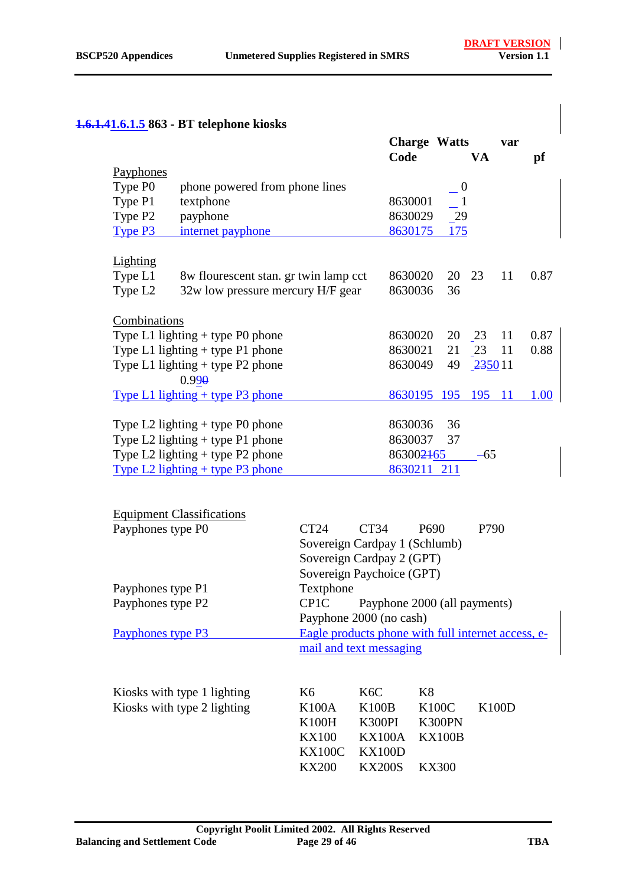### **1.6.1.41.6.1.5 863 - BT telephone kiosks**

|                                         |         |     |                                                                                                     | var                                   |                 |
|-----------------------------------------|---------|-----|-----------------------------------------------------------------------------------------------------|---------------------------------------|-----------------|
|                                         | Code    |     | VA                                                                                                  |                                       | pf              |
|                                         |         |     |                                                                                                     |                                       |                 |
| phone powered from phone lines          |         |     |                                                                                                     |                                       |                 |
| textphone                               | 8630001 |     |                                                                                                     |                                       |                 |
| payphone                                |         | 29  |                                                                                                     |                                       |                 |
| internet payphone                       | 8630175 | 175 |                                                                                                     |                                       |                 |
|                                         |         |     |                                                                                                     |                                       |                 |
|                                         |         |     |                                                                                                     |                                       |                 |
| 8w flourescent stan. gr twin lamp cct   |         | 20  |                                                                                                     | 11                                    | 0.87            |
| 32w low pressure mercury H/F gear       | 8630036 | 36  |                                                                                                     |                                       |                 |
|                                         |         |     |                                                                                                     |                                       |                 |
| Combinations                            |         |     |                                                                                                     |                                       |                 |
| Type L1 lighting $+$ type P0 phone      |         | 20  |                                                                                                     | 11                                    | 0.87            |
| Type L1 lighting $+$ type P1 phone      |         | 21  |                                                                                                     | 11                                    | 0.88            |
| Type L1 lighting $+$ type P2 phone      |         | 49  |                                                                                                     |                                       |                 |
| $0.99\theta$                            |         |     |                                                                                                     |                                       |                 |
| <u>Type L1 lighting + type P3 phone</u> |         | 195 | 195                                                                                                 | 11                                    | 1.00            |
|                                         |         |     |                                                                                                     |                                       |                 |
| Type L2 lighting $+$ type P0 phone      | 8630036 | 36  |                                                                                                     |                                       |                 |
| Type L2 lighting $+$ type P1 phone      | 8630037 | 37  |                                                                                                     |                                       |                 |
| Type L2 lighting $+$ type P2 phone      |         |     |                                                                                                     |                                       |                 |
| Type L2 lighting $+$ type P3 phone      |         |     |                                                                                                     |                                       |                 |
|                                         |         |     | $= 0$<br>8630029<br>8630020<br>8630020<br>8630021<br>8630049<br>8630195<br>863002465<br>8630211 211 | <b>Charge Watts</b><br>23<br>23<br>23 | 235011<br>$-65$ |

| <b>Equipment Classifications</b> |                                                    |                               |                              |       |  |
|----------------------------------|----------------------------------------------------|-------------------------------|------------------------------|-------|--|
| Payphones type P0                | CT24                                               | CT34                          | P <sub>690</sub>             | P790  |  |
|                                  |                                                    | Sovereign Cardpay 1 (Schlumb) |                              |       |  |
|                                  |                                                    | Sovereign Cardpay 2 (GPT)     |                              |       |  |
|                                  |                                                    | Sovereign Paychoice (GPT)     |                              |       |  |
| Payphones type P1                | Textphone                                          |                               |                              |       |  |
| Payphones type P2                | CP <sub>1</sub> C                                  |                               | Payphone 2000 (all payments) |       |  |
|                                  |                                                    | Payphone 2000 (no cash)       |                              |       |  |
| Payphones type P3                | Eagle products phone with full internet access, e- |                               |                              |       |  |
|                                  |                                                    | mail and text messaging       |                              |       |  |
| Kiosks with type 1 lighting      | K6                                                 | K <sub>6</sub> C              | K8                           |       |  |
| Kiosks with type 2 lighting      | K100A                                              | K100B                         | K100C                        | K100D |  |
|                                  | K100H                                              | K300PI                        | K300PN                       |       |  |
|                                  | KX100                                              | <b>KX100A</b>                 | <b>KX100B</b>                |       |  |
|                                  | <b>KX100C</b>                                      | <b>KX100D</b>                 |                              |       |  |
|                                  | <b>KX200</b>                                       | <b>KX200S</b>                 | <b>KX300</b>                 |       |  |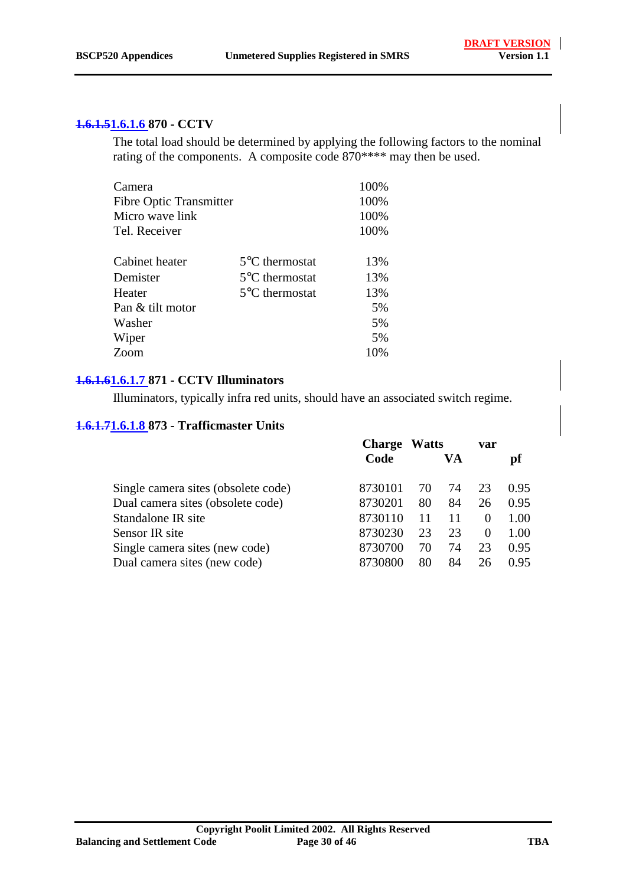#### **1.6.1.51.6.1.6 870 - CCTV**

The total load should be determined by applying the following factors to the nominal rating of the components. A composite code 870\*\*\*\* may then be used.

| Camera                         |                          | 100% |
|--------------------------------|--------------------------|------|
| <b>Fibre Optic Transmitter</b> |                          | 100% |
| Micro wave link                |                          | 100% |
| Tel. Receiver                  |                          | 100% |
| Cabinet heater                 | $5^{\circ}$ C thermostat | 13%  |
| Demister                       | $5^{\circ}$ C thermostat | 13%  |
| Heater                         | $5^{\circ}$ C thermostat | 13%  |
| Pan & tilt motor               |                          | 5%   |
| Washer                         |                          | 5%   |
| Wiper                          |                          | 5%   |
| Zoom                           |                          | 10%  |
|                                |                          |      |

#### **1.6.1.61.6.1.7 871 - CCTV Illuminators**

Illuminators, typically infra red units, should have an associated switch regime.

#### **1.6.1.71.6.1.8 873 - Trafficmaster Units**

|                                     | <b>Charge</b> | <b>Watts</b> |    | var      |      |  |
|-------------------------------------|---------------|--------------|----|----------|------|--|
|                                     | Code          |              | VA |          | pf   |  |
| Single camera sites (obsolete code) | 8730101       | 70           | 74 | 23       | 0.95 |  |
| Dual camera sites (obsolete code)   | 8730201       | 80           | 84 | 26       | 0.95 |  |
| Standalone IR site                  | 8730110       |              |    | $\theta$ | 1.00 |  |
| Sensor IR site                      | 8730230       | 23           | 23 | $\theta$ | 1.00 |  |
| Single camera sites (new code)      | 8730700       | 70           | 74 | 23       | 0.95 |  |
| Dual camera sites (new code)        | 8730800       | 80           | 84 | 26       | 0.95 |  |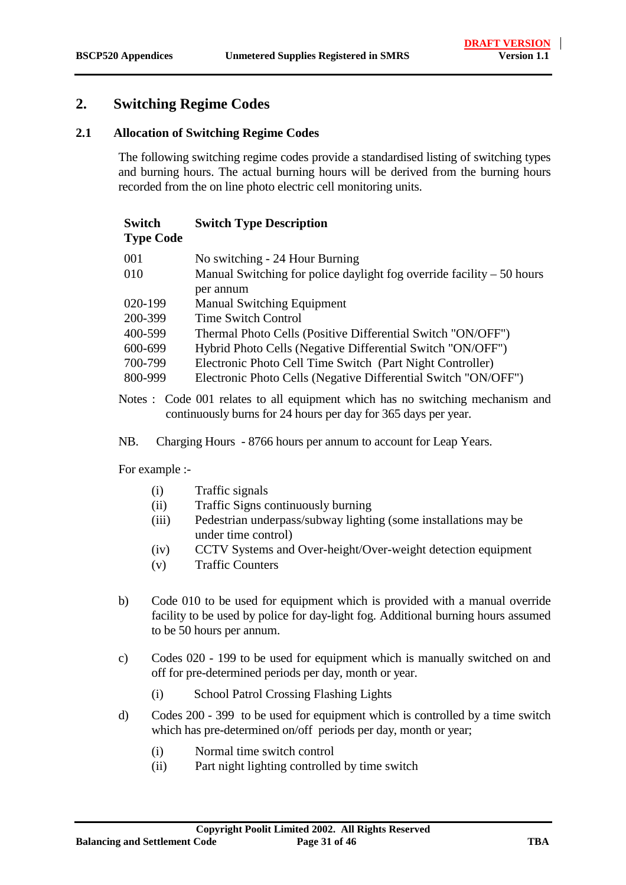### <span id="page-30-0"></span>**2. Switching Regime Codes**

#### **2.1 Allocation of Switching Regime Codes**

The following switching regime codes provide a standardised listing of switching types and burning hours. The actual burning hours will be derived from the burning hours recorded from the on line photo electric cell monitoring units.

| <b>Switch</b>    | <b>Switch Type Description</b> |
|------------------|--------------------------------|
| <b>Type Code</b> |                                |

| 001     | No switching - 24 Hour Burning                                         |
|---------|------------------------------------------------------------------------|
| 010     | Manual Switching for police daylight fog override facility $-50$ hours |
|         | per annum                                                              |
| 020-199 | <b>Manual Switching Equipment</b>                                      |
| 200-399 | <b>Time Switch Control</b>                                             |
| 400-599 | Thermal Photo Cells (Positive Differential Switch "ON/OFF")            |
| 600-699 | Hybrid Photo Cells (Negative Differential Switch "ON/OFF")             |
| 700-799 | Electronic Photo Cell Time Switch (Part Night Controller)              |
| 800-999 | Electronic Photo Cells (Negative Differential Switch "ON/OFF")         |

Notes : Code 001 relates to all equipment which has no switching mechanism and continuously burns for 24 hours per day for 365 days per year.

NB. Charging Hours - 8766 hours per annum to account for Leap Years.

For example :-

- (i) Traffic signals
- (ii) Traffic Signs continuously burning
- (iii) Pedestrian underpass/subway lighting (some installations may be under time control)
- (iv) CCTV Systems and Over-height/Over-weight detection equipment
- (v) Traffic Counters
- b) Code 010 to be used for equipment which is provided with a manual override facility to be used by police for day-light fog. Additional burning hours assumed to be 50 hours per annum.
- c) Codes 020 199 to be used for equipment which is manually switched on and off for pre-determined periods per day, month or year.
	- (i) School Patrol Crossing Flashing Lights
- d) Codes 200 399 to be used for equipment which is controlled by a time switch which has pre-determined on/off periods per day, month or year;
	- (i) Normal time switch control
	- (ii) Part night lighting controlled by time switch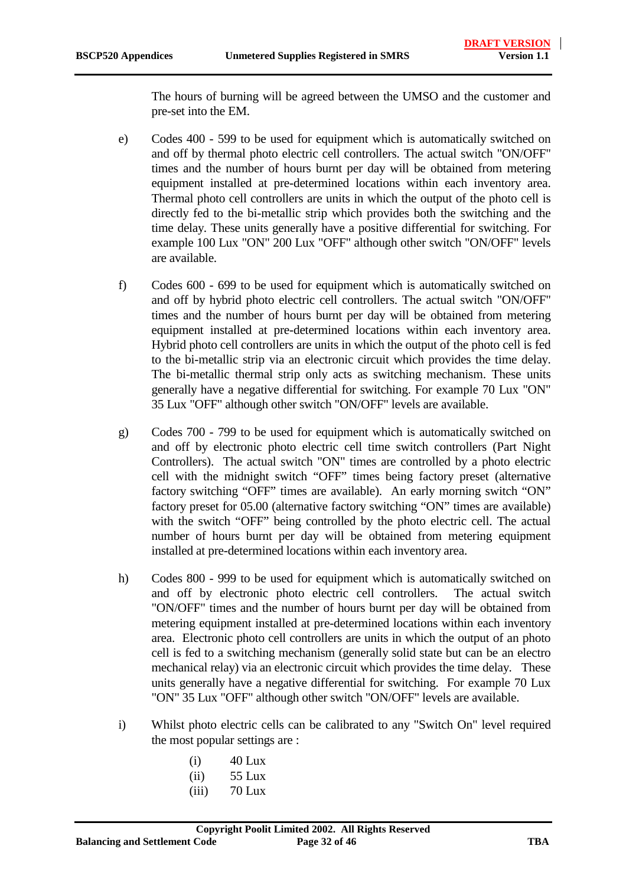The hours of burning will be agreed between the UMSO and the customer and pre-set into the EM.

- e) Codes 400 599 to be used for equipment which is automatically switched on and off by thermal photo electric cell controllers. The actual switch "ON/OFF" times and the number of hours burnt per day will be obtained from metering equipment installed at pre-determined locations within each inventory area. Thermal photo cell controllers are units in which the output of the photo cell is directly fed to the bi-metallic strip which provides both the switching and the time delay. These units generally have a positive differential for switching. For example 100 Lux "ON" 200 Lux "OFF" although other switch "ON/OFF" levels are available.
- f) Codes 600 699 to be used for equipment which is automatically switched on and off by hybrid photo electric cell controllers. The actual switch "ON/OFF" times and the number of hours burnt per day will be obtained from metering equipment installed at pre-determined locations within each inventory area. Hybrid photo cell controllers are units in which the output of the photo cell is fed to the bi-metallic strip via an electronic circuit which provides the time delay. The bi-metallic thermal strip only acts as switching mechanism. These units generally have a negative differential for switching. For example 70 Lux "ON" 35 Lux "OFF" although other switch "ON/OFF" levels are available.
- g) Codes 700 799 to be used for equipment which is automatically switched on and off by electronic photo electric cell time switch controllers (Part Night Controllers). The actual switch "ON" times are controlled by a photo electric cell with the midnight switch "OFF" times being factory preset (alternative factory switching "OFF" times are available). An early morning switch "ON" factory preset for 05.00 (alternative factory switching "ON" times are available) with the switch "OFF" being controlled by the photo electric cell. The actual number of hours burnt per day will be obtained from metering equipment installed at pre-determined locations within each inventory area.
- h) Codes 800 999 to be used for equipment which is automatically switched on and off by electronic photo electric cell controllers. The actual switch "ON/OFF" times and the number of hours burnt per day will be obtained from metering equipment installed at pre-determined locations within each inventory area. Electronic photo cell controllers are units in which the output of an photo cell is fed to a switching mechanism (generally solid state but can be an electro mechanical relay) via an electronic circuit which provides the time delay. These units generally have a negative differential for switching. For example 70 Lux "ON" 35 Lux "OFF" although other switch "ON/OFF" levels are available.
- i) Whilst photo electric cells can be calibrated to any "Switch On" level required the most popular settings are :
	- $(i)$  40 Lux
	- (ii) 55 Lux
	- $(iii)$  70 Lux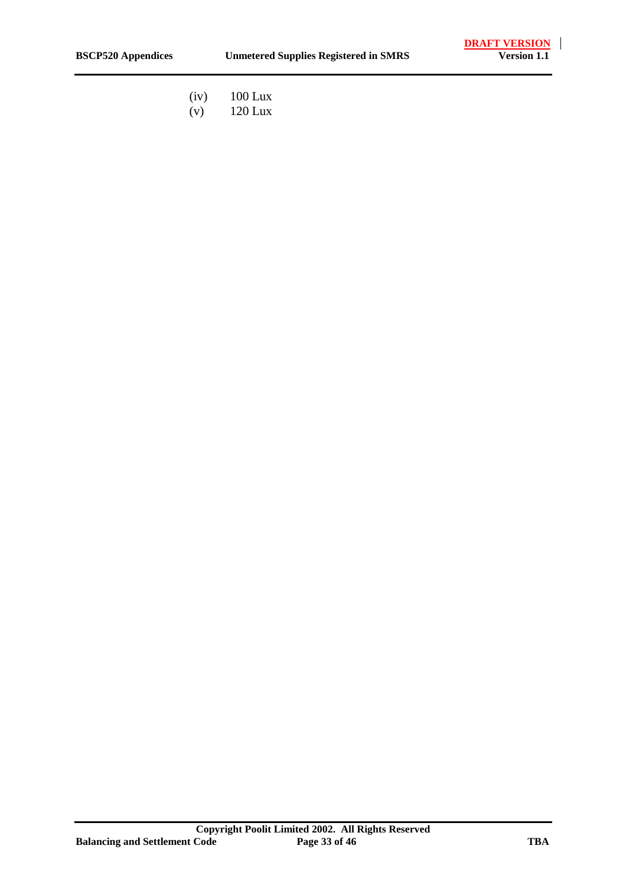- (iv) 100 Lux<br>(v) 120 Lux
- $120$  Lux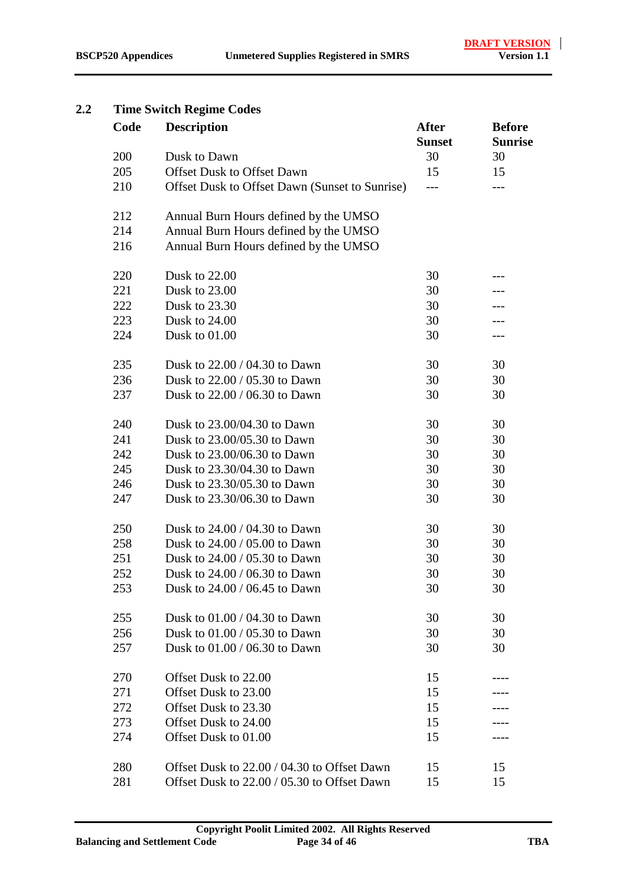#### <span id="page-33-0"></span>**2.2 Time Switch Regime Codes**

| Code | <b>Description</b>                             | <b>After</b><br><b>Sunset</b> | <b>Before</b><br><b>Sunrise</b> |
|------|------------------------------------------------|-------------------------------|---------------------------------|
| 200  | Dusk to Dawn                                   | 30                            | 30                              |
| 205  | <b>Offset Dusk to Offset Dawn</b>              | 15                            | 15                              |
| 210  | Offset Dusk to Offset Dawn (Sunset to Sunrise) | ---                           |                                 |
| 212  | Annual Burn Hours defined by the UMSO          |                               |                                 |
| 214  | Annual Burn Hours defined by the UMSO          |                               |                                 |
| 216  | Annual Burn Hours defined by the UMSO          |                               |                                 |
| 220  | Dusk to 22.00                                  | 30                            |                                 |
| 221  | Dusk to 23.00                                  | 30                            |                                 |
| 222  | Dusk to 23.30                                  | 30                            |                                 |
| 223  | Dusk to 24.00                                  | 30                            |                                 |
| 224  | Dusk to 01.00                                  | 30                            | ---                             |
| 235  | Dusk to 22.00 / 04.30 to Dawn                  | 30                            | 30                              |
| 236  | Dusk to 22.00 / 05.30 to Dawn                  | 30                            | 30                              |
| 237  | Dusk to 22.00 / 06.30 to Dawn                  | 30                            | 30                              |
| 240  | Dusk to 23,00/04.30 to Dawn                    | 30                            | 30                              |
| 241  | Dusk to 23.00/05.30 to Dawn                    | 30                            | 30                              |
| 242  | Dusk to 23.00/06.30 to Dawn                    | 30                            | 30                              |
| 245  | Dusk to 23.30/04.30 to Dawn                    | 30                            | 30                              |
| 246  | Dusk to 23.30/05.30 to Dawn                    | 30                            | 30                              |
| 247  | Dusk to 23.30/06.30 to Dawn                    | 30                            | 30                              |
| 250  | Dusk to 24.00 / 04.30 to Dawn                  | 30                            | 30                              |
| 258  | Dusk to 24.00 / 05.00 to Dawn                  | 30                            | 30                              |
| 251  | Dusk to 24.00 / 05.30 to Dawn                  | 30                            | 30                              |
| 252  | Dusk to 24.00 / 06.30 to Dawn                  | 30                            | 30                              |
| 253  | Dusk to $24.00 / 06.45$ to Dawn                | 30                            | 30                              |
| 255  | Dusk to 01.00 / 04.30 to Dawn                  | 30                            | 30                              |
| 256  | Dusk to 01.00 / 05.30 to Dawn                  | 30                            | 30                              |
| 257  | Dusk to 01.00 / 06.30 to Dawn                  | 30                            | 30                              |
| 270  | Offset Dusk to 22.00                           | 15                            |                                 |
| 271  | Offset Dusk to 23.00                           | 15                            |                                 |
| 272  | Offset Dusk to 23.30                           | 15                            |                                 |
| 273  | Offset Dusk to 24.00                           | 15                            |                                 |
| 274  | Offset Dusk to 01.00                           | 15                            |                                 |
| 280  | Offset Dusk to 22.00 / 04.30 to Offset Dawn    | 15                            | 15                              |
| 281  | Offset Dusk to 22.00 / 05.30 to Offset Dawn    | 15                            | 15                              |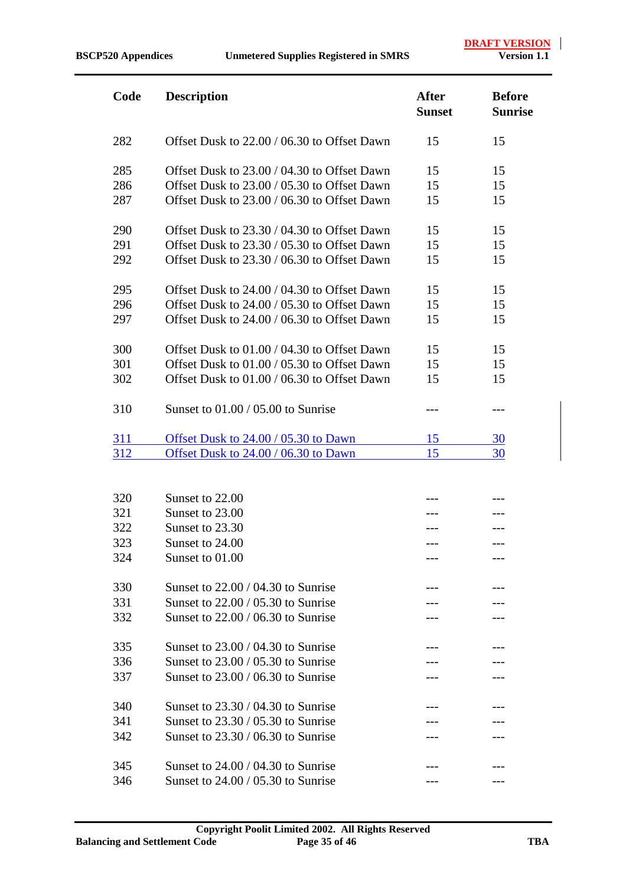**DRAFT VERSION**<br>Version 1.1

| Code       | <b>Description</b>                          | <b>After</b><br><b>Sunset</b> | <b>Before</b><br><b>Sunrise</b> |
|------------|---------------------------------------------|-------------------------------|---------------------------------|
| 282        | Offset Dusk to 22.00 / 06.30 to Offset Dawn | 15                            | 15                              |
| 285        | Offset Dusk to 23.00 / 04.30 to Offset Dawn | 15                            | 15                              |
| 286        | Offset Dusk to 23.00 / 05.30 to Offset Dawn | 15                            | 15                              |
| 287        | Offset Dusk to 23.00 / 06.30 to Offset Dawn | 15                            | 15                              |
| 290        | Offset Dusk to 23.30 / 04.30 to Offset Dawn | 15                            | 15                              |
| 291        | Offset Dusk to 23.30 / 05.30 to Offset Dawn | 15                            | 15                              |
| 292        | Offset Dusk to 23.30 / 06.30 to Offset Dawn | 15                            | 15                              |
| 295        | Offset Dusk to 24.00 / 04.30 to Offset Dawn | 15                            | 15                              |
| 296        | Offset Dusk to 24.00 / 05.30 to Offset Dawn | 15                            | 15                              |
| 297        | Offset Dusk to 24.00 / 06.30 to Offset Dawn | 15                            | 15                              |
| 300        | Offset Dusk to 01.00 / 04.30 to Offset Dawn | 15                            | 15                              |
| 301        | Offset Dusk to 01.00 / 05.30 to Offset Dawn | 15                            | 15                              |
| 302        | Offset Dusk to 01.00 / 06.30 to Offset Dawn | 15                            | 15                              |
| 310        | Sunset to $01.00 / 05.00$ to Sunrise        |                               |                                 |
| 311        | Offset Dusk to 24.00 / 05.30 to Dawn        | 15                            | 30                              |
| <u>312</u> | Offset Dusk to 24.00 / 06.30 to Dawn        | 15                            | 30                              |

| 320 | Sunset to 22.00                      |  |
|-----|--------------------------------------|--|
| 321 | Sunset to 23.00                      |  |
| 322 | Sunset to 23.30                      |  |
| 323 | Sunset to 24.00                      |  |
| 324 | Sunset to 01.00                      |  |
| 330 | Sunset to $22.00 / 04.30$ to Sunrise |  |
| 331 | Sunset to $22.00 / 05.30$ to Sunrise |  |
| 332 | Sunset to $22.00 / 06.30$ to Sunrise |  |
| 335 | Sunset to $23.00 / 04.30$ to Sunrise |  |
| 336 | Sunset to $23.00 / 05.30$ to Sunrise |  |
| 337 | Sunset to $23.00 / 06.30$ to Sunrise |  |
| 340 | Sunset to $23.30 / 04.30$ to Sunrise |  |
| 341 | Sunset to $23.30 / 05.30$ to Sunrise |  |
| 342 | Sunset to $23.30 / 06.30$ to Sunrise |  |
|     |                                      |  |
| 345 | Sunset to $24.00 / 04.30$ to Sunrise |  |
| 346 | Sunset to $24.00 / 05.30$ to Sunrise |  |
|     |                                      |  |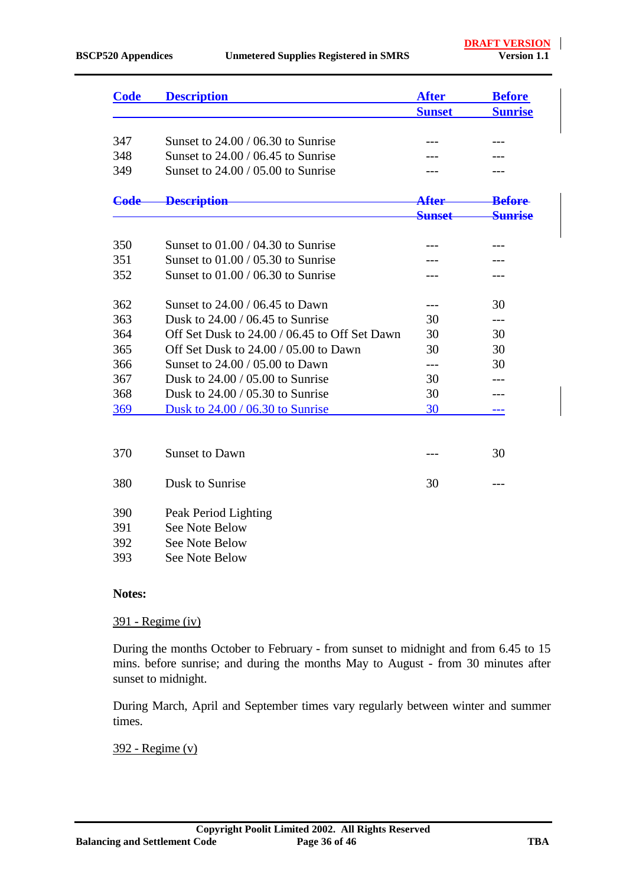| <b>Code</b> | <b>Description</b>                            | <b>After</b>  | <b>Before</b>      |
|-------------|-----------------------------------------------|---------------|--------------------|
|             |                                               | <b>Sunset</b> | <b>Sunrise</b>     |
|             |                                               |               |                    |
| 347         | Sunset to $24.00 / 06.30$ to Sunrise          |               |                    |
| 348         | Sunset to $24.00 / 06.45$ to Sunrise          |               |                    |
| 349         | Sunset to $24.00 / 05.00$ to Sunrise          |               |                    |
| Code        | <b>Description</b>                            | After         | <b>Before</b>      |
|             |                                               | <b>Sunset</b> | <del>Sunrise</del> |
| 350         | Sunset to $01.00 / 04.30$ to Sunrise          | ---           |                    |
| 351         | Sunset to $01.00 / 05.30$ to Sunrise          |               |                    |
| 352         | Sunset to $01.00 / 06.30$ to Sunrise          |               |                    |
| 362         | Sunset to 24.00 / 06.45 to Dawn               | ---           | 30                 |
| 363         | Dusk to $24.00 / 06.45$ to Sunrise            | 30            | ---                |
| 364         | Off Set Dusk to 24.00 / 06.45 to Off Set Dawn | 30            | 30                 |
| 365         | Off Set Dusk to 24.00 / 05.00 to Dawn         | 30            | 30                 |
| 366         | Sunset to 24,00 / 05,00 to Dawn               | ---           | 30                 |
| 367         | Dusk to $24.00 / 05.00$ to Sunrise            | 30            |                    |
| 368         | Dusk to $24.00 / 05.30$ to Sunrise            | 30            |                    |
| 369         | Dusk to 24.00 / 06.30 to Sunrise              | 30            | ---                |
|             |                                               |               |                    |
| 370         | <b>Sunset to Dawn</b>                         |               | 30                 |
| 380         | Dusk to Sunrise                               | 30            | $---$              |
| 390         | Peak Period Lighting                          |               |                    |
| 391         | <b>See Note Below</b>                         |               |                    |
| 392         | See Note Below                                |               |                    |

393 See Note Below

#### **Notes:**

#### 391 - Regime (iv)

During the months October to February - from sunset to midnight and from 6.45 to 15 mins. before sunrise; and during the months May to August - from 30 minutes after sunset to midnight.

During March, April and September times vary regularly between winter and summer times.

#### 392 - Regime (v)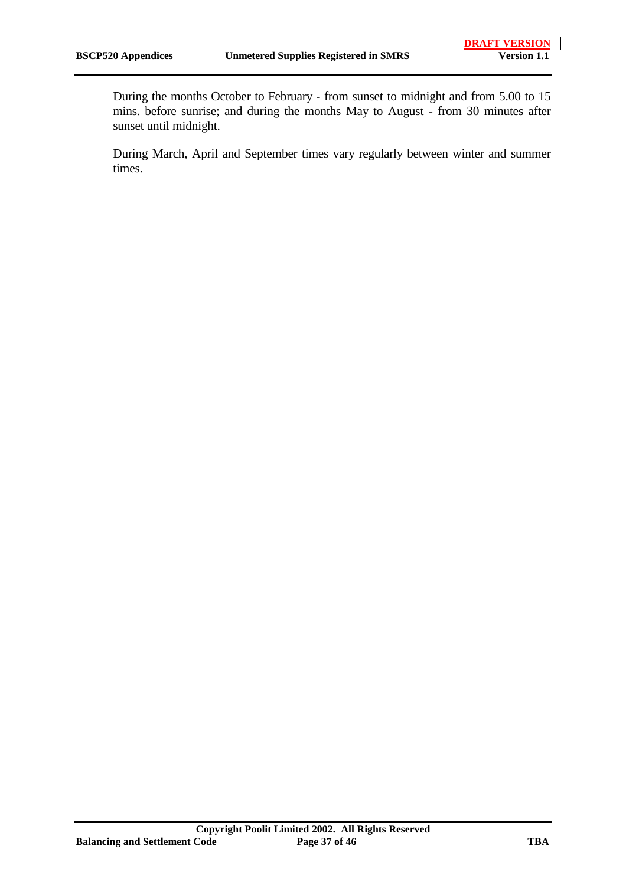During the months October to February - from sunset to midnight and from 5.00 to 15 mins. before sunrise; and during the months May to August - from 30 minutes after sunset until midnight.

During March, April and September times vary regularly between winter and summer times.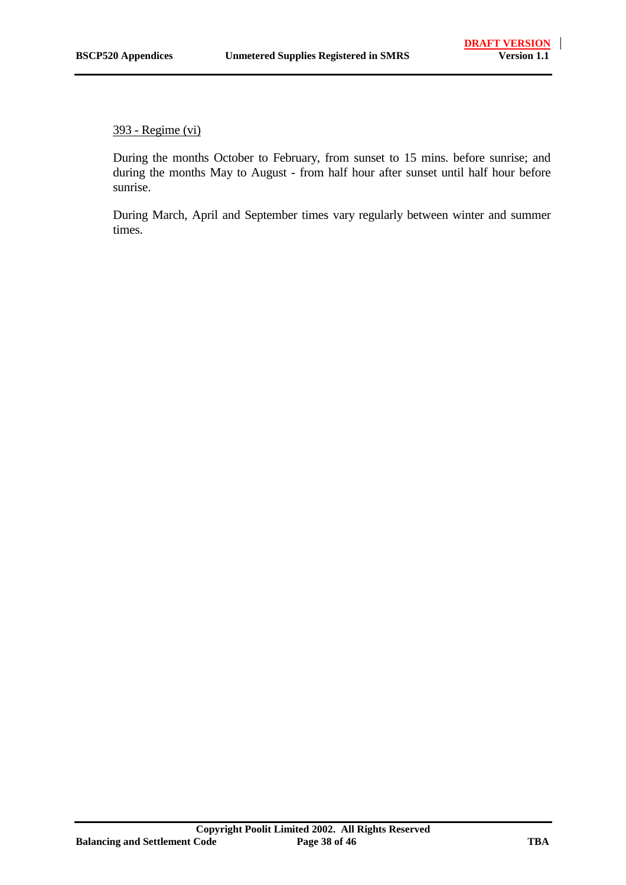393 - Regime (vi)

During the months October to February, from sunset to 15 mins. before sunrise; and during the months May to August - from half hour after sunset until half hour before sunrise.

During March, April and September times vary regularly between winter and summer times.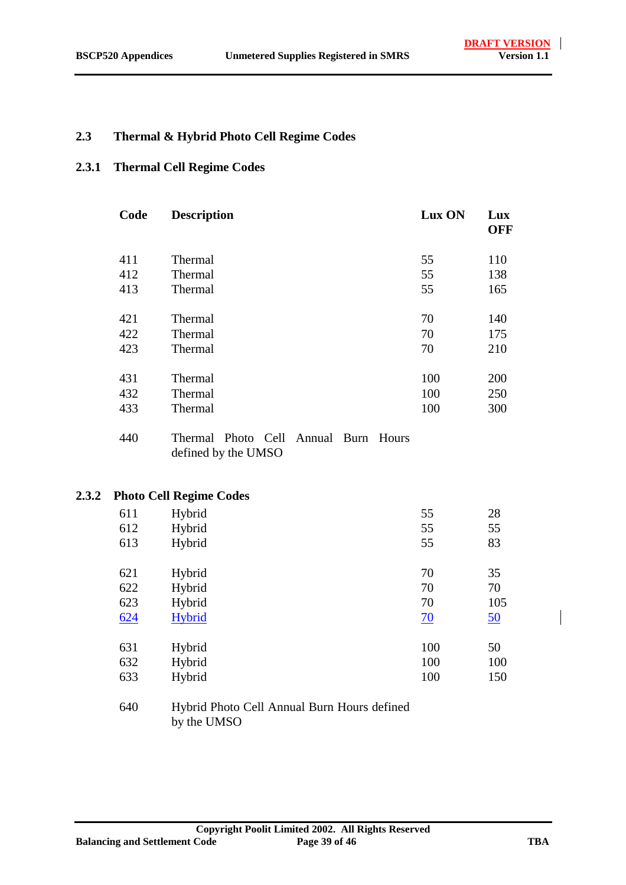#### <span id="page-38-0"></span>**2.3 Thermal & Hybrid Photo Cell Regime Codes**

#### **2.3.1 Thermal Cell Regime Codes**

| Code | <b>Description</b> | Lux ON | Lux<br><b>OFF</b> |
|------|--------------------|--------|-------------------|
| 411  | Thermal            | 55     | 110               |
| 412  | Thermal            | 55     | 138               |
| 413  | Thermal            | 55     | 165               |
|      |                    |        |                   |
| 421  | Thermal            | 70     | 140               |
| 422  | Thermal            | 70     | 175               |
| 423  | Thermal            | 70     | 210               |
|      |                    |        |                   |
| 431  | Thermal            | 100    | 200               |
| 432  | Thermal            | 100    | 250               |
| 433  | Thermal            | 100    | 300               |

<sup>440</sup> Thermal Photo Cell Annual Burn Hours defined by the UMSO

#### **2.3.2 Photo Cell Regime Codes**

|     | ັ      |                 |     |  |
|-----|--------|-----------------|-----|--|
| 611 | Hybrid | 55              | 28  |  |
| 612 | Hybrid | 55              | 55  |  |
| 613 | Hybrid | 55              | 83  |  |
|     |        |                 |     |  |
| 621 | Hybrid | 70              | 35  |  |
| 622 | Hybrid | 70              | 70  |  |
| 623 | Hybrid | 70              | 105 |  |
| 624 | Hybrid | $\overline{20}$ | 50  |  |
|     |        |                 |     |  |
| 631 | Hybrid | 100             | 50  |  |
| 632 | Hybrid | 100             | 100 |  |
| 633 | Hybrid | 100             | 150 |  |
|     |        |                 |     |  |

640 Hybrid Photo Cell Annual Burn Hours defined by the UMSO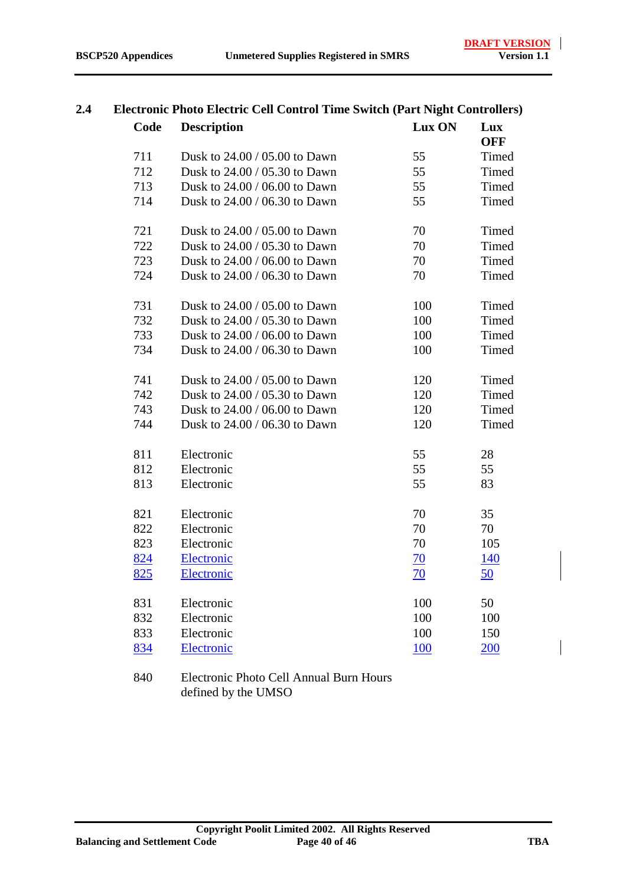| Code | <b>Description</b>            | Lux ON     | Lux<br><b>OFF</b> |
|------|-------------------------------|------------|-------------------|
| 711  | Dusk to 24.00 / 05.00 to Dawn | 55         | Timed             |
| 712  | Dusk to 24.00 / 05.30 to Dawn | 55         | Timed             |
| 713  | Dusk to 24.00 / 06.00 to Dawn | 55         | Timed             |
| 714  | Dusk to 24.00 / 06.30 to Dawn | 55         | Timed             |
| 721  | Dusk to 24.00 / 05.00 to Dawn | 70         | Timed             |
| 722  | Dusk to 24.00 / 05.30 to Dawn | 70         | Timed             |
| 723  | Dusk to 24.00 / 06.00 to Dawn | 70         | Timed             |
| 724  | Dusk to 24.00 / 06.30 to Dawn | 70         | Timed             |
| 731  | Dusk to 24.00 / 05.00 to Dawn | 100        | Timed             |
| 732  | Dusk to 24.00 / 05.30 to Dawn | 100        | Timed             |
| 733  | Dusk to 24.00 / 06.00 to Dawn | 100        | Timed             |
| 734  | Dusk to 24.00 / 06.30 to Dawn | 100        | Timed             |
| 741  | Dusk to 24.00 / 05.00 to Dawn | 120        | Timed             |
| 742  | Dusk to 24.00 / 05.30 to Dawn | 120        | Timed             |
| 743  | Dusk to 24.00 / 06.00 to Dawn | 120        | Timed             |
| 744  | Dusk to 24.00 / 06.30 to Dawn | 120        | Timed             |
| 811  | Electronic                    | 55         | 28                |
| 812  | Electronic                    | 55         | 55                |
| 813  | Electronic                    | 55         | 83                |
| 821  | Electronic                    | 70         | 35                |
| 822  | Electronic                    | 70         | 70                |
| 823  | Electronic                    | 70         | 105               |
| 824  | Electronic                    | 70         | 140               |
| 825  | Electronic                    | 70         | 50                |
| 831  | Electronic                    | 100        | 50                |
| 832  | Electronic                    | 100        | 100               |
| 833  | Electronic                    | 100        | 150               |
| 834  | Electronic                    | <b>100</b> | 200               |

# <span id="page-39-0"></span>**2.4 Electronic Photo Electric Cell Control Time Switch (Part Night Controllers)**

840 Electronic Photo Cell Annual Burn Hours defined by the UMSO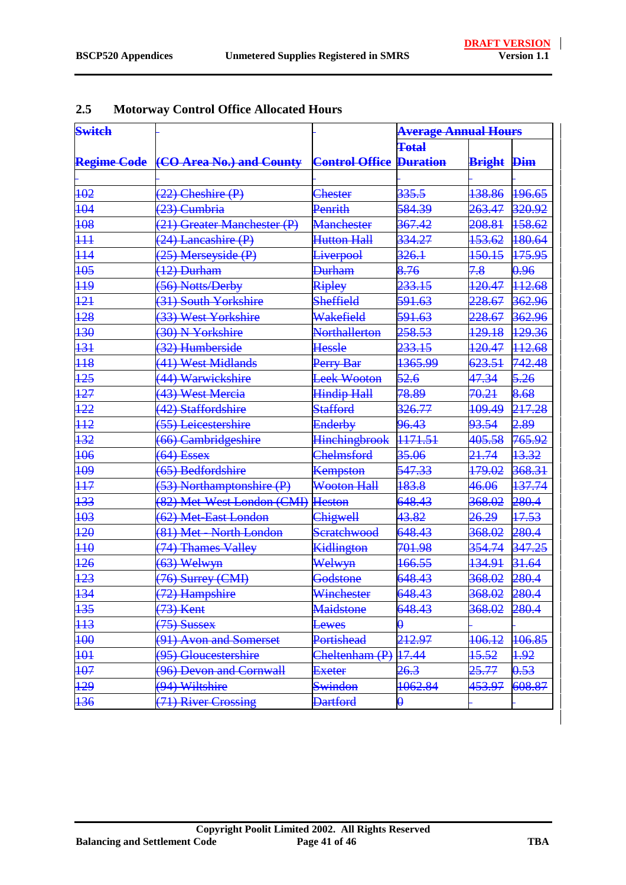| <b>Switch</b>    |                                                                     |                      | <b>Average Annual Hours</b> |                   |              |
|------------------|---------------------------------------------------------------------|----------------------|-----------------------------|-------------------|--------------|
|                  |                                                                     |                      | <b>Total</b>                |                   |              |
|                  | <b>Regime Code</b> (CO Area No.) and County Control Office Duration |                      |                             | <b>Bright Dim</b> |              |
|                  |                                                                     |                      |                             |                   |              |
| 102              | $(22)$ Cheshire $(P)$                                               | <b>Chester</b>       | 335.5                       | 138.86            | 196.65       |
| 104              | (23) Cumbria                                                        | Penrith              | 584.39                      | 263.47            | 320.92       |
| 108              | (21) Greater Manchester (P)                                         | <b>Manchester</b>    | 367.42                      | 208.81            | 158.62       |
| $\overline{111}$ | (24) Lancashire (P)                                                 | <b>Hutton Hall</b>   | 334.27                      | 153.62            | 180.64       |
| 114              | (25) Merseyside (P)                                                 | <b>Liverpool</b>     | 326.1                       | 150.15            | 175.95       |
| 105              | $(12)$ Durham                                                       | <b>Durham</b>        | 8.76                        | 7.8               | 0.96         |
| $\overline{119}$ | (56) Notts/Derby                                                    | Ripley               | 233.15                      | 120.47            | 112.68       |
| 121              | (31) South Yorkshire                                                | <b>Sheffield</b>     | 591.63                      | <del>228.67</del> | 362.96       |
| 128              | (33) West Yorkshire                                                 | Wakefield            | 591.63                      | 228.67            | 362.96       |
| $\overline{130}$ | (30) N Yorkshire                                                    | <b>Northallerton</b> | <del>258.53</del>           | <del>129.18</del> | 129.36       |
| 131              | (32) Humberside                                                     | Hessle               | 233.15                      | 120.47            | 112.68       |
| $\overline{118}$ | (41) West Midlands                                                  | Perry Bar            | 1365.99                     | 623.51            | 742.48       |
| 125              | (44) Warwickshire                                                   | Leek Wooton          | 52.6                        | 47.34             | 5.26         |
| 127              | (43) West Mercia                                                    | <b>Hindip Hall</b>   | 78.89                       | 70.21             | 8.68         |
| $\overline{122}$ | (42) Staffordshire                                                  | <b>Stafford</b>      | 326.77                      | 109.49            | 217.28       |
| $\overline{112}$ | (55) Leicestershire                                                 | Enderby              | 96.43                       | 93.54             | 2.89         |
| 132              | (66) Cambridgeshire                                                 | <b>Hinchingbrook</b> | <del>1171.51</del>          | 405.58            | 765.92       |
| 106              | $(64)$ Essex                                                        | <b>Chelmsford</b>    | 35.06                       | 21.74             | 13.32        |
| 109              | (65) Bedfordshire                                                   | <b>Kempston</b>      | 547.33                      | <del>179.02</del> | 368.31       |
| $\overline{117}$ | (53) Northamptonshire (P)                                           | <b>Wooton Hall</b>   | 183.8                       | 46.06             | 137.74       |
| 133              | (82) Met-West London (CMI)                                          | <b>Heston</b>        | 648.43                      | 368.02            | 280.4        |
| 103              | (62) Met-East London                                                | Chigwell             | 43.82                       | 26.29             | 17.53        |
| 120              | (81) Met - North London                                             | Scratchwood          | 648.43                      | 368.02            | 280.4        |
| $\overline{110}$ | (74) Thames Valley                                                  | Kidlington           | 701.98                      | 354.74            | 347.25       |
| 126              | $(63)$ Welwyn                                                       | Welwyn               | 166.55                      | 134.91            | 31.64        |
| 123              | (76) Surrey (CMI)                                                   | Godstone             | 648.43                      | 368.02            | 280.4        |
| 134              | (72) Hampshire                                                      | Winchester           | 648.43                      | 368.02            | 280.4        |
| 135              | (73) Kent                                                           | Maidstone            | 648.43                      | 368.02            | 280.4        |
| H <sup>3</sup>   | $(75)$ Sussex                                                       | Lewes                | θ                           |                   |              |
| 100              | (91) Avon and Somerset                                              | Portishead           | 212.97                      | 106.12            | 106.85       |
| 101              | (95) Gloucestershire                                                | Cheltenham (P)       | 17.44                       | <del>15.52</del>  | <u> 1.92</u> |
| 107              | (96) Devon and Cornwall                                             | <b>Exeter</b>        | 26.3                        | 25.77             | 0.53         |
| 129              | (94) Wiltshire                                                      | <b>Swindon</b>       | 1062.84                     | 453.97            | 608.87       |
| 136              | (71) River Crossing                                                 | <b>Dartford</b>      | $\boldsymbol{\theta}$       |                   |              |

## <span id="page-40-0"></span>**2.5 Motorway Control Office Allocated Hours**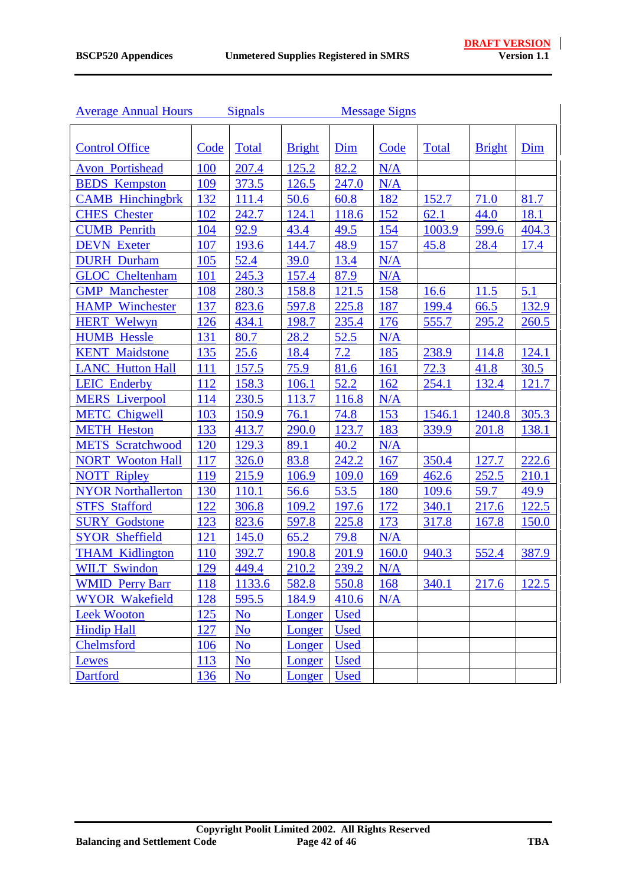| <b>Average Annual Hours</b> |            | <b>Signals</b>            |               |             | <b>Message Signs</b> |              |               |             |
|-----------------------------|------------|---------------------------|---------------|-------------|----------------------|--------------|---------------|-------------|
|                             |            |                           |               |             |                      |              |               |             |
| <b>Control Office</b>       | Code       | Total                     | <b>Bright</b> | Dim         | Code                 | <b>Total</b> | <b>Bright</b> | Dim         |
| <b>Avon Portishead</b>      | 100        | 207.4                     | 125.2         | 82.2        | N/A                  |              |               |             |
| <b>BEDS</b> Kempston        | 109        | 373.5                     | 126.5         | 247.0       | N/A                  |              |               |             |
| <b>CAMB</b> Hinchingbrk     | 132        | 111.4                     | 50.6          | 60.8        | 182                  | 152.7        | 71.0          | 81.7        |
| <b>CHES</b> Chester         | 102        | 242.7                     | 124.1         | 118.6       | 152                  | 62.1         | 44.0          | 18.1        |
| <b>CUMB</b> Penrith         | 104        | 92.9                      | 43.4          | 49.5        | 154                  | 1003.9       | 599.6         | 404.3       |
| <b>DEVN</b> Exeter          | 107        | 193.6                     | 144.7         | 48.9        | 157                  | 45.8         | 28.4          | <u>17.4</u> |
| <b>DURH</b> Durham          | 105        | 52.4                      | 39.0          | 13.4        | N/A                  |              |               |             |
| <b>GLOC</b> Cheltenham      | 101        | 245.3                     | 157.4         | 87.9        | N/A                  |              |               |             |
| <b>GMP</b> Manchester       | 108        | 280.3                     | 158.8         | 121.5       | 158                  | 16.6         | 11.5          | 5.1         |
| <b>HAMP</b> Winchester      | 137        | 823.6                     | 597.8         | 225.8       | 187                  | 199.4        | 66.5          | 132.9       |
| <b>HERT Welwyn</b>          | 126        | 434.1                     | 198.7         | 235.4       | 176                  | 555.7        | 295.2         | 260.5       |
| <b>HUMB Hessle</b>          | 131        | 80.7                      | 28.2          | 52.5        | N/A                  |              |               |             |
| <b>KENT</b> Maidstone       | 135        | 25.6                      | 18.4          | 7.2         | 185                  | 238.9        | 114.8         | 124.1       |
| <b>LANC Hutton Hall</b>     | 111        | 157.5                     | 75.9          | 81.6        | <b>161</b>           | 72.3         | 41.8          | 30.5        |
| <b>LEIC Enderby</b>         | 112        | 158.3                     | 106.1         | 52.2        | 162                  | 254.1        | 132.4         | 121.7       |
| <b>MERS</b> Liverpool       | <b>114</b> | 230.5                     | 113.7         | 116.8       | N/A                  |              |               |             |
| <b>METC</b> Chigwell        | 103        | 150.9                     | 76.1          | 74.8        | 153                  | 1546.1       | 1240.8        | 305.3       |
| <b>METH Heston</b>          | 133        | 413.7                     | 290.0         | 123.7       | 183                  | 339.9        | 201.8         | 138.1       |
| <b>METS</b> Scratchwood     | 120        | 129.3                     | 89.1          | 40.2        | N/A                  |              |               |             |
| <b>NORT</b> Wooton Hall     | 117        | 326.0                     | 83.8          | 242.2       | 167                  | 350.4        | 127.7         | 222.6       |
| <b>NOTT Ripley</b>          | 119        | 215.9                     | 106.9         | 109.0       | 169                  | 462.6        | 252.5         | 210.1       |
| <b>NYOR Northallerton</b>   | 130        | 110.1                     | 56.6          | 53.5        | 180                  | 109.6        | 59.7          | 49.9        |
| <b>STFS Stafford</b>        | 122        | 306.8                     | 109.2         | 197.6       | 172                  | 340.1        | 217.6         | 122.5       |
| <b>SURY</b><br>Godstone     | 123        | 823.6                     | 597.8         | 225.8       | 173                  | 317.8        | 167.8         | 150.0       |
| <b>SYOR Sheffield</b>       | 121        | 145.0                     | 65.2          | 79.8        | N/A                  |              |               |             |
| <b>THAM Kidlington</b>      | 110        | 392.7                     | 190.8         | 201.9       | 160.0                | 940.3        | 552.4         | 387.9       |
| <b>WILT Swindon</b>         | 129        | 449.4                     | 210.2         | 239.2       | N/A                  |              |               |             |
| <b>WMID Perry Barr</b>      | 118        | <u>1133.6</u>             | 582.8         | 550.8       | 168                  | 340.1        | 217.6         | 122.5       |
| <b>WYOR Wakefield</b>       | 128        | 595.5                     | 184.9         | 410.6       | N/A                  |              |               |             |
| <b>Leek Wooton</b>          | 125        | N <sub>o</sub>            | Longer        | <b>Used</b> |                      |              |               |             |
| <b>Hindip Hall</b>          | 127        | N <sub>o</sub>            | Longer        | <b>Used</b> |                      |              |               |             |
| Chelmsford                  | <b>106</b> | N <sub>0</sub>            | Longer        | <b>Used</b> |                      |              |               |             |
| Lewes                       | 113        | N <sub>o</sub>            | Longer        | <b>Used</b> |                      |              |               |             |
| <b>Dartford</b>             | 136        | $\underline{\mathrm{No}}$ | Longer        | <b>Used</b> |                      |              |               |             |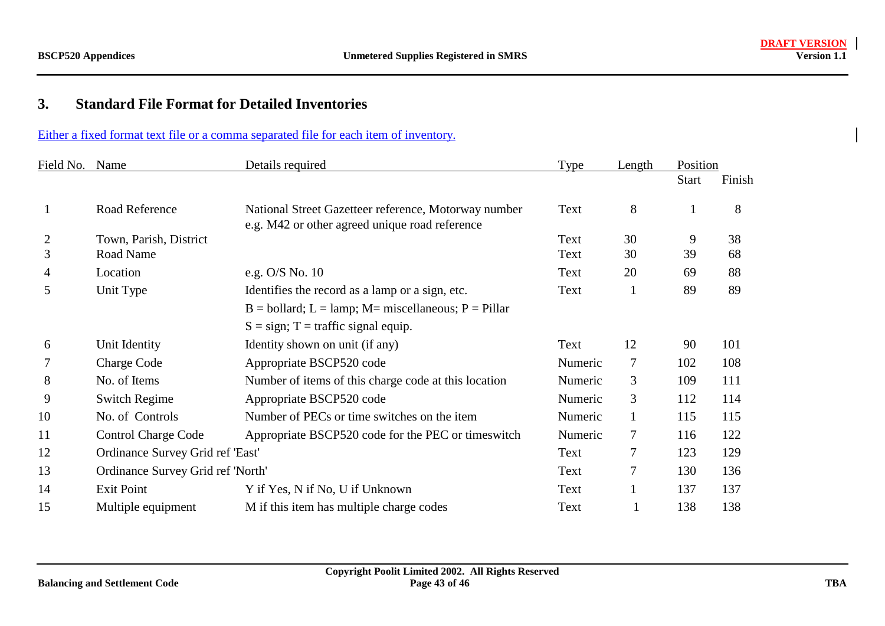#### <span id="page-42-0"></span>**3.Standard File Format for Detailed Inventories**

#### Either a fixed format text file or a comma separated file for each item of inventory.

| Field No. Name |                                   | Details required                                                                                       | <b>Type</b> | Length       | Position     |        |
|----------------|-----------------------------------|--------------------------------------------------------------------------------------------------------|-------------|--------------|--------------|--------|
|                |                                   |                                                                                                        |             |              | <b>Start</b> | Finish |
| 1              | Road Reference                    | National Street Gazetteer reference, Motorway number<br>e.g. M42 or other agreed unique road reference | Text        | 8            | 1            | 8      |
| $\overline{2}$ | Town, Parish, District            |                                                                                                        | Text        | 30           | 9            | 38     |
| 3              | Road Name                         |                                                                                                        | Text        | 30           | 39           | 68     |
| 4              | Location                          | e.g. O/S No. 10                                                                                        | Text        | 20           | 69           | 88     |
| 5              | Unit Type                         | Identifies the record as a lamp or a sign, etc.                                                        | Text        | $\mathbf{1}$ | 89           | 89     |
|                |                                   | $B =$ bollard; $L =$ lamp; $M =$ miscellaneous; $P =$ Pillar                                           |             |              |              |        |
|                |                                   | $S = sign$ ; T = traffic signal equip.                                                                 |             |              |              |        |
| 6              | Unit Identity                     | Identity shown on unit (if any)                                                                        | Text        | 12           | 90           | 101    |
|                | <b>Charge Code</b>                | Appropriate BSCP520 code                                                                               | Numeric     | 7            | 102          | 108    |
| 8              | No. of Items                      | Number of items of this charge code at this location                                                   | Numeric     | 3            | 109          | 111    |
| 9              | <b>Switch Regime</b>              | Appropriate BSCP520 code                                                                               | Numeric     | 3            | 112          | 114    |
| 10             | No. of Controls                   | Number of PECs or time switches on the item                                                            | Numeric     | $\mathbf{1}$ | 115          | 115    |
| 11             | <b>Control Charge Code</b>        | Appropriate BSCP520 code for the PEC or times witch                                                    | Numeric     | 7            | 116          | 122    |
| 12             | Ordinance Survey Grid ref 'East'  |                                                                                                        | Text        | 7            | 123          | 129    |
| 13             | Ordinance Survey Grid ref 'North' |                                                                                                        | Text        | 7            | 130          | 136    |
| 14             | <b>Exit Point</b>                 | Y if Yes, N if No, U if Unknown                                                                        | Text        |              | 137          | 137    |
| 15             | Multiple equipment                | M if this item has multiple charge codes                                                               | Text        |              | 138          | 138    |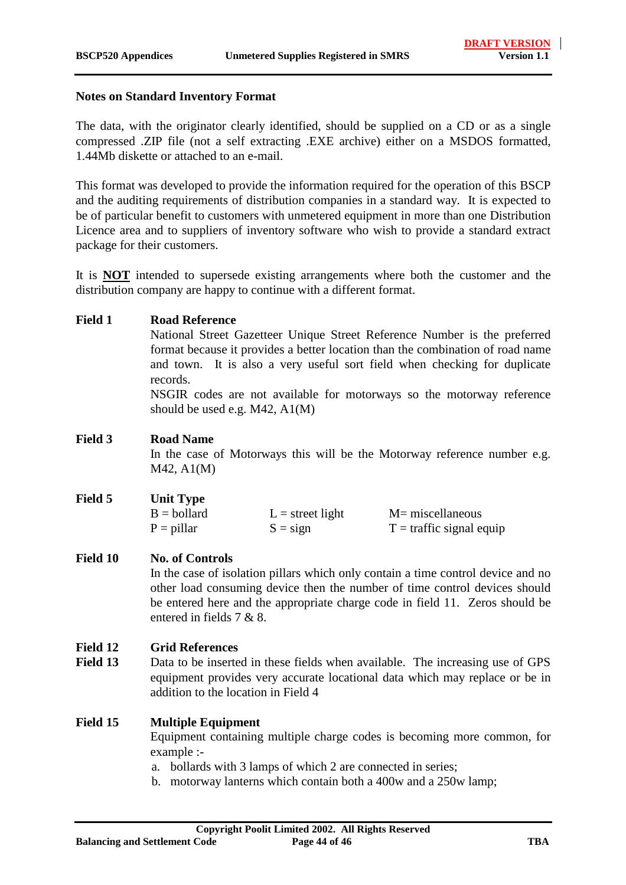#### **Notes on Standard Inventory Format**

The data, with the originator clearly identified, should be supplied on a CD or as a single compressed .ZIP file (not a self extracting .EXE archive) either on a MSDOS formatted, 1.44Mb diskette or attached to an e-mail.

This format was developed to provide the information required for the operation of this BSCP and the auditing requirements of distribution companies in a standard way. It is expected to be of particular benefit to customers with unmetered equipment in more than one Distribution Licence area and to suppliers of inventory software who wish to provide a standard extract package for their customers.

It is **NOT** intended to supersede existing arrangements where both the customer and the distribution company are happy to continue with a different format.

#### **Field 1 Road Reference**

National Street Gazetteer Unique Street Reference Number is the preferred format because it provides a better location than the combination of road name and town. It is also a very useful sort field when checking for duplicate records.

NSGIR codes are not available for motorways so the motorway reference should be used e.g. M42, A1(M)

#### **Field 3 Road Name**

In the case of Motorways this will be the Motorway reference number e.g. M42, A1(M)

| Field 5 | <b>Unit Type</b>     |                    |                                    |
|---------|----------------------|--------------------|------------------------------------|
|         | $B = \text{bollard}$ | $L =$ street light | $M =$ miscellaneous                |
|         | $P = \text{pillar}$  | $S = sign$         | $T = \text{ traffic signal equip}$ |

#### Field 10 No. of Controls

In the case of isolation pillars which only contain a time control device and no other load consuming device then the number of time control devices should be entered here and the appropriate charge code in field 11. Zeros should be entered in fields 7 & 8.

#### **Field 12 Grid References**

Field 13 Data to be inserted in these fields when available. The increasing use of GPS equipment provides very accurate locational data which may replace or be in addition to the location in Field 4

#### **Field 15 Multiple Equipment**

Equipment containing multiple charge codes is becoming more common, for example :-

a. bollards with 3 lamps of which 2 are connected in series;

b. motorway lanterns which contain both a 400w and a 250w lamp;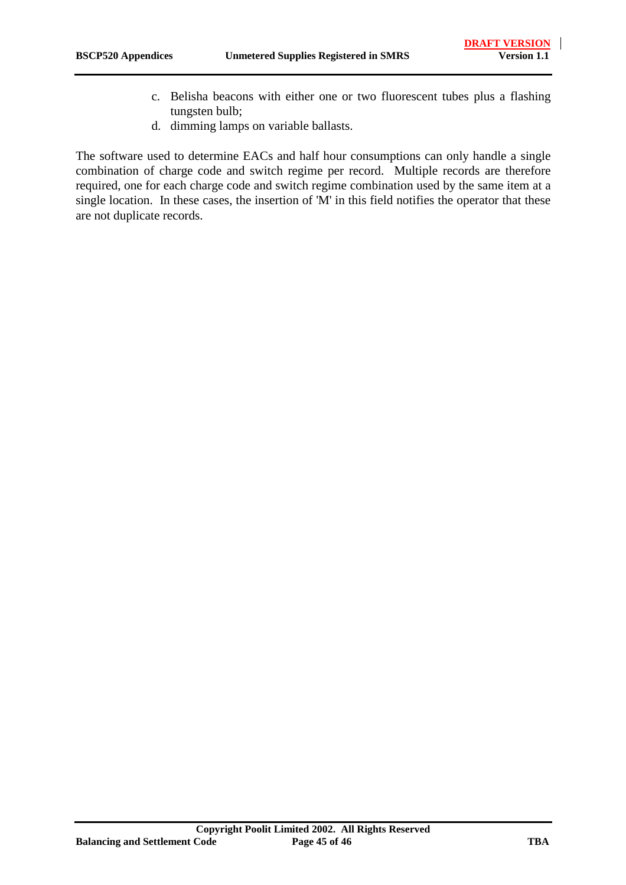- c. Belisha beacons with either one or two fluorescent tubes plus a flashing tungsten bulb;
- d. dimming lamps on variable ballasts.

The software used to determine EACs and half hour consumptions can only handle a single combination of charge code and switch regime per record. Multiple records are therefore required, one for each charge code and switch regime combination used by the same item at a single location. In these cases, the insertion of 'M' in this field notifies the operator that these are not duplicate records.